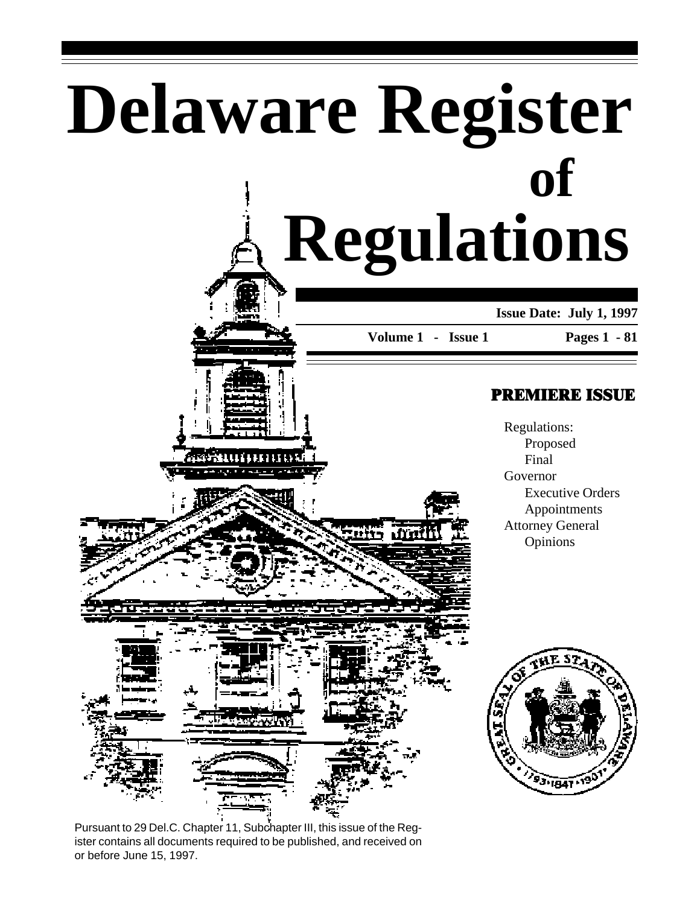# **Delaware Register Regulations of**

**Issue Date: July 1, 1997**

**Volume 1 - Issue 1**

. frin

#### **Pages 1 - 81**

### PREMIERE ISSUE

Regulations: Proposed Final Governor Executive Orders Appointments Attorney General Opinions



0000000

Pursuant to 29 Del.C. Chapter 11, Subchapter III, this issue of the Register contains all documents required to be published, and received on or before June 15, 1997.

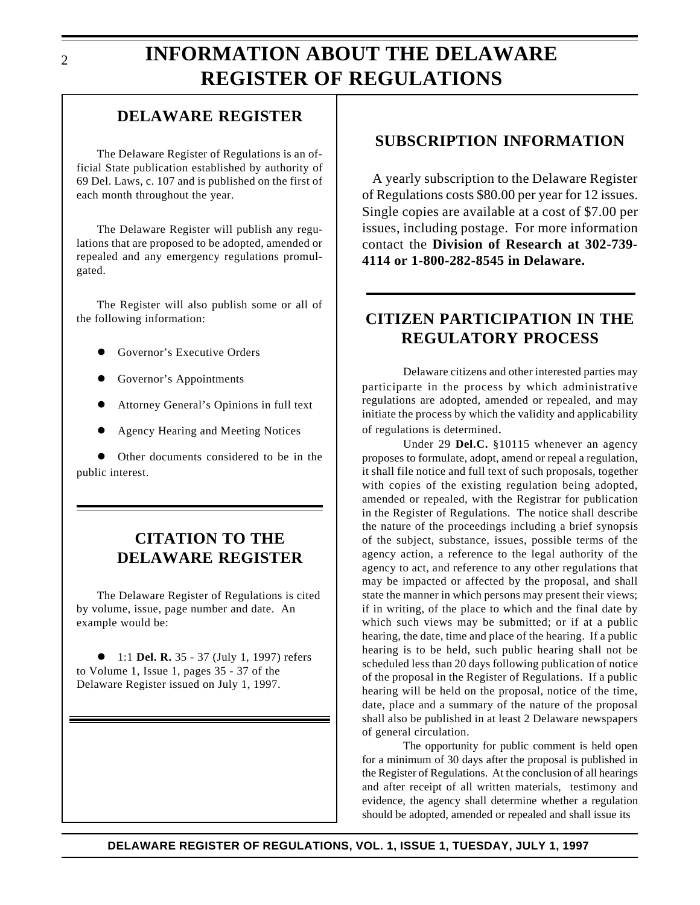### **DELAWARE REGISTER**

The Delaware Register of Regulations is an official State publication established by authority of 69 Del. Laws, c. 107 and is published on the first of each month throughout the year.

The Delaware Register will publish any regulations that are proposed to be adopted, amended or repealed and any emergency regulations promulgated.

The Register will also publish some or all of the following information:

- Governor's Executive Orders
- Governor's Appointments
- Attorney General's Opinions in full text
- l Agency Hearing and Meeting Notices

Other documents considered to be in the public interest.

### **CITATION TO THE DELAWARE REGISTER**

The Delaware Register of Regulations is cited by volume, issue, page number and date. An example would be:

● 1:1 **Del. R.** 35 - 37 (July 1, 1997) refers to Volume 1, Issue 1, pages 35 - 37 of the Delaware Register issued on July 1, 1997.

### **SUBSCRIPTION INFORMATION**

A yearly subscription to the Delaware Register of Regulations costs \$80.00 per year for 12 issues. Single copies are available at a cost of \$7.00 per issues, including postage. For more information contact the **Division of Research at 302-739- 4114 or 1-800-282-8545 in Delaware.**

### **CITIZEN PARTICIPATION IN THE REGULATORY PROCESS**

Delaware citizens and other interested parties may participarte in the process by which administrative regulations are adopted, amended or repealed, and may initiate the process by which the validity and applicability of regulations is determined.

Under 29 **Del.C.** §10115 whenever an agency proposes to formulate, adopt, amend or repeal a regulation, it shall file notice and full text of such proposals, together with copies of the existing regulation being adopted, amended or repealed, with the Registrar for publication in the Register of Regulations. The notice shall describe the nature of the proceedings including a brief synopsis of the subject, substance, issues, possible terms of the agency action, a reference to the legal authority of the agency to act, and reference to any other regulations that may be impacted or affected by the proposal, and shall state the manner in which persons may present their views; if in writing, of the place to which and the final date by which such views may be submitted; or if at a public hearing, the date, time and place of the hearing. If a public hearing is to be held, such public hearing shall not be scheduled less than 20 days following publication of notice of the proposal in the Register of Regulations. If a public hearing will be held on the proposal, notice of the time, date, place and a summary of the nature of the proposal shall also be published in at least 2 Delaware newspapers of general circulation.

The opportunity for public comment is held open for a minimum of 30 days after the proposal is published in the Register of Regulations. At the conclusion of all hearings and after receipt of all written materials, testimony and evidence, the agency shall determine whether a regulation should be adopted, amended or repealed and shall issue its

 $\mathcal{D}_{\mathcal{L}}$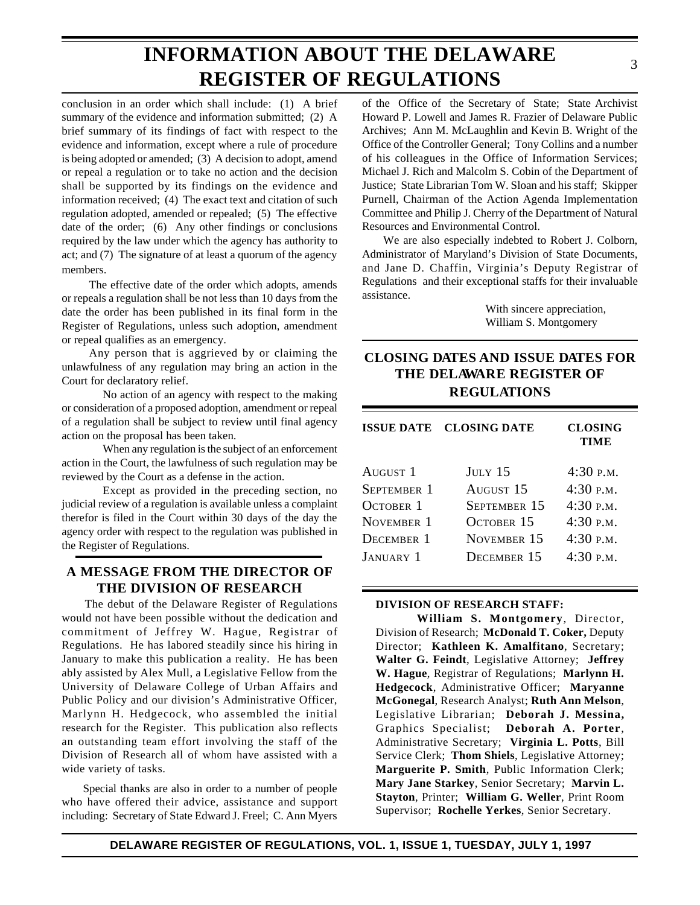## **INFORMATION ABOUT THE DELAWARE REGISTER OF REGULATIONS**

conclusion in an order which shall include: (1) A brief summary of the evidence and information submitted; (2) A brief summary of its findings of fact with respect to the evidence and information, except where a rule of procedure is being adopted or amended; (3) A decision to adopt, amend or repeal a regulation or to take no action and the decision shall be supported by its findings on the evidence and information received; (4) The exact text and citation of such regulation adopted, amended or repealed; (5) The effective date of the order; (6) Any other findings or conclusions required by the law under which the agency has authority to act; and (7) The signature of at least a quorum of the agency members.

The effective date of the order which adopts, amends or repeals a regulation shall be not less than 10 days from the date the order has been published in its final form in the Register of Regulations, unless such adoption, amendment or repeal qualifies as an emergency.

Any person that is aggrieved by or claiming the unlawfulness of any regulation may bring an action in the Court for declaratory relief.

No action of an agency with respect to the making or consideration of a proposed adoption, amendment or repeal of a regulation shall be subject to review until final agency action on the proposal has been taken.

When any regulation is the subject of an enforcement action in the Court, the lawfulness of such regulation may be reviewed by the Court as a defense in the action.

Except as provided in the preceding section, no judicial review of a regulation is available unless a complaint therefor is filed in the Court within 30 days of the day the agency order with respect to the regulation was published in the Register of Regulations.

#### **A MESSAGE FROM THE DIRECTOR OF THE DIVISION OF RESEARCH**

The debut of the Delaware Register of Regulations would not have been possible without the dedication and commitment of Jeffrey W. Hague, Registrar of Regulations. He has labored steadily since his hiring in January to make this publication a reality. He has been ably assisted by Alex Mull, a Legislative Fellow from the University of Delaware College of Urban Affairs and Public Policy and our division's Administrative Officer, Marlynn H. Hedgecock, who assembled the initial research for the Register. This publication also reflects an outstanding team effort involving the staff of the Division of Research all of whom have assisted with a wide variety of tasks.

Special thanks are also in order to a number of people who have offered their advice, assistance and support including: Secretary of State Edward J. Freel; C. Ann Myers of the Office of the Secretary of State; State Archivist Howard P. Lowell and James R. Frazier of Delaware Public Archives; Ann M. McLaughlin and Kevin B. Wright of the Office of the Controller General; Tony Collins and a number of his colleagues in the Office of Information Services; Michael J. Rich and Malcolm S. Cobin of the Department of Justice; State Librarian Tom W. Sloan and his staff; Skipper Purnell, Chairman of the Action Agenda Implementation Committee and Philip J. Cherry of the Department of Natural Resources and Environmental Control.

We are also especially indebted to Robert J. Colborn, Administrator of Maryland's Division of State Documents, and Jane D. Chaffin, Virginia's Deputy Registrar of Regulations and their exceptional staffs for their invaluable assistance.

> With sincere appreciation, William S. Montgomery

#### **CLOSING DATES AND ISSUE DATES FOR THE DELAWARE REGISTER OF REGULATIONS**

|                  | <b>ISSUE DATE CLOSING DATE</b> | <b>CLOSING</b><br><b>TIME</b> |
|------------------|--------------------------------|-------------------------------|
| AUGUST 1         | $J_{\text{ULY}}$ 15            | 4:30P.M.                      |
| SEPTEMBER 1      | AUGUST <sub>15</sub>           | 4:30P.M.                      |
| <b>OCTOBER 1</b> | SEPTEMBER 15                   | 4:30P.M.                      |
| NOVEMBER 1       | OCTOBER 15                     | 4:30P.M.                      |
| DECEMBER 1       | NOVEMBER 15                    | $4:30$ P.M.                   |
| JANUARY 1        | DECEMBER 15                    | $4:30~\mathrm{p}$ M.          |

#### **DIVISION OF RESEARCH STAFF:**

**William S. Montgomery**, Director, Division of Research; **McDonald T. Coker,** Deputy Director; **Kathleen K. Amalfitano**, Secretary; **Walter G. Feindt**, Legislative Attorney; **Jeffrey W. Hague**, Registrar of Regulations; **Marlynn H. Hedgecock**, Administrative Officer; **Maryanne McGonegal**, Research Analyst; **Ruth Ann Melson**, Legislative Librarian; **Deborah J. Messina,** Graphics Specialist; **Deborah A. Porter**, Administrative Secretary; **Virginia L. Potts**, Bill Service Clerk; **Thom Shiels**, Legislative Attorney; **Marguerite P. Smith**, Public Information Clerk; **Mary Jane Starkey**, Senior Secretary; **Marvin L. Stayton**, Printer; **William G. Weller**, Print Room Supervisor; **Rochelle Yerkes**, Senior Secretary.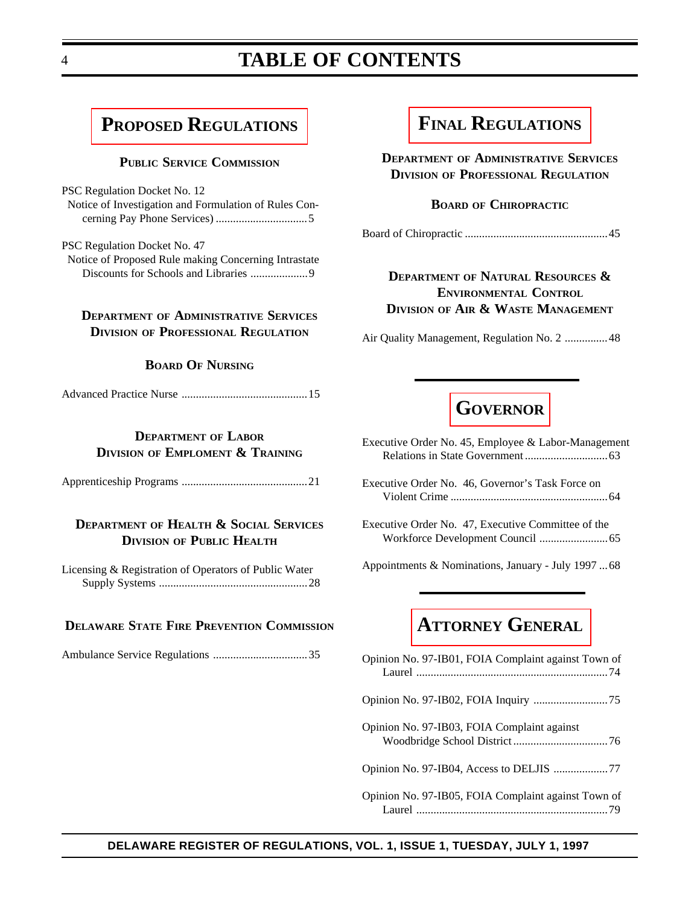### **TABLE OF CONTENTS**

### <span id="page-3-0"></span>**[PROPOSED REGULATIONS](#page-4-0)**

#### **PUBLIC SERVICE COMMISSION**

- PSC Regulation Docket No. 12  [Notice of Investigation and Formulation of Rules Con](#page-4-0)cerning Pay Phone Services) ................................5
- PSC Regulation Docket No. 47  [Notice of Proposed Rule making Concerning Intrastate](#page-8-0) Discounts for Schools and Libraries ....................9

#### **DEPARTMENT OF ADMINISTRATIVE SERVICES DIVISION OF PROFESSIONAL REGULATION**

#### **BOARD OF NURSING**

|--|--|--|

#### **DEPARTMENT OF LABOR DIVISION OF EMPLOMENT & TRAINING**

[Apprenticeship Programs ............................................21](#page-20-0)

#### **DEPARTMENT OF HEALTH & SOCIAL SERVICES DIVISION OF PUBLIC HEALTH**

[Licensing & Registration of Operators of Public Water](#page-27-0) Supply Systems ....................................................28

#### **DELAWARE STATE FIRE PREVENTION COMMISSION**

[Ambulance Service Regulations .................................35](#page-34-0)

### **[FINAL REGULATIONS](#page-44-0)**

**DEPARTMENT OF ADMINISTRATIVE SERVICES DIVISION OF PROFESSIONAL REGULATION**

#### **BOARD OF CHIROPRACTIC**

[Board of Chiropractic ..................................................45](#page-44-0)

#### **DEPARTMENT OF NATURAL RESOURCES & ENVIRONMENTAL CONTROL DIVISION OF AIR & WASTE MANAGEMENT**

[Air Quality Management, Regulation No. 2 ...............48](#page-47-0)

### **[GOVERNOR](#page-62-0)**

[Executive Order No. 45, Employee & Labor-Management](#page-62-0) Relations in State Government .............................63

- [Executive Order No. 46, Governor's Task Force on](#page-63-0) Violent Crime .......................................................64
- [Executive Order No. 47, Executive Committee of the](#page-64-0) Workforce Development Council ........................65

[Appointments & Nominations, January - July 1997 ...68](#page-67-0)

### **[ATTORNEY GENERAL](#page-73-0)**

| Opinion No. 97-IB01, FOIA Complaint against Town of |
|-----------------------------------------------------|
|                                                     |
| Opinion No. 97-IB03, FOIA Complaint against         |
| Opinion No. 97-IB04, Access to DELJIS 77            |
| Opinion No. 97-IB05, FOIA Complaint against Town of |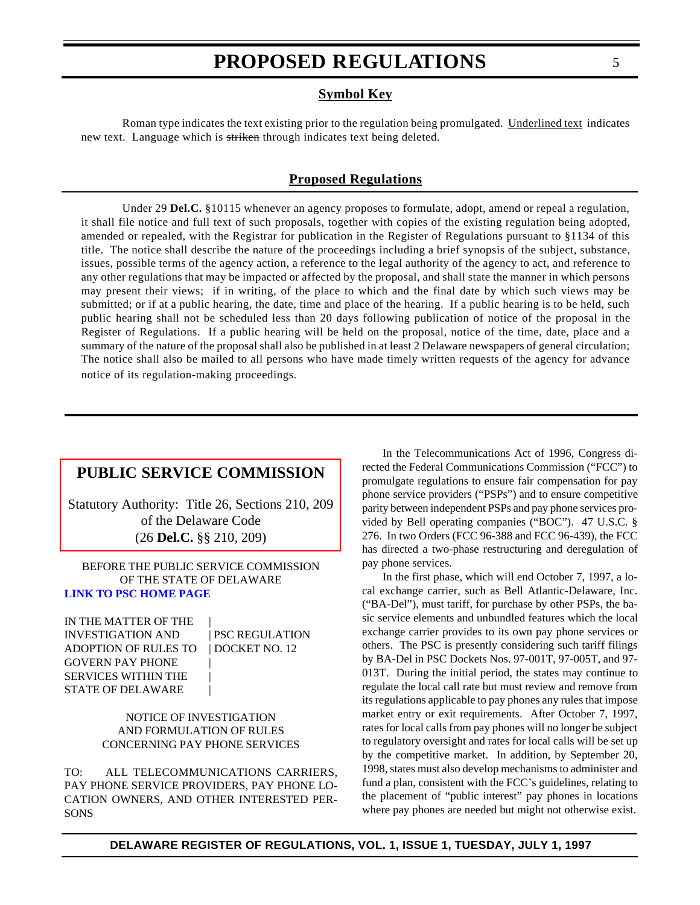#### **Symbol Key**

<span id="page-4-0"></span>Roman type indicates the text existing prior to the regulation being promulgated. Underlined text indicates new text. Language which is striken through indicates text being deleted.

#### **Proposed Regulations**

Under 29 **Del.C.** §10115 whenever an agency proposes to formulate, adopt, amend or repeal a regulation, it shall file notice and full text of such proposals, together with copies of the existing regulation being adopted, amended or repealed, with the Registrar for publication in the Register of Regulations pursuant to §1134 of this title. The notice shall describe the nature of the proceedings including a brief synopsis of the subject, substance, issues, possible terms of the agency action, a reference to the legal authority of the agency to act, and reference to any other regulations that may be impacted or affected by the proposal, and shall state the manner in which persons may present their views; if in writing, of the place to which and the final date by which such views may be submitted; or if at a public hearing, the date, time and place of the hearing. If a public hearing is to be held, such public hearing shall not be scheduled less than 20 days following publication of notice of the proposal in the Register of Regulations. If a public hearing will be held on the proposal, notice of the time, date, place and a summary of the nature of the proposal shall also be published in at least 2 Delaware newspapers of general circulation; The notice shall also be mailed to all persons who have made timely written requests of the agency for advance notice of its regulation-making proceedings.

#### **[PUBLIC SERVICE COMMISSION](#page-3-0)**

Statutory Authority: Title 26, Sections 210, 209 of the Delaware Code (26 **Del.C.** §§ 210, 209)

BEFORE THE PUBLIC SERVICE COMMISSION OF THE STATE OF DELAWARE **[LINK TO PSC HOME PAGE](http://www.state.de.us/govern/agencies/pubservc/delpsc.htm)**

IN THE MATTER OF THE INVESTIGATION AND | PSC REGULATION ADOPTION OF RULES TO | DOCKET NO. 12 GOVERN PAY PHONE | SERVICES WITHIN THE STATE OF DELAWARE

#### NOTICE OF INVESTIGATION AND FORMULATION OF RULES CONCERNING PAY PHONE SERVICES

TO: ALL TELECOMMUNICATIONS CARRIERS, PAY PHONE SERVICE PROVIDERS, PAY PHONE LO-CATION OWNERS, AND OTHER INTERESTED PER-SONS

In the Telecommunications Act of 1996, Congress directed the Federal Communications Commission ("FCC") to promulgate regulations to ensure fair compensation for pay phone service providers ("PSPs") and to ensure competitive parity between independent PSPs and pay phone services provided by Bell operating companies ("BOC"). 47 U.S.C. § 276. In two Orders (FCC 96-388 and FCC 96-439), the FCC has directed a two-phase restructuring and deregulation of pay phone services.

In the first phase, which will end October 7, 1997, a local exchange carrier, such as Bell Atlantic-Delaware, Inc. ("BA-Del"), must tariff, for purchase by other PSPs, the basic service elements and unbundled features which the local exchange carrier provides to its own pay phone services or others. The PSC is presently considering such tariff filings by BA-Del in PSC Dockets Nos. 97-001T, 97-005T, and 97- 013T. During the initial period, the states may continue to regulate the local call rate but must review and remove from its regulations applicable to pay phones any rules that impose market entry or exit requirements. After October 7, 1997, rates for local calls from pay phones will no longer be subject to regulatory oversight and rates for local calls will be set up by the competitive market. In addition, by September 20, 1998, states must also develop mechanisms to administer and fund a plan, consistent with the FCC's guidelines, relating to the placement of "public interest" pay phones in locations where pay phones are needed but might not otherwise exist.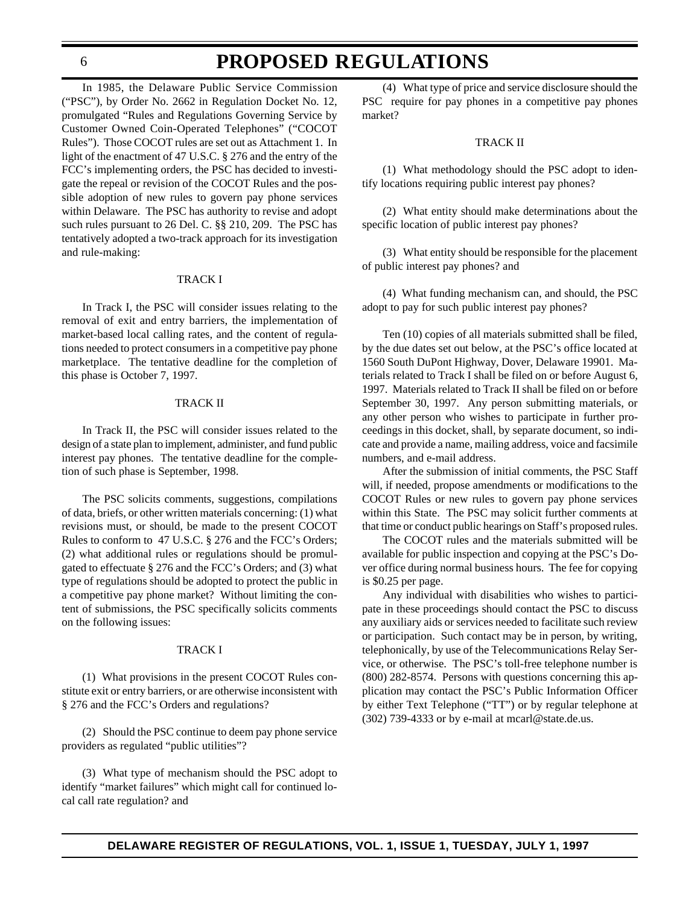### **PROPOSED REGULATIONS**

In 1985, the Delaware Public Service Commission ("PSC"), by Order No. 2662 in Regulation Docket No. 12, promulgated "Rules and Regulations Governing Service by Customer Owned Coin-Operated Telephones" ("COCOT Rules"). Those COCOT rules are set out as Attachment 1. In light of the enactment of 47 U.S.C. § 276 and the entry of the FCC's implementing orders, the PSC has decided to investigate the repeal or revision of the COCOT Rules and the possible adoption of new rules to govern pay phone services within Delaware. The PSC has authority to revise and adopt such rules pursuant to 26 Del. C. §§ 210, 209. The PSC has tentatively adopted a two-track approach for its investigation and rule-making:

#### TRACK I

In Track I, the PSC will consider issues relating to the removal of exit and entry barriers, the implementation of market-based local calling rates, and the content of regulations needed to protect consumers in a competitive pay phone marketplace. The tentative deadline for the completion of this phase is October 7, 1997.

#### TRACK II

In Track II, the PSC will consider issues related to the design of a state plan to implement, administer, and fund public interest pay phones. The tentative deadline for the completion of such phase is September, 1998.

The PSC solicits comments, suggestions, compilations of data, briefs, or other written materials concerning: (1) what revisions must, or should, be made to the present COCOT Rules to conform to 47 U.S.C. § 276 and the FCC's Orders; (2) what additional rules or regulations should be promulgated to effectuate § 276 and the FCC's Orders; and (3) what type of regulations should be adopted to protect the public in a competitive pay phone market? Without limiting the content of submissions, the PSC specifically solicits comments on the following issues:

#### TRACK I

(1) What provisions in the present COCOT Rules constitute exit or entry barriers, or are otherwise inconsistent with § 276 and the FCC's Orders and regulations?

(2) Should the PSC continue to deem pay phone service providers as regulated "public utilities"?

(3) What type of mechanism should the PSC adopt to identify "market failures" which might call for continued local call rate regulation? and

(4) What type of price and service disclosure should the PSC require for pay phones in a competitive pay phones market?

#### TRACK II

(1) What methodology should the PSC adopt to identify locations requiring public interest pay phones?

(2) What entity should make determinations about the specific location of public interest pay phones?

(3) What entity should be responsible for the placement of public interest pay phones? and

(4) What funding mechanism can, and should, the PSC adopt to pay for such public interest pay phones?

Ten (10) copies of all materials submitted shall be filed, by the due dates set out below, at the PSC's office located at 1560 South DuPont Highway, Dover, Delaware 19901. Materials related to Track I shall be filed on or before August 6, 1997. Materials related to Track II shall be filed on or before September 30, 1997. Any person submitting materials, or any other person who wishes to participate in further proceedings in this docket, shall, by separate document, so indicate and provide a name, mailing address, voice and facsimile numbers, and e-mail address.

After the submission of initial comments, the PSC Staff will, if needed, propose amendments or modifications to the COCOT Rules or new rules to govern pay phone services within this State. The PSC may solicit further comments at that time or conduct public hearings on Staff's proposed rules.

The COCOT rules and the materials submitted will be available for public inspection and copying at the PSC's Dover office during normal business hours. The fee for copying is \$0.25 per page.

Any individual with disabilities who wishes to participate in these proceedings should contact the PSC to discuss any auxiliary aids or services needed to facilitate such review or participation. Such contact may be in person, by writing, telephonically, by use of the Telecommunications Relay Service, or otherwise. The PSC's toll-free telephone number is (800) 282-8574. Persons with questions concerning this application may contact the PSC's Public Information Officer by either Text Telephone ("TT") or by regular telephone at (302) 739-4333 or by e-mail at mcarl@state.de.us.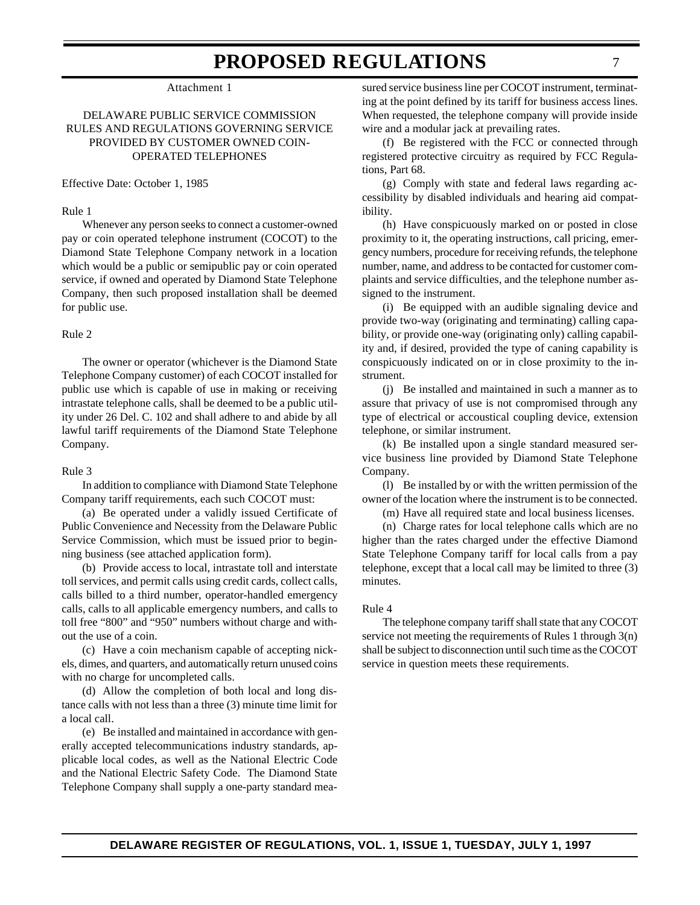#### Attachment 1

#### DELAWARE PUBLIC SERVICE COMMISSION RULES AND REGULATIONS GOVERNING SERVICE PROVIDED BY CUSTOMER OWNED COIN-OPERATED TELEPHONES

Effective Date: October 1, 1985

#### Rule 1

Whenever any person seeks to connect a customer-owned pay or coin operated telephone instrument (COCOT) to the Diamond State Telephone Company network in a location which would be a public or semipublic pay or coin operated service, if owned and operated by Diamond State Telephone Company, then such proposed installation shall be deemed for public use.

#### Rule 2

The owner or operator (whichever is the Diamond State Telephone Company customer) of each COCOT installed for public use which is capable of use in making or receiving intrastate telephone calls, shall be deemed to be a public utility under 26 Del. C. 102 and shall adhere to and abide by all lawful tariff requirements of the Diamond State Telephone Company.

#### Rule 3

In addition to compliance with Diamond State Telephone Company tariff requirements, each such COCOT must:

(a) Be operated under a validly issued Certificate of Public Convenience and Necessity from the Delaware Public Service Commission, which must be issued prior to beginning business (see attached application form).

(b) Provide access to local, intrastate toll and interstate toll services, and permit calls using credit cards, collect calls, calls billed to a third number, operator-handled emergency calls, calls to all applicable emergency numbers, and calls to toll free "800" and "950" numbers without charge and without the use of a coin.

(c) Have a coin mechanism capable of accepting nickels, dimes, and quarters, and automatically return unused coins with no charge for uncompleted calls.

(d) Allow the completion of both local and long distance calls with not less than a three (3) minute time limit for a local call.

(e) Be installed and maintained in accordance with generally accepted telecommunications industry standards, applicable local codes, as well as the National Electric Code and the National Electric Safety Code. The Diamond State Telephone Company shall supply a one-party standard mea-

sured service business line per COCOT instrument, terminating at the point defined by its tariff for business access lines. When requested, the telephone company will provide inside wire and a modular jack at prevailing rates.

(f) Be registered with the FCC or connected through registered protective circuitry as required by FCC Regulations, Part 68.

(g) Comply with state and federal laws regarding accessibility by disabled individuals and hearing aid compatibility.

(h) Have conspicuously marked on or posted in close proximity to it, the operating instructions, call pricing, emergency numbers, procedure for receiving refunds, the telephone number, name, and address to be contacted for customer complaints and service difficulties, and the telephone number assigned to the instrument.

(i) Be equipped with an audible signaling device and provide two-way (originating and terminating) calling capability, or provide one-way (originating only) calling capability and, if desired, provided the type of caning capability is conspicuously indicated on or in close proximity to the instrument.

(j) Be installed and maintained in such a manner as to assure that privacy of use is not compromised through any type of electrical or accoustical coupling device, extension telephone, or similar instrument.

(k) Be installed upon a single standard measured service business line provided by Diamond State Telephone Company.

(l) Be installed by or with the written permission of the owner of the location where the instrument is to be connected.

(m) Have all required state and local business licenses.

(n) Charge rates for local telephone calls which are no higher than the rates charged under the effective Diamond State Telephone Company tariff for local calls from a pay telephone, except that a local call may be limited to three (3) minutes.

#### Rule 4

The telephone company tariff shall state that any COCOT service not meeting the requirements of Rules 1 through 3(n) shall be subject to disconnection until such time as the COCOT service in question meets these requirements.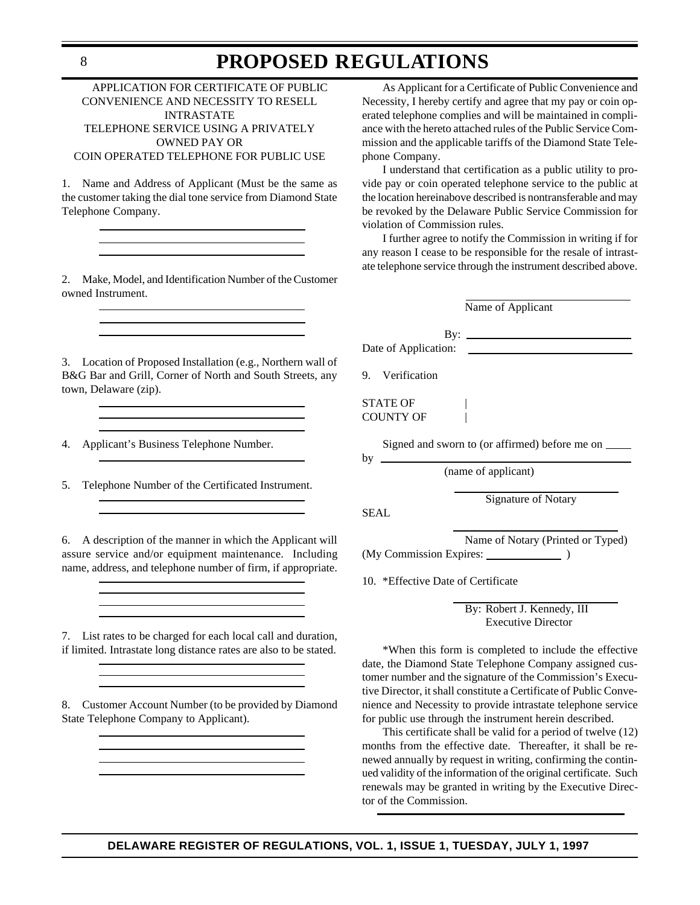#### APPLICATION FOR CERTIFICATE OF PUBLIC CONVENIENCE AND NECESSITY TO RESELL INTRASTATE TELEPHONE SERVICE USING A PRIVATELY OWNED PAY OR COIN OPERATED TELEPHONE FOR PUBLIC USE

1. Name and Address of Applicant (Must be the same as the customer taking the dial tone service from Diamond State Telephone Company.

2. Make, Model, and Identification Number of the Customer owned Instrument.

3. Location of Proposed Installation (e.g., Northern wall of B&G Bar and Grill, Corner of North and South Streets, any town, Delaware (zip).

4. Applicant's Business Telephone Number.

5. Telephone Number of the Certificated Instrument.

6. A description of the manner in which the Applicant will assure service and/or equipment maintenance. Including name, address, and telephone number of firm, if appropriate.

7. List rates to be charged for each local call and duration, if limited. Intrastate long distance rates are also to be stated.

8. Customer Account Number (to be provided by Diamond State Telephone Company to Applicant).

As Applicant for a Certificate of Public Convenience and Necessity, I hereby certify and agree that my pay or coin operated telephone complies and will be maintained in compliance with the hereto attached rules of the Public Service Commission and the applicable tariffs of the Diamond State Telephone Company.

I understand that certification as a public utility to provide pay or coin operated telephone service to the public at the location hereinabove described is nontransferable and may be revoked by the Delaware Public Service Commission for violation of Commission rules.

I further agree to notify the Commission in writing if for any reason I cease to be responsible for the resale of intrastate telephone service through the instrument described above.

| Name of Applicant                                    |  |  |
|------------------------------------------------------|--|--|
| By: $\qquad \qquad$<br>Date of Application:          |  |  |
| 9. Verification                                      |  |  |
| <b>STATE OF</b><br>COUNTY OF                         |  |  |
| Signed and sworn to (or affirmed) before me on _____ |  |  |
| (name of applicant)                                  |  |  |

Signature of Notary

SEAL

Name of Notary (Printed or Typed)

(My Commission Expires: )

10. \*Effective Date of Certificate

By: Robert J. Kennedy, III Executive Director

\*When this form is completed to include the effective date, the Diamond State Telephone Company assigned customer number and the signature of the Commission's Executive Director, it shall constitute a Certificate of Public Convenience and Necessity to provide intrastate telephone service for public use through the instrument herein described.

This certificate shall be valid for a period of twelve (12) months from the effective date. Thereafter, it shall be renewed annually by request in writing, confirming the continued validity of the information of the original certificate. Such renewals may be granted in writing by the Executive Director of the Commission.

#### **DELAWARE REGISTER OF REGULATIONS, VOL. 1, ISSUE 1, TUESDAY, JULY 1, 1997**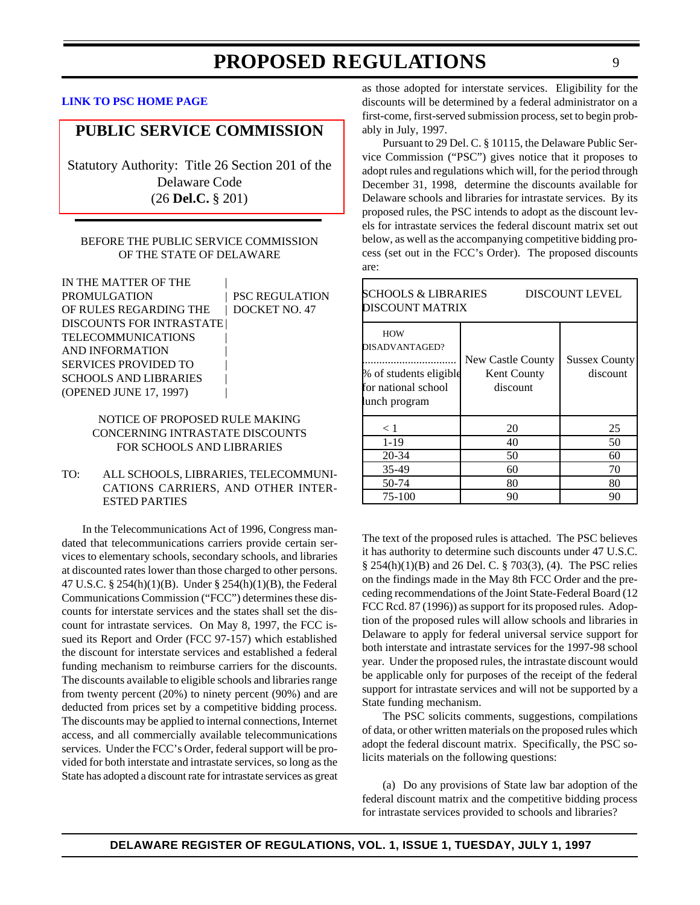#### <span id="page-8-0"></span>**[LINK TO PSC HOME PAGE](http://www.state.de.us/govern/agencies/pubservc/delpsc.htm)**

#### **[PUBLIC SERVICE COMMISSION](#page-3-0)**

Statutory Authority: Title 26 Section 201 of the Delaware Code (26 **Del.C.** § 201)

#### BEFORE THE PUBLIC SERVICE COMMISSION OF THE STATE OF DELAWARE

| IN THE MATTER OF THE             |                       |
|----------------------------------|-----------------------|
| PROMULGATION                     | <b>PSC REGULATION</b> |
| OF RULES REGARDING THE           | DOCKET NO. 47         |
| <b>DISCOUNTS FOR INTRASTATE </b> |                       |
| <b>TELECOMMUNICATIONS</b>        |                       |
| <b>AND INFORMATION</b>           |                       |
| <b>SERVICES PROVIDED TO</b>      |                       |
| <b>SCHOOLS AND LIBRARIES</b>     |                       |
| (OPENED JUNE 17, 1997)           |                       |

#### NOTICE OF PROPOSED RULE MAKING CONCERNING INTRASTATE DISCOUNTS FOR SCHOOLS AND LIBRARIES

#### TO: ALL SCHOOLS, LIBRARIES, TELECOMMUNI-CATIONS CARRIERS, AND OTHER INTER-ESTED PARTIES

In the Telecommunications Act of 1996, Congress mandated that telecommunications carriers provide certain services to elementary schools, secondary schools, and libraries at discounted rates lower than those charged to other persons. 47 U.S.C. § 254(h)(1)(B). Under § 254(h)(1)(B), the Federal Communications Commission ("FCC") determines these discounts for interstate services and the states shall set the discount for intrastate services. On May 8, 1997, the FCC issued its Report and Order (FCC 97-157) which established the discount for interstate services and established a federal funding mechanism to reimburse carriers for the discounts. The discounts available to eligible schools and libraries range from twenty percent (20%) to ninety percent (90%) and are deducted from prices set by a competitive bidding process. The discounts may be applied to internal connections, Internet access, and all commercially available telecommunications services. Under the FCC's Order, federal support will be provided for both interstate and intrastate services, so long as the State has adopted a discount rate for intrastate services as great

**DELAWARE REGISTER OF REGULATIONS, VOL. 1, ISSUE 1, TUESDAY, JULY 1, 1997**

as those adopted for interstate services. Eligibility for the discounts will be determined by a federal administrator on a first-come, first-served submission process, set to begin probably in July, 1997.

Pursuant to 29 Del. C. § 10115, the Delaware Public Service Commission ("PSC") gives notice that it proposes to adopt rules and regulations which will, for the period through December 31, 1998, determine the discounts available for Delaware schools and libraries for intrastate services. By its proposed rules, the PSC intends to adopt as the discount levels for intrastate services the federal discount matrix set out below, as well as the accompanying competitive bidding process (set out in the FCC's Order). The proposed discounts are:

| <b>SCHOOLS &amp; LIBRARIES</b><br><b>DISCOUNT LEVEL</b><br>DISCOUNT MATRIX                     |                                                     |                                  |  |
|------------------------------------------------------------------------------------------------|-----------------------------------------------------|----------------------------------|--|
| <b>HOW</b><br>DISADVANTAGED?<br>% of students eligible<br>for national school<br>lunch program | New Castle County<br><b>Kent County</b><br>discount | <b>Sussex County</b><br>discount |  |
| < 1                                                                                            | 20                                                  | 25                               |  |
| $1 - 19$                                                                                       | 40                                                  | 50                               |  |
| 20-34                                                                                          | 50                                                  | 60                               |  |
| 35-49                                                                                          | 60                                                  | 70                               |  |
| 50-74                                                                                          | 80                                                  | 80                               |  |
| 75-100                                                                                         | 90                                                  | 90                               |  |

The text of the proposed rules is attached. The PSC believes it has authority to determine such discounts under 47 U.S.C. § 254(h)(1)(B) and 26 Del. C. § 703(3), (4). The PSC relies on the findings made in the May 8th FCC Order and the preceding recommendations of the Joint State-Federal Board (12 FCC Rcd. 87 (1996)) as support for its proposed rules. Adoption of the proposed rules will allow schools and libraries in Delaware to apply for federal universal service support for both interstate and intrastate services for the 1997-98 school year. Under the proposed rules, the intrastate discount would be applicable only for purposes of the receipt of the federal support for intrastate services and will not be supported by a State funding mechanism.

The PSC solicits comments, suggestions, compilations of data, or other written materials on the proposed rules which adopt the federal discount matrix. Specifically, the PSC solicits materials on the following questions:

(a) Do any provisions of State law bar adoption of the federal discount matrix and the competitive bidding process for intrastate services provided to schools and libraries?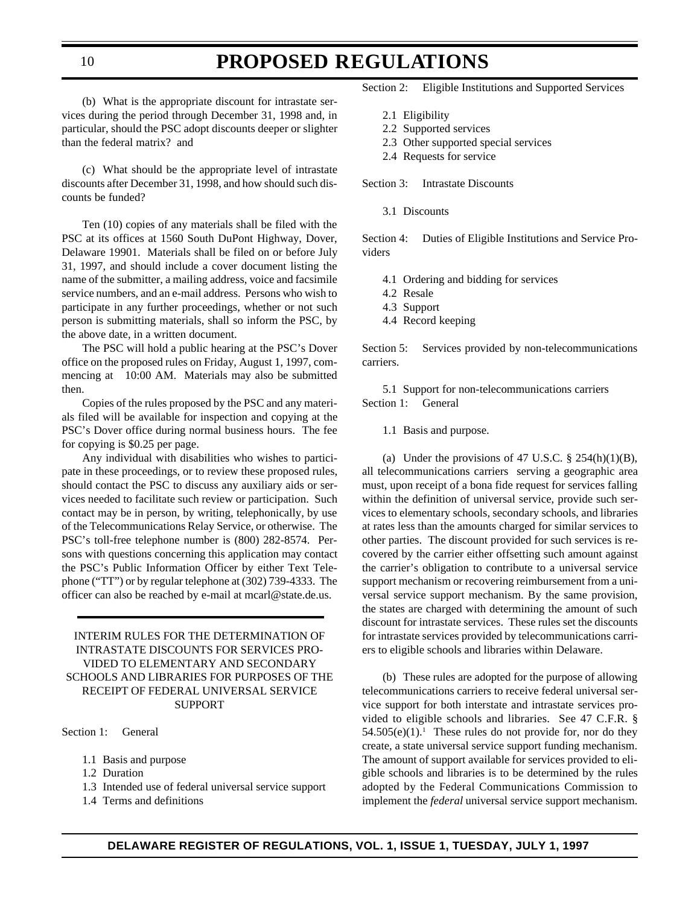(b) What is the appropriate discount for intrastate services during the period through December 31, 1998 and, in particular, should the PSC adopt discounts deeper or slighter than the federal matrix? and

(c) What should be the appropriate level of intrastate discounts after December 31, 1998, and how should such discounts be funded?

Ten (10) copies of any materials shall be filed with the PSC at its offices at 1560 South DuPont Highway, Dover, Delaware 19901. Materials shall be filed on or before July 31, 1997, and should include a cover document listing the name of the submitter, a mailing address, voice and facsimile service numbers, and an e-mail address. Persons who wish to participate in any further proceedings, whether or not such person is submitting materials, shall so inform the PSC, by the above date, in a written document.

The PSC will hold a public hearing at the PSC's Dover office on the proposed rules on Friday, August 1, 1997, commencing at 10:00 AM. Materials may also be submitted then.

Copies of the rules proposed by the PSC and any materials filed will be available for inspection and copying at the PSC's Dover office during normal business hours. The fee for copying is \$0.25 per page.

Any individual with disabilities who wishes to participate in these proceedings, or to review these proposed rules, should contact the PSC to discuss any auxiliary aids or services needed to facilitate such review or participation. Such contact may be in person, by writing, telephonically, by use of the Telecommunications Relay Service, or otherwise. The PSC's toll-free telephone number is (800) 282-8574. Persons with questions concerning this application may contact the PSC's Public Information Officer by either Text Telephone ("TT") or by regular telephone at (302) 739-4333. The officer can also be reached by e-mail at mcarl@state.de.us.

#### INTERIM RULES FOR THE DETERMINATION OF INTRASTATE DISCOUNTS FOR SERVICES PRO-VIDED TO ELEMENTARY AND SECONDARY SCHOOLS AND LIBRARIES FOR PURPOSES OF THE RECEIPT OF FEDERAL UNIVERSAL SERVICE SUPPORT

Section 1: General

- 1.1 Basis and purpose
- 1.2 Duration
- 1.3 Intended use of federal universal service support
- 1.4 Terms and definitions

Section 2: Eligible Institutions and Supported Services

- 2.1 Eligibility
- 2.2 Supported services
- 2.3 Other supported special services
- 2.4 Requests for service

Section 3: Intrastate Discounts

3.1 Discounts

Section 4: Duties of Eligible Institutions and Service Providers

- 4.1 Ordering and bidding for services
- 4.2 Resale
- 4.3 Support
- 4.4 Record keeping

Section 5: Services provided by non-telecommunications carriers.

5.1 Support for non-telecommunications carriers Section 1: General

1.1 Basis and purpose.

(a) Under the provisions of 47 U.S.C.  $\S$  254(h)(1)(B), all telecommunications carriers serving a geographic area must, upon receipt of a bona fide request for services falling within the definition of universal service, provide such services to elementary schools, secondary schools, and libraries at rates less than the amounts charged for similar services to other parties. The discount provided for such services is recovered by the carrier either offsetting such amount against the carrier's obligation to contribute to a universal service support mechanism or recovering reimbursement from a universal service support mechanism. By the same provision, the states are charged with determining the amount of such discount for intrastate services. These rules set the discounts for intrastate services provided by telecommunications carriers to eligible schools and libraries within Delaware.

(b) These rules are adopted for the purpose of allowing telecommunications carriers to receive federal universal service support for both interstate and intrastate services provided to eligible schools and libraries. See 47 C.F.R. §  $54.505(e)(1)$ .<sup>1</sup> These rules do not provide for, nor do they create, a state universal service support funding mechanism. The amount of support available for services provided to eligible schools and libraries is to be determined by the rules adopted by the Federal Communications Commission to implement the *federal* universal service support mechanism.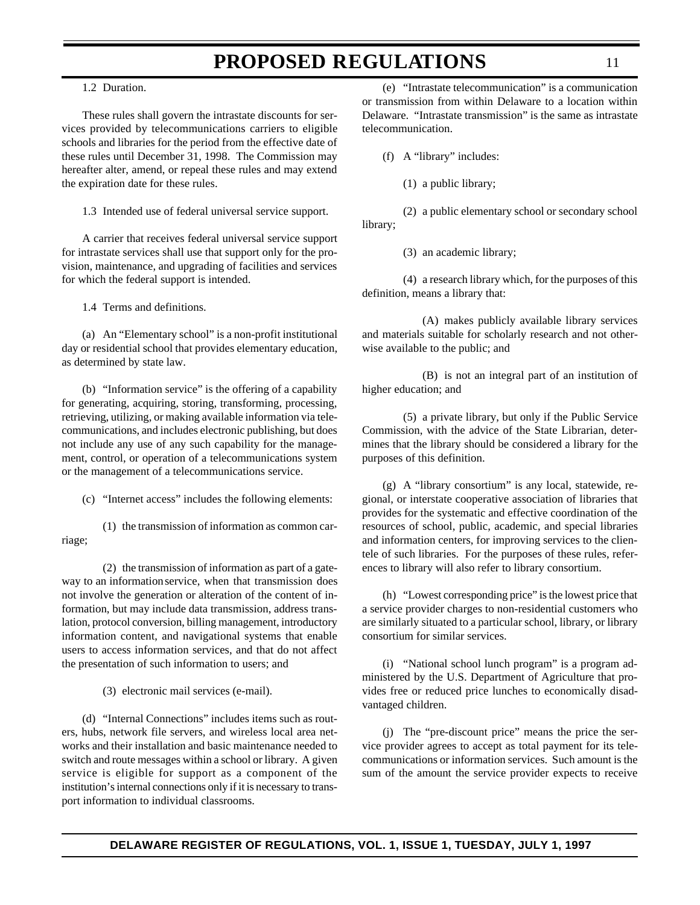#### 1.2 Duration.

These rules shall govern the intrastate discounts for services provided by telecommunications carriers to eligible schools and libraries for the period from the effective date of these rules until December 31, 1998. The Commission may hereafter alter, amend, or repeal these rules and may extend the expiration date for these rules.

1.3 Intended use of federal universal service support.

A carrier that receives federal universal service support for intrastate services shall use that support only for the provision, maintenance, and upgrading of facilities and services for which the federal support is intended.

1.4 Terms and definitions.

(a) An "Elementary school" is a non-profit institutional day or residential school that provides elementary education, as determined by state law.

(b) "Information service" is the offering of a capability for generating, acquiring, storing, transforming, processing, retrieving, utilizing, or making available information via telecommunications, and includes electronic publishing, but does not include any use of any such capability for the management, control, or operation of a telecommunications system or the management of a telecommunications service.

(c) "Internet access" includes the following elements:

(1) the transmission of information as common carriage;

(2) the transmission of information as part of a gateway to an information service, when that transmission does not involve the generation or alteration of the content of information, but may include data transmission, address translation, protocol conversion, billing management, introductory information content, and navigational systems that enable users to access information services, and that do not affect the presentation of such information to users; and

(3) electronic mail services (e-mail).

(d) "Internal Connections" includes items such as routers, hubs, network file servers, and wireless local area networks and their installation and basic maintenance needed to switch and route messages within a school or library. A given service is eligible for support as a component of the institution's internal connections only if it is necessary to transport information to individual classrooms.

(e) "Intrastate telecommunication" is a communication or transmission from within Delaware to a location within Delaware. "Intrastate transmission" is the same as intrastate telecommunication.

(f) A "library" includes:

(1) a public library;

(2) a public elementary school or secondary school library;

(3) an academic library;

(4) a research library which, for the purposes of this definition, means a library that:

(A) makes publicly available library services and materials suitable for scholarly research and not otherwise available to the public; and

(B) is not an integral part of an institution of higher education; and

(5) a private library, but only if the Public Service Commission, with the advice of the State Librarian, determines that the library should be considered a library for the purposes of this definition.

(g) A "library consortium" is any local, statewide, regional, or interstate cooperative association of libraries that provides for the systematic and effective coordination of the resources of school, public, academic, and special libraries and information centers, for improving services to the clientele of such libraries. For the purposes of these rules, references to library will also refer to library consortium.

(h) "Lowest corresponding price" is the lowest price that a service provider charges to non-residential customers who are similarly situated to a particular school, library, or library consortium for similar services.

(i) "National school lunch program" is a program administered by the U.S. Department of Agriculture that provides free or reduced price lunches to economically disadvantaged children.

(j) The "pre-discount price" means the price the service provider agrees to accept as total payment for its telecommunications or information services. Such amount is the sum of the amount the service provider expects to receive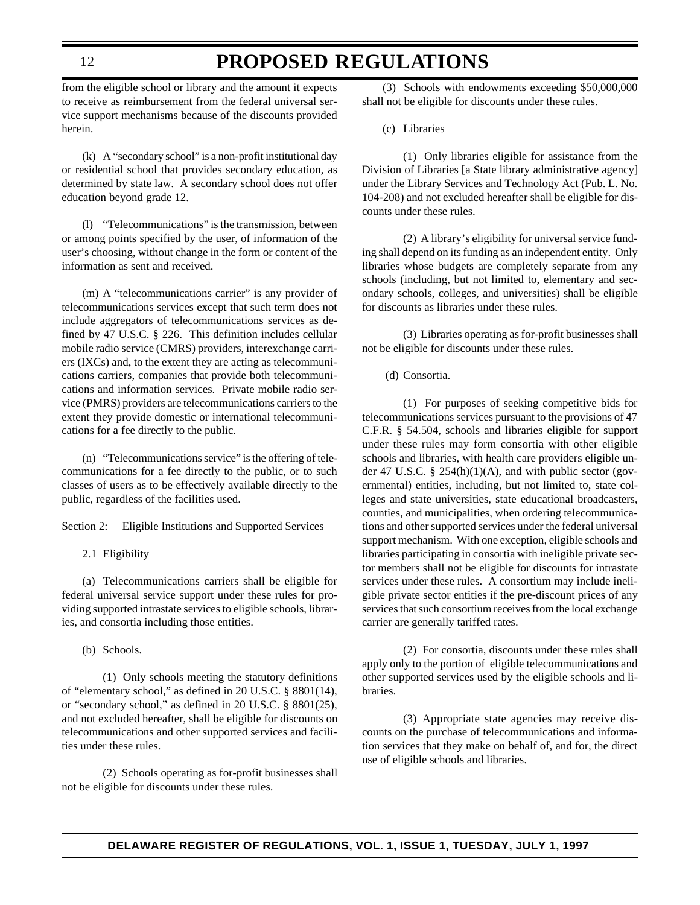### **PROPOSED REGULATIONS**

from the eligible school or library and the amount it expects to receive as reimbursement from the federal universal service support mechanisms because of the discounts provided herein.

(k) A "secondary school" is a non-profit institutional day or residential school that provides secondary education, as determined by state law. A secondary school does not offer education beyond grade 12.

(l) "Telecommunications" is the transmission, between or among points specified by the user, of information of the user's choosing, without change in the form or content of the information as sent and received.

(m) A "telecommunications carrier" is any provider of telecommunications services except that such term does not include aggregators of telecommunications services as defined by 47 U.S.C. § 226. This definition includes cellular mobile radio service (CMRS) providers, interexchange carriers (IXCs) and, to the extent they are acting as telecommunications carriers, companies that provide both telecommunications and information services. Private mobile radio service (PMRS) providers are telecommunications carriers to the extent they provide domestic or international telecommunications for a fee directly to the public.

(n) "Telecommunications service" is the offering of telecommunications for a fee directly to the public, or to such classes of users as to be effectively available directly to the public, regardless of the facilities used.

Section 2: Eligible Institutions and Supported Services

2.1 Eligibility

(a) Telecommunications carriers shall be eligible for federal universal service support under these rules for providing supported intrastate services to eligible schools, libraries, and consortia including those entities.

(b) Schools.

(1) Only schools meeting the statutory definitions of "elementary school," as defined in 20 U.S.C. § 8801(14), or "secondary school," as defined in 20 U.S.C. § 8801(25), and not excluded hereafter, shall be eligible for discounts on telecommunications and other supported services and facilities under these rules.

(2) Schools operating as for-profit businesses shall not be eligible for discounts under these rules.

(3) Schools with endowments exceeding \$50,000,000 shall not be eligible for discounts under these rules.

(c) Libraries

(1) Only libraries eligible for assistance from the Division of Libraries [a State library administrative agency] under the Library Services and Technology Act (Pub. L. No. 104-208) and not excluded hereafter shall be eligible for discounts under these rules.

(2) A library's eligibility for universal service funding shall depend on its funding as an independent entity. Only libraries whose budgets are completely separate from any schools (including, but not limited to, elementary and secondary schools, colleges, and universities) shall be eligible for discounts as libraries under these rules.

(3) Libraries operating as for-profit businesses shall not be eligible for discounts under these rules.

(d) Consortia.

(1) For purposes of seeking competitive bids for telecommunications services pursuant to the provisions of 47 C.F.R. § 54.504, schools and libraries eligible for support under these rules may form consortia with other eligible schools and libraries, with health care providers eligible under 47 U.S.C. § 254(h)(1)(A), and with public sector (governmental) entities, including, but not limited to, state colleges and state universities, state educational broadcasters, counties, and municipalities, when ordering telecommunications and other supported services under the federal universal support mechanism. With one exception, eligible schools and libraries participating in consortia with ineligible private sector members shall not be eligible for discounts for intrastate services under these rules. A consortium may include ineligible private sector entities if the pre-discount prices of any services that such consortium receives from the local exchange carrier are generally tariffed rates.

(2) For consortia, discounts under these rules shall apply only to the portion of eligible telecommunications and other supported services used by the eligible schools and libraries.

(3) Appropriate state agencies may receive discounts on the purchase of telecommunications and information services that they make on behalf of, and for, the direct use of eligible schools and libraries.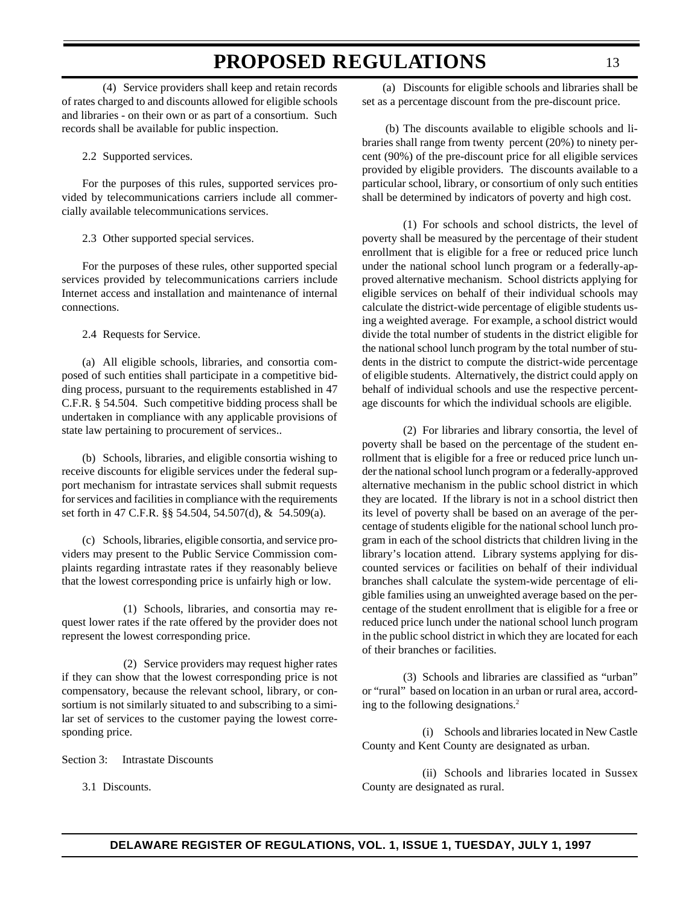(4) Service providers shall keep and retain records of rates charged to and discounts allowed for eligible schools and libraries - on their own or as part of a consortium. Such records shall be available for public inspection.

2.2 Supported services.

For the purposes of this rules, supported services provided by telecommunications carriers include all commercially available telecommunications services.

2.3 Other supported special services.

For the purposes of these rules, other supported special services provided by telecommunications carriers include Internet access and installation and maintenance of internal connections.

2.4 Requests for Service.

(a) All eligible schools, libraries, and consortia composed of such entities shall participate in a competitive bidding process, pursuant to the requirements established in 47 C.F.R. § 54.504. Such competitive bidding process shall be undertaken in compliance with any applicable provisions of state law pertaining to procurement of services..

(b) Schools, libraries, and eligible consortia wishing to receive discounts for eligible services under the federal support mechanism for intrastate services shall submit requests for services and facilities in compliance with the requirements set forth in 47 C.F.R. §§ 54.504, 54.507(d), & 54.509(a).

(c) Schools, libraries, eligible consortia, and service providers may present to the Public Service Commission complaints regarding intrastate rates if they reasonably believe that the lowest corresponding price is unfairly high or low.

(1) Schools, libraries, and consortia may request lower rates if the rate offered by the provider does not represent the lowest corresponding price.

(2) Service providers may request higher rates if they can show that the lowest corresponding price is not compensatory, because the relevant school, library, or consortium is not similarly situated to and subscribing to a similar set of services to the customer paying the lowest corresponding price.

Section 3: Intrastate Discounts

3.1 Discounts.

(a) Discounts for eligible schools and libraries shall be set as a percentage discount from the pre-discount price.

 (b) The discounts available to eligible schools and libraries shall range from twenty percent (20%) to ninety percent (90%) of the pre-discount price for all eligible services provided by eligible providers. The discounts available to a particular school, library, or consortium of only such entities shall be determined by indicators of poverty and high cost.

(1) For schools and school districts, the level of poverty shall be measured by the percentage of their student enrollment that is eligible for a free or reduced price lunch under the national school lunch program or a federally-approved alternative mechanism. School districts applying for eligible services on behalf of their individual schools may calculate the district-wide percentage of eligible students using a weighted average. For example, a school district would divide the total number of students in the district eligible for the national school lunch program by the total number of students in the district to compute the district-wide percentage of eligible students. Alternatively, the district could apply on behalf of individual schools and use the respective percentage discounts for which the individual schools are eligible.

(2) For libraries and library consortia, the level of poverty shall be based on the percentage of the student enrollment that is eligible for a free or reduced price lunch under the national school lunch program or a federally-approved alternative mechanism in the public school district in which they are located. If the library is not in a school district then its level of poverty shall be based on an average of the percentage of students eligible for the national school lunch program in each of the school districts that children living in the library's location attend. Library systems applying for discounted services or facilities on behalf of their individual branches shall calculate the system-wide percentage of eligible families using an unweighted average based on the percentage of the student enrollment that is eligible for a free or reduced price lunch under the national school lunch program in the public school district in which they are located for each of their branches or facilities.

(3) Schools and libraries are classified as "urban" or "rural" based on location in an urban or rural area, according to the following designations.2

(i) Schools and libraries located in New Castle County and Kent County are designated as urban.

(ii) Schools and libraries located in Sussex County are designated as rural.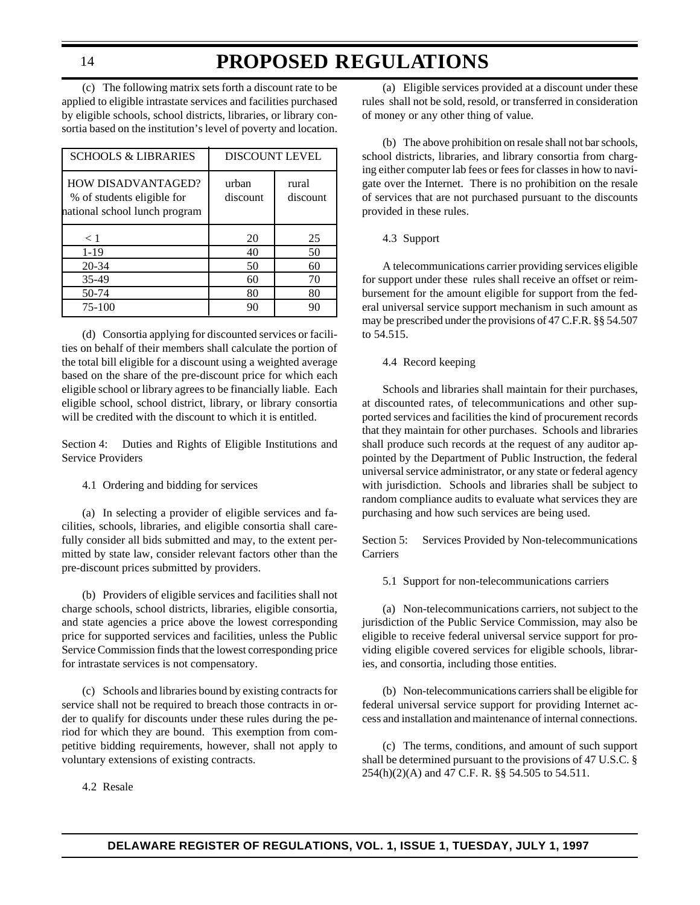### **PROPOSED REGULATIONS**

(c) The following matrix sets forth a discount rate to be applied to eligible intrastate services and facilities purchased by eligible schools, school districts, libraries, or library consortia based on the institution's level of poverty and location.

| <b>SCHOOLS &amp; LIBRARIES</b>                                                           | <b>DISCOUNT LEVEL</b> |                   |
|------------------------------------------------------------------------------------------|-----------------------|-------------------|
| <b>HOW DISADVANTAGED?</b><br>% of students eligible for<br>national school lunch program | urban<br>discount     | rural<br>discount |
| < 1                                                                                      | 20                    | 25                |
| $1-19$                                                                                   | 40                    | 50                |
| $20 - 34$                                                                                | 50                    | 60                |
| 35-49                                                                                    | 60                    | 70                |
| 50-74                                                                                    | 80                    | 80                |
| 75-100                                                                                   | 90                    | 90                |

(d) Consortia applying for discounted services or facilities on behalf of their members shall calculate the portion of the total bill eligible for a discount using a weighted average based on the share of the pre-discount price for which each eligible school or library agrees to be financially liable. Each eligible school, school district, library, or library consortia will be credited with the discount to which it is entitled.

Section 4: Duties and Rights of Eligible Institutions and Service Providers

4.1 Ordering and bidding for services

(a) In selecting a provider of eligible services and facilities, schools, libraries, and eligible consortia shall carefully consider all bids submitted and may, to the extent permitted by state law, consider relevant factors other than the pre-discount prices submitted by providers.

(b) Providers of eligible services and facilities shall not charge schools, school districts, libraries, eligible consortia, and state agencies a price above the lowest corresponding price for supported services and facilities, unless the Public Service Commission finds that the lowest corresponding price for intrastate services is not compensatory.

(c) Schools and libraries bound by existing contracts for service shall not be required to breach those contracts in order to qualify for discounts under these rules during the period for which they are bound. This exemption from competitive bidding requirements, however, shall not apply to voluntary extensions of existing contracts.

4.2 Resale

(a) Eligible services provided at a discount under these rules shall not be sold, resold, or transferred in consideration of money or any other thing of value.

(b) The above prohibition on resale shall not bar schools, school districts, libraries, and library consortia from charging either computer lab fees or fees for classes in how to navigate over the Internet. There is no prohibition on the resale of services that are not purchased pursuant to the discounts provided in these rules.

#### 4.3 Support

A telecommunications carrier providing services eligible for support under these rules shall receive an offset or reimbursement for the amount eligible for support from the federal universal service support mechanism in such amount as may be prescribed under the provisions of 47 C.F.R. §§ 54.507 to 54.515.

#### 4.4 Record keeping

Schools and libraries shall maintain for their purchases, at discounted rates, of telecommunications and other supported services and facilities the kind of procurement records that they maintain for other purchases. Schools and libraries shall produce such records at the request of any auditor appointed by the Department of Public Instruction, the federal universal service administrator, or any state or federal agency with jurisdiction. Schools and libraries shall be subject to random compliance audits to evaluate what services they are purchasing and how such services are being used.

Section 5: Services Provided by Non-telecommunications Carriers

5.1 Support for non-telecommunications carriers

(a) Non-telecommunications carriers, not subject to the jurisdiction of the Public Service Commission, may also be eligible to receive federal universal service support for providing eligible covered services for eligible schools, libraries, and consortia, including those entities.

(b) Non-telecommunications carriers shall be eligible for federal universal service support for providing Internet access and installation and maintenance of internal connections.

(c) The terms, conditions, and amount of such support shall be determined pursuant to the provisions of 47 U.S.C. § 254(h)(2)(A) and 47 C.F. R. §§ 54.505 to 54.511.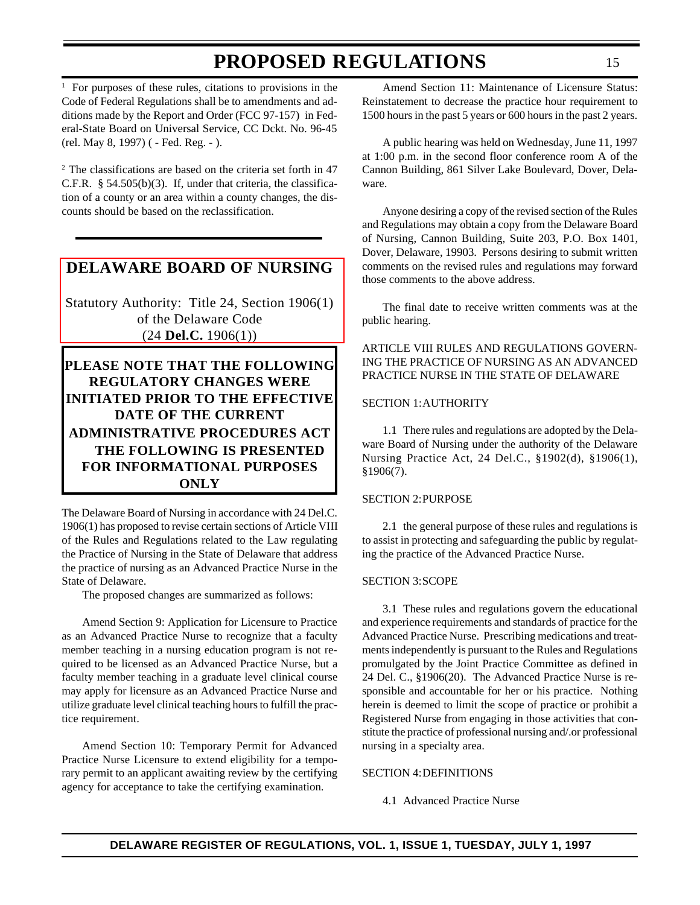<span id="page-14-0"></span><sup>1</sup> For purposes of these rules, citations to provisions in the Code of Federal Regulations shall be to amendments and additions made by the Report and Order (FCC 97-157) in Federal-State Board on Universal Service, CC Dckt. No. 96-45 (rel. May 8, 1997) ( - Fed. Reg. - ).

2 The classifications are based on the criteria set forth in 47 C.F.R. § 54.505(b)(3). If, under that criteria, the classification of a county or an area within a county changes, the discounts should be based on the reclassification.

#### **[DELAWARE BOARD OF NURSING](#page-3-0)**

Statutory Authority: Title 24, Section 1906(1) of the Delaware Code (24 **Del.C.** 1906(1))

**PLEASE NOTE THAT THE FOLLOWING REGULATORY CHANGES WERE INITIATED PRIOR TO THE EFFECTIVE DATE OF THE CURRENT ADMINISTRATIVE PROCEDURES ACT THE FOLLOWING IS PRESENTED FOR INFORMATIONAL PURPOSES ONLY**

The Delaware Board of Nursing in accordance with 24 Del.C. 1906(1) has proposed to revise certain sections of Article VIII of the Rules and Regulations related to the Law regulating the Practice of Nursing in the State of Delaware that address the practice of nursing as an Advanced Practice Nurse in the State of Delaware.

The proposed changes are summarized as follows:

Amend Section 9: Application for Licensure to Practice as an Advanced Practice Nurse to recognize that a faculty member teaching in a nursing education program is not required to be licensed as an Advanced Practice Nurse, but a faculty member teaching in a graduate level clinical course may apply for licensure as an Advanced Practice Nurse and utilize graduate level clinical teaching hours to fulfill the practice requirement.

Amend Section 10: Temporary Permit for Advanced Practice Nurse Licensure to extend eligibility for a temporary permit to an applicant awaiting review by the certifying agency for acceptance to take the certifying examination.

Amend Section 11: Maintenance of Licensure Status: Reinstatement to decrease the practice hour requirement to 1500 hours in the past 5 years or 600 hours in the past 2 years.

A public hearing was held on Wednesday, June 11, 1997 at 1:00 p.m. in the second floor conference room A of the Cannon Building, 861 Silver Lake Boulevard, Dover, Delaware.

Anyone desiring a copy of the revised section of the Rules and Regulations may obtain a copy from the Delaware Board of Nursing, Cannon Building, Suite 203, P.O. Box 1401, Dover, Delaware, 19903. Persons desiring to submit written comments on the revised rules and regulations may forward those comments to the above address.

The final date to receive written comments was at the public hearing.

ARTICLE VIII RULES AND REGULATIONS GOVERN-ING THE PRACTICE OF NURSING AS AN ADVANCED PRACTICE NURSE IN THE STATE OF DELAWARE

#### SECTION 1:AUTHORITY

1.1 There rules and regulations are adopted by the Delaware Board of Nursing under the authority of the Delaware Nursing Practice Act, 24 Del.C., §1902(d), §1906(1), §1906(7).

#### SECTION 2:PURPOSE

2.1 the general purpose of these rules and regulations is to assist in protecting and safeguarding the public by regulating the practice of the Advanced Practice Nurse.

#### SECTION 3:SCOPE

3.1 These rules and regulations govern the educational and experience requirements and standards of practice for the Advanced Practice Nurse. Prescribing medications and treatments independently is pursuant to the Rules and Regulations promulgated by the Joint Practice Committee as defined in 24 Del. C., §1906(20). The Advanced Practice Nurse is responsible and accountable for her or his practice. Nothing herein is deemed to limit the scope of practice or prohibit a Registered Nurse from engaging in those activities that constitute the practice of professional nursing and/.or professional nursing in a specialty area.

#### SECTION 4:DEFINITIONS

4.1 Advanced Practice Nurse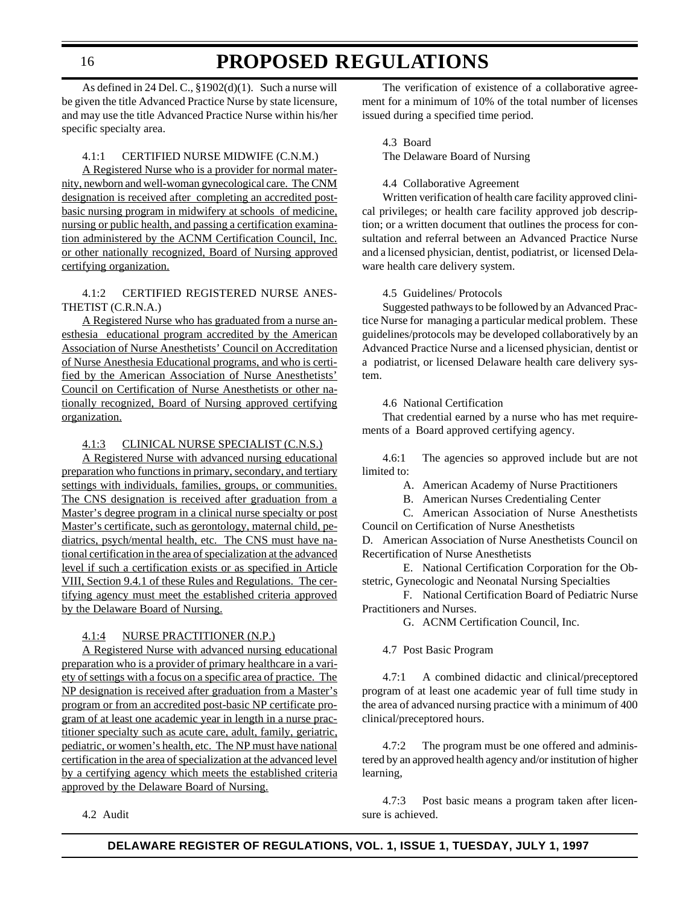### **PROPOSED REGULATIONS**

As defined in 24 Del. C., §1902(d)(1). Such a nurse will be given the title Advanced Practice Nurse by state licensure, and may use the title Advanced Practice Nurse within his/her specific specialty area.

#### 4.1:1 CERTIFIED NURSE MIDWIFE (C.N.M.)

A Registered Nurse who is a provider for normal maternity, newborn and well-woman gynecological care. The CNM designation is received after completing an accredited postbasic nursing program in midwifery at schools of medicine, nursing or public health, and passing a certification examination administered by the ACNM Certification Council, Inc. or other nationally recognized, Board of Nursing approved certifying organization.

4.1:2 CERTIFIED REGISTERED NURSE ANES-THETIST (C.R.N.A.)

A Registered Nurse who has graduated from a nurse anesthesia educational program accredited by the American Association of Nurse Anesthetists' Council on Accreditation of Nurse Anesthesia Educational programs, and who is certified by the American Association of Nurse Anesthetists' Council on Certification of Nurse Anesthetists or other nationally recognized, Board of Nursing approved certifying organization.

4.1:3 CLINICAL NURSE SPECIALIST (C.N.S.)

A Registered Nurse with advanced nursing educational preparation who functions in primary, secondary, and tertiary settings with individuals, families, groups, or communities. The CNS designation is received after graduation from a Master's degree program in a clinical nurse specialty or post Master's certificate, such as gerontology, maternal child, pediatrics, psych/mental health, etc. The CNS must have national certification in the area of specialization at the advanced level if such a certification exists or as specified in Article VIII, Section 9.4.1 of these Rules and Regulations. The certifying agency must meet the established criteria approved by the Delaware Board of Nursing.

#### 4.1:4 NURSE PRACTITIONER (N.P.)

A Registered Nurse with advanced nursing educational preparation who is a provider of primary healthcare in a variety of settings with a focus on a specific area of practice. The NP designation is received after graduation from a Master's program or from an accredited post-basic NP certificate program of at least one academic year in length in a nurse practitioner specialty such as acute care, adult, family, geriatric, pediatric, or women's health, etc. The NP must have national certification in the area of specialization at the advanced level by a certifying agency which meets the established criteria approved by the Delaware Board of Nursing.

4.2 Audit

The verification of existence of a collaborative agreement for a minimum of 10% of the total number of licenses issued during a specified time period.

4.3 Board

The Delaware Board of Nursing

#### 4.4 Collaborative Agreement

Written verification of health care facility approved clinical privileges; or health care facility approved job description; or a written document that outlines the process for consultation and referral between an Advanced Practice Nurse and a licensed physician, dentist, podiatrist, or licensed Delaware health care delivery system.

#### 4.5 Guidelines/ Protocols

Suggested pathways to be followed by an Advanced Practice Nurse for managing a particular medical problem. These guidelines/protocols may be developed collaboratively by an Advanced Practice Nurse and a licensed physician, dentist or a podiatrist, or licensed Delaware health care delivery system.

4.6 National Certification

That credential earned by a nurse who has met requirements of a Board approved certifying agency.

4.6:1 The agencies so approved include but are not limited to:

A. American Academy of Nurse Practitioners

B. American Nurses Credentialing Center

C. American Association of Nurse Anesthetists Council on Certification of Nurse Anesthetists

D. American Association of Nurse Anesthetists Council on Recertification of Nurse Anesthetists

E. National Certification Corporation for the Obstetric, Gynecologic and Neonatal Nursing Specialties

F. National Certification Board of Pediatric Nurse Practitioners and Nurses.

G. ACNM Certification Council, Inc.

4.7 Post Basic Program

4.7:1 A combined didactic and clinical/preceptored program of at least one academic year of full time study in the area of advanced nursing practice with a minimum of 400 clinical/preceptored hours.

4.7:2 The program must be one offered and administered by an approved health agency and/or institution of higher learning,

4.7:3 Post basic means a program taken after licensure is achieved.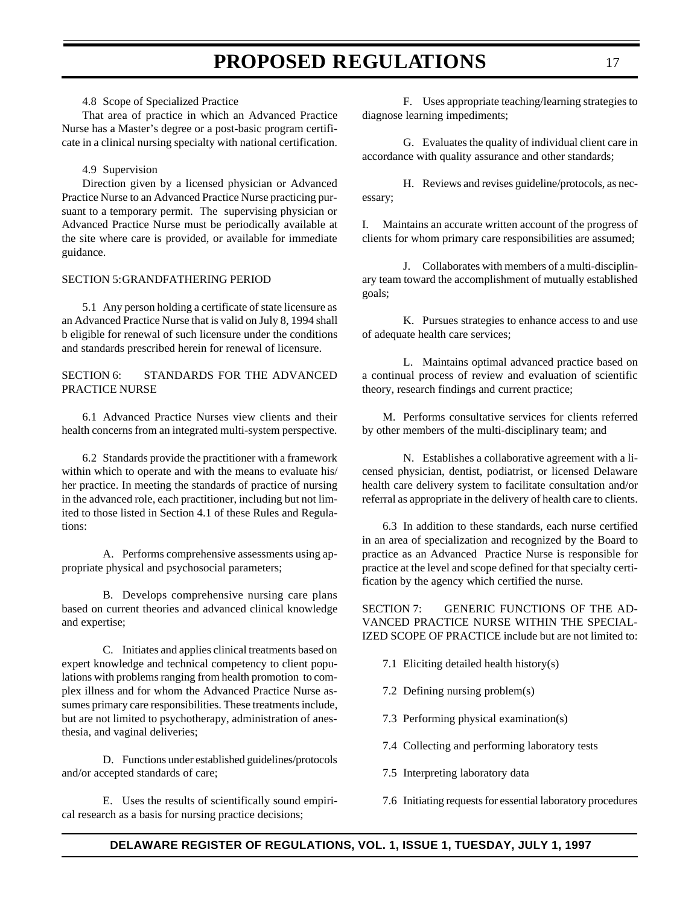4.8 Scope of Specialized Practice

That area of practice in which an Advanced Practice Nurse has a Master's degree or a post-basic program certificate in a clinical nursing specialty with national certification.

4.9 Supervision

Direction given by a licensed physician or Advanced Practice Nurse to an Advanced Practice Nurse practicing pursuant to a temporary permit. The supervising physician or Advanced Practice Nurse must be periodically available at the site where care is provided, or available for immediate guidance.

#### SECTION 5:GRANDFATHERING PERIOD

5.1 Any person holding a certificate of state licensure as an Advanced Practice Nurse that is valid on July 8, 1994 shall b eligible for renewal of such licensure under the conditions and standards prescribed herein for renewal of licensure.

SECTION 6: STANDARDS FOR THE ADVANCED PRACTICE NURSE

6.1 Advanced Practice Nurses view clients and their health concerns from an integrated multi-system perspective.

6.2 Standards provide the practitioner with a framework within which to operate and with the means to evaluate his/ her practice. In meeting the standards of practice of nursing in the advanced role, each practitioner, including but not limited to those listed in Section 4.1 of these Rules and Regulations:

A. Performs comprehensive assessments using appropriate physical and psychosocial parameters;

B. Develops comprehensive nursing care plans based on current theories and advanced clinical knowledge and expertise;

C. Initiates and applies clinical treatments based on expert knowledge and technical competency to client populations with problems ranging from health promotion to complex illness and for whom the Advanced Practice Nurse assumes primary care responsibilities. These treatments include, but are not limited to psychotherapy, administration of anesthesia, and vaginal deliveries;

D. Functions under established guidelines/protocols and/or accepted standards of care;

E. Uses the results of scientifically sound empirical research as a basis for nursing practice decisions;

F. Uses appropriate teaching/learning strategies to diagnose learning impediments;

G. Evaluates the quality of individual client care in accordance with quality assurance and other standards;

H. Reviews and revises guideline/protocols, as necessary;

I. Maintains an accurate written account of the progress of clients for whom primary care responsibilities are assumed;

J. Collaborates with members of a multi-disciplinary team toward the accomplishment of mutually established goals;

K. Pursues strategies to enhance access to and use of adequate health care services;

L. Maintains optimal advanced practice based on a continual process of review and evaluation of scientific theory, research findings and current practice;

M. Performs consultative services for clients referred by other members of the multi-disciplinary team; and

N. Establishes a collaborative agreement with a licensed physician, dentist, podiatrist, or licensed Delaware health care delivery system to facilitate consultation and/or referral as appropriate in the delivery of health care to clients.

6.3 In addition to these standards, each nurse certified in an area of specialization and recognized by the Board to practice as an Advanced Practice Nurse is responsible for practice at the level and scope defined for that specialty certification by the agency which certified the nurse.

SECTION 7: GENERIC FUNCTIONS OF THE AD-VANCED PRACTICE NURSE WITHIN THE SPECIAL-IZED SCOPE OF PRACTICE include but are not limited to:

7.1 Eliciting detailed health history(s)

7.2 Defining nursing problem(s)

7.3 Performing physical examination(s)

7.4 Collecting and performing laboratory tests

7.5 Interpreting laboratory data

7.6 Initiating requests for essential laboratory procedures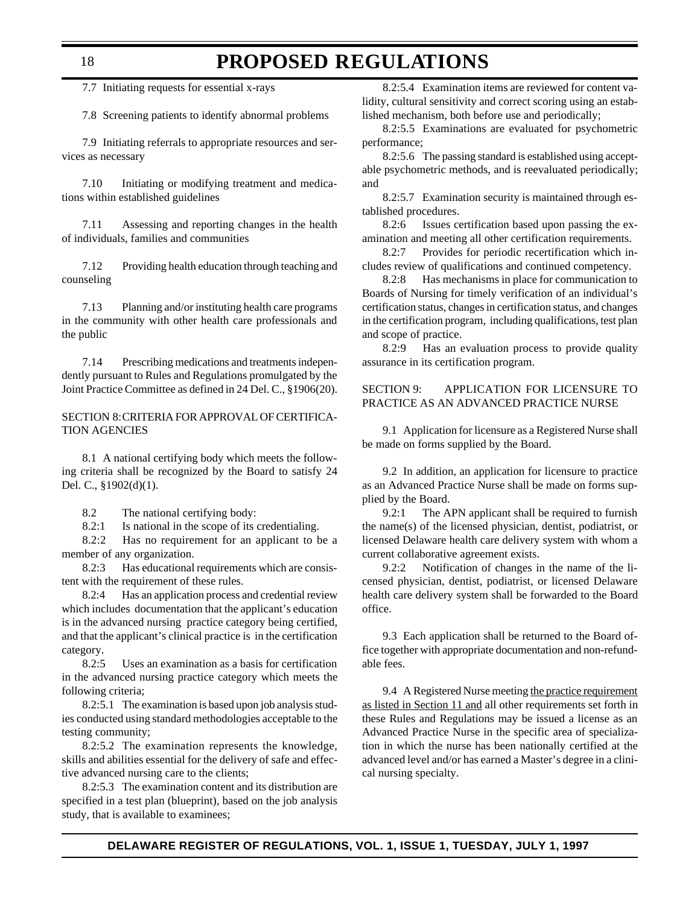### **PROPOSED REGULATIONS**

7.7 Initiating requests for essential x-rays

7.8 Screening patients to identify abnormal problems

7.9 Initiating referrals to appropriate resources and services as necessary

7.10 Initiating or modifying treatment and medications within established guidelines

7.11 Assessing and reporting changes in the health of individuals, families and communities

7.12 Providing health education through teaching and counseling

7.13 Planning and/or instituting health care programs in the community with other health care professionals and the public

7.14 Prescribing medications and treatments independently pursuant to Rules and Regulations promulgated by the Joint Practice Committee as defined in 24 Del. C., §1906(20).

SECTION 8:CRITERIA FOR APPROVAL OF CERTIFICA-TION AGENCIES

8.1 A national certifying body which meets the following criteria shall be recognized by the Board to satisfy 24 Del. C., §1902(d)(1).

8.2 The national certifying body:

8.2:1 Is national in the scope of its credentialing.

8.2:2 Has no requirement for an applicant to be a member of any organization.

8.2:3 Has educational requirements which are consistent with the requirement of these rules.

8.2:4 Has an application process and credential review which includes documentation that the applicant's education is in the advanced nursing practice category being certified, and that the applicant's clinical practice is in the certification category.

8.2:5 Uses an examination as a basis for certification in the advanced nursing practice category which meets the following criteria;

8.2:5.1 The examination is based upon job analysis studies conducted using standard methodologies acceptable to the testing community;

8.2:5.2 The examination represents the knowledge, skills and abilities essential for the delivery of safe and effective advanced nursing care to the clients;

8.2:5.3 The examination content and its distribution are specified in a test plan (blueprint), based on the job analysis study, that is available to examinees;

8.2:5.4 Examination items are reviewed for content validity, cultural sensitivity and correct scoring using an established mechanism, both before use and periodically;

8.2:5.5 Examinations are evaluated for psychometric performance;

8.2:5.6 The passing standard is established using acceptable psychometric methods, and is reevaluated periodically; and

8.2:5.7 Examination security is maintained through established procedures.

8.2:6 Issues certification based upon passing the examination and meeting all other certification requirements.

8.2:7 Provides for periodic recertification which includes review of qualifications and continued competency.

8.2:8 Has mechanisms in place for communication to Boards of Nursing for timely verification of an individual's certification status, changes in certification status, and changes in the certification program, including qualifications, test plan and scope of practice.

8.2:9 Has an evaluation process to provide quality assurance in its certification program.

SECTION 9: APPLICATION FOR LICENSURE TO PRACTICE AS AN ADVANCED PRACTICE NURSE

9.1 Application for licensure as a Registered Nurse shall be made on forms supplied by the Board.

9.2 In addition, an application for licensure to practice as an Advanced Practice Nurse shall be made on forms supplied by the Board.

9.2:1 The APN applicant shall be required to furnish the name(s) of the licensed physician, dentist, podiatrist, or licensed Delaware health care delivery system with whom a current collaborative agreement exists.

9.2:2 Notification of changes in the name of the licensed physician, dentist, podiatrist, or licensed Delaware health care delivery system shall be forwarded to the Board office.

9.3 Each application shall be returned to the Board office together with appropriate documentation and non-refundable fees.

9.4 A Registered Nurse meeting the practice requirement as listed in Section 11 and all other requirements set forth in these Rules and Regulations may be issued a license as an Advanced Practice Nurse in the specific area of specialization in which the nurse has been nationally certified at the advanced level and/or has earned a Master's degree in a clinical nursing specialty.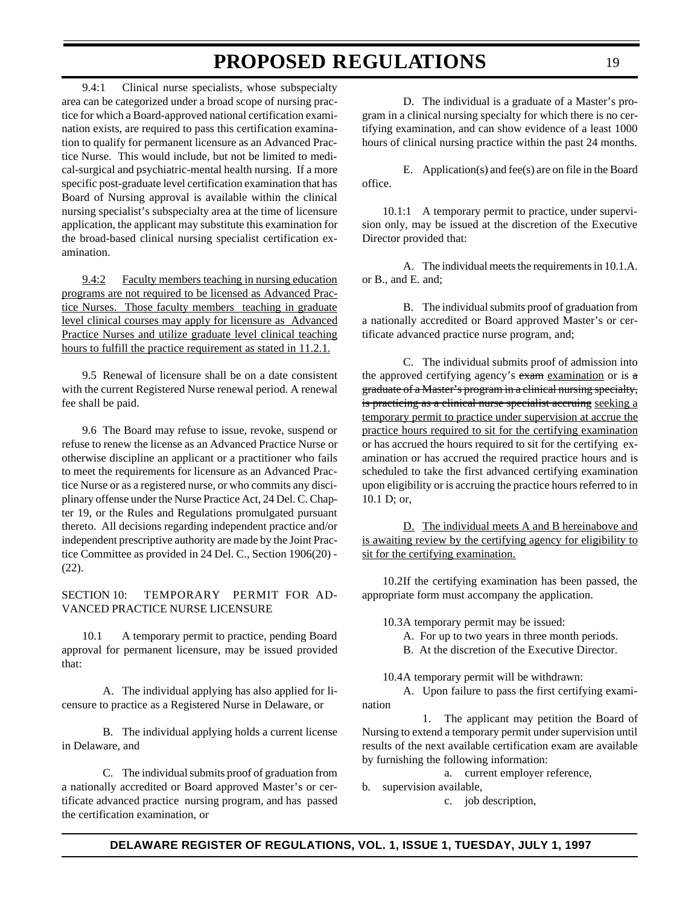9.4:1 Clinical nurse specialists, whose subspecialty area can be categorized under a broad scope of nursing practice for which a Board-approved national certification examination exists, are required to pass this certification examination to qualify for permanent licensure as an Advanced Practice Nurse. This would include, but not be limited to medical-surgical and psychiatric-mental health nursing. If a more specific post-graduate level certification examination that has Board of Nursing approval is available within the clinical nursing specialist's subspecialty area at the time of licensure application, the applicant may substitute this examination for the broad-based clinical nursing specialist certification examination.

9.4:2 Faculty members teaching in nursing education programs are not required to be licensed as Advanced Practice Nurses. Those faculty members teaching in graduate level clinical courses may apply for licensure as Advanced Practice Nurses and utilize graduate level clinical teaching hours to fulfill the practice requirement as stated in 11.2.1.

9.5 Renewal of licensure shall be on a date consistent with the current Registered Nurse renewal period. A renewal fee shall be paid.

9.6 The Board may refuse to issue, revoke, suspend or refuse to renew the license as an Advanced Practice Nurse or otherwise discipline an applicant or a practitioner who fails to meet the requirements for licensure as an Advanced Practice Nurse or as a registered nurse, or who commits any disciplinary offense under the Nurse Practice Act, 24 Del. C. Chapter 19, or the Rules and Regulations promulgated pursuant thereto. All decisions regarding independent practice and/or independent prescriptive authority are made by the Joint Practice Committee as provided in 24 Del. C., Section 1906(20) - (22).

#### SECTION 10: TEMPORARY PERMIT FOR AD-VANCED PRACTICE NURSE LICENSURE

10.1 A temporary permit to practice, pending Board approval for permanent licensure, may be issued provided that:

A. The individual applying has also applied for licensure to practice as a Registered Nurse in Delaware, or

B. The individual applying holds a current license in Delaware, and

C. The individual submits proof of graduation from a nationally accredited or Board approved Master's or certificate advanced practice nursing program, and has passed the certification examination, or

D. The individual is a graduate of a Master's program in a clinical nursing specialty for which there is no certifying examination, and can show evidence of a least 1000 hours of clinical nursing practice within the past 24 months.

E. Application(s) and fee(s) are on file in the Board office.

10.1:1 A temporary permit to practice, under supervision only, may be issued at the discretion of the Executive Director provided that:

A. The individual meets the requirements in 10.1.A. or B., and E. and;

B. The individual submits proof of graduation from a nationally accredited or Board approved Master's or certificate advanced practice nurse program, and;

C. The individual submits proof of admission into the approved certifying agency's exam examination or is a graduate of a Master's program in a clinical nursing specialty, is practicing as a clinical nurse specialist accruing seeking a temporary permit to practice under supervision at accrue the practice hours required to sit for the certifying examination or has accrued the hours required to sit for the certifying examination or has accrued the required practice hours and is scheduled to take the first advanced certifying examination upon eligibility or is accruing the practice hours referred to in 10.1 D; or,

D. The individual meets A and B hereinabove and is awaiting review by the certifying agency for eligibility to sit for the certifying examination.

10.2If the certifying examination has been passed, the appropriate form must accompany the application.

10.3A temporary permit may be issued:

- A. For up to two years in three month periods.
- B. At the discretion of the Executive Director.

10.4A temporary permit will be withdrawn:

A. Upon failure to pass the first certifying examination

1. The applicant may petition the Board of Nursing to extend a temporary permit under supervision until results of the next available certification exam are available by furnishing the following information:

a. current employer reference,

b. supervision available,

c. job description,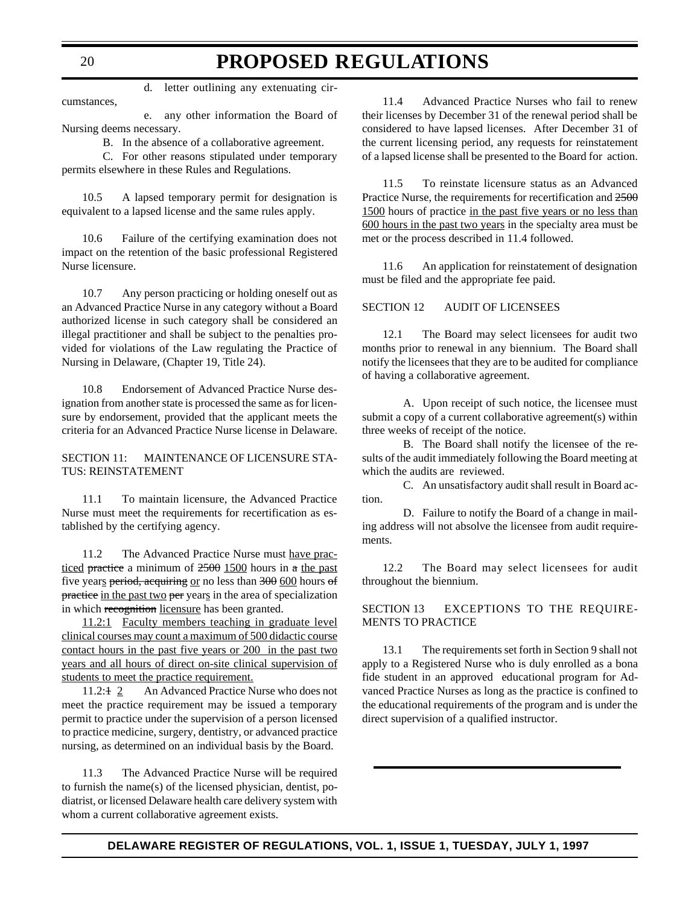d. letter outlining any extenuating circumstances,

e. any other information the Board of Nursing deems necessary.

B. In the absence of a collaborative agreement.

C. For other reasons stipulated under temporary permits elsewhere in these Rules and Regulations.

10.5 A lapsed temporary permit for designation is equivalent to a lapsed license and the same rules apply.

10.6 Failure of the certifying examination does not impact on the retention of the basic professional Registered Nurse licensure.

10.7 Any person practicing or holding oneself out as an Advanced Practice Nurse in any category without a Board authorized license in such category shall be considered an illegal practitioner and shall be subject to the penalties provided for violations of the Law regulating the Practice of Nursing in Delaware, (Chapter 19, Title 24).

10.8 Endorsement of Advanced Practice Nurse designation from another state is processed the same as for licensure by endorsement, provided that the applicant meets the criteria for an Advanced Practice Nurse license in Delaware.

SECTION 11: MAINTENANCE OF LICENSURE STA-TUS: REINSTATEMENT

11.1 To maintain licensure, the Advanced Practice Nurse must meet the requirements for recertification as established by the certifying agency.

11.2 The Advanced Practice Nurse must have practiced practice a minimum of  $2500$  1500 hours in a the past five years period, acquiring or no less than 300 600 hours of practice in the past two per years in the area of specialization in which recognition licensure has been granted.

11.2:1 Faculty members teaching in graduate level clinical courses may count a maximum of 500 didactic course contact hours in the past five years or 200 in the past two years and all hours of direct on-site clinical supervision of students to meet the practice requirement.

11.2:1 2 An Advanced Practice Nurse who does not meet the practice requirement may be issued a temporary permit to practice under the supervision of a person licensed to practice medicine, surgery, dentistry, or advanced practice nursing, as determined on an individual basis by the Board.

11.3 The Advanced Practice Nurse will be required to furnish the name(s) of the licensed physician, dentist, podiatrist, or licensed Delaware health care delivery system with whom a current collaborative agreement exists.

11.4 Advanced Practice Nurses who fail to renew their licenses by December 31 of the renewal period shall be considered to have lapsed licenses. After December 31 of the current licensing period, any requests for reinstatement of a lapsed license shall be presented to the Board for action.

11.5 To reinstate licensure status as an Advanced Practice Nurse, the requirements for recertification and 2500 1500 hours of practice in the past five years or no less than 600 hours in the past two years in the specialty area must be met or the process described in 11.4 followed.

11.6 An application for reinstatement of designation must be filed and the appropriate fee paid.

SECTION 12 AUDIT OF LICENSEES

12.1 The Board may select licensees for audit two months prior to renewal in any biennium. The Board shall notify the licensees that they are to be audited for compliance of having a collaborative agreement.

A. Upon receipt of such notice, the licensee must submit a copy of a current collaborative agreement(s) within three weeks of receipt of the notice.

B. The Board shall notify the licensee of the results of the audit immediately following the Board meeting at which the audits are reviewed.

C. An unsatisfactory audit shall result in Board action.

D. Failure to notify the Board of a change in mailing address will not absolve the licensee from audit requirements.

12.2 The Board may select licensees for audit throughout the biennium.

SECTION 13 EXCEPTIONS TO THE REQUIRE-MENTS TO PRACTICE

13.1 The requirements set forth in Section 9 shall not apply to a Registered Nurse who is duly enrolled as a bona fide student in an approved educational program for Advanced Practice Nurses as long as the practice is confined to the educational requirements of the program and is under the direct supervision of a qualified instructor.

20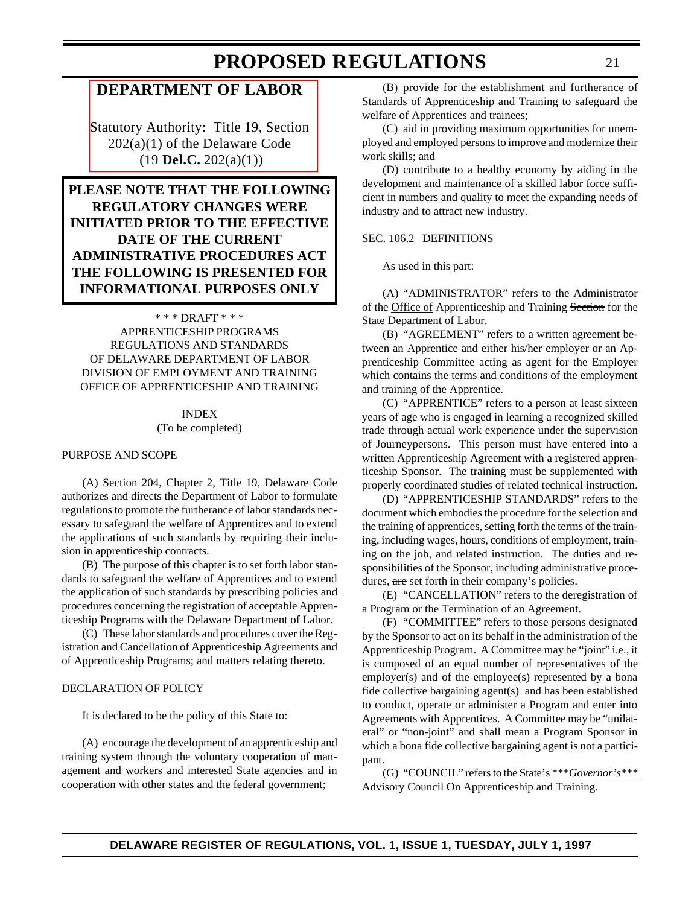### <span id="page-20-0"></span>**[DEPARTMENT OF LABOR](#page-3-0)**

Statutory Authority: Title 19, Section 202(a)(1) of the Delaware Code (19 **Del.C.** 202(a)(1))

**PLEASE NOTE THAT THE FOLLOWING REGULATORY CHANGES WERE INITIATED PRIOR TO THE EFFECTIVE DATE OF THE CURRENT ADMINISTRATIVE PROCEDURES ACT THE FOLLOWING IS PRESENTED FOR INFORMATIONAL PURPOSES ONLY**

\* \* \* DRAFT \* \* \* APPRENTICESHIP PROGRAMS REGULATIONS AND STANDARDS OF DELAWARE DEPARTMENT OF LABOR DIVISION OF EMPLOYMENT AND TRAINING OFFICE OF APPRENTICESHIP AND TRAINING

#### INDEX (To be completed)

#### PURPOSE AND SCOPE

(A) Section 204, Chapter 2, Title 19, Delaware Code authorizes and directs the Department of Labor to formulate regulations to promote the furtherance of labor standards necessary to safeguard the welfare of Apprentices and to extend the applications of such standards by requiring their inclusion in apprenticeship contracts.

(B) The purpose of this chapter is to set forth labor standards to safeguard the welfare of Apprentices and to extend the application of such standards by prescribing policies and procedures concerning the registration of acceptable Apprenticeship Programs with the Delaware Department of Labor.

(C) These labor standards and procedures cover the Registration and Cancellation of Apprenticeship Agreements and of Apprenticeship Programs; and matters relating thereto.

#### DECLARATION OF POLICY

It is declared to be the policy of this State to:

(A) encourage the development of an apprenticeship and training system through the voluntary cooperation of management and workers and interested State agencies and in cooperation with other states and the federal government;

(B) provide for the establishment and furtherance of Standards of Apprenticeship and Training to safeguard the welfare of Apprentices and trainees;

(C) aid in providing maximum opportunities for unemployed and employed persons to improve and modernize their work skills; and

(D) contribute to a healthy economy by aiding in the development and maintenance of a skilled labor force sufficient in numbers and quality to meet the expanding needs of industry and to attract new industry.

#### SEC. 106.2 DEFINITIONS

As used in this part:

(A) "ADMINISTRATOR" refers to the Administrator of the Office of Apprenticeship and Training Section for the State Department of Labor.

(B) "AGREEMENT" refers to a written agreement between an Apprentice and either his/her employer or an Apprenticeship Committee acting as agent for the Employer which contains the terms and conditions of the employment and training of the Apprentice.

(C) "APPRENTICE" refers to a person at least sixteen years of age who is engaged in learning a recognized skilled trade through actual work experience under the supervision of Journeypersons. This person must have entered into a written Apprenticeship Agreement with a registered apprenticeship Sponsor. The training must be supplemented with properly coordinated studies of related technical instruction.

(D) "APPRENTICESHIP STANDARDS" refers to the document which embodies the procedure for the selection and the training of apprentices, setting forth the terms of the training, including wages, hours, conditions of employment, training on the job, and related instruction. The duties and responsibilities of the Sponsor, including administrative procedures, are set forth in their company's policies.

(E) "CANCELLATION" refers to the deregistration of a Program or the Termination of an Agreement.

(F) "COMMITTEE" refers to those persons designated by the Sponsor to act on its behalf in the administration of the Apprenticeship Program. A Committee may be "joint" i.e., it is composed of an equal number of representatives of the employer(s) and of the employee(s) represented by a bona fide collective bargaining agent(s) and has been established to conduct, operate or administer a Program and enter into Agreements with Apprentices. A Committee may be "unilateral" or "non-joint" and shall mean a Program Sponsor in which a bona fide collective bargaining agent is not a participant.

(G) "COUNCIL" refers to the State's \*\*\**Governor's\*\*\** Advisory Council On Apprenticeship and Training.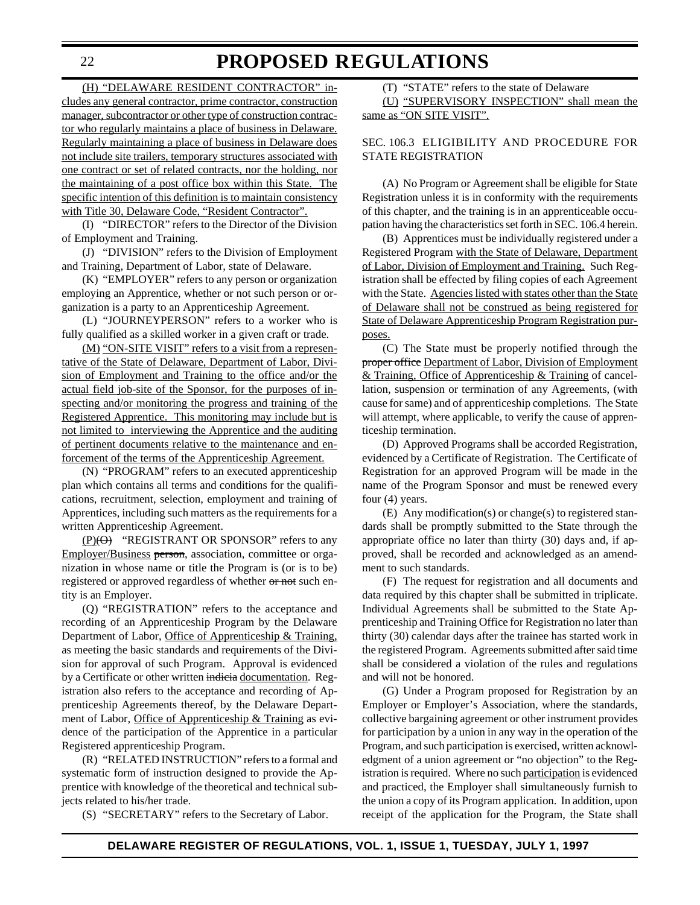(H) "DELAWARE RESIDENT CONTRACTOR" includes any general contractor, prime contractor, construction manager, subcontractor or other type of construction contractor who regularly maintains a place of business in Delaware. Regularly maintaining a place of business in Delaware does not include site trailers, temporary structures associated with one contract or set of related contracts, nor the holding, nor the maintaining of a post office box within this State. The specific intention of this definition is to maintain consistency with Title 30, Delaware Code, "Resident Contractor".

(I) "DIRECTOR" refers to the Director of the Division of Employment and Training.

(J) "DIVISION" refers to the Division of Employment and Training, Department of Labor, state of Delaware.

(K) "EMPLOYER" refers to any person or organization employing an Apprentice, whether or not such person or organization is a party to an Apprenticeship Agreement.

(L) "JOURNEYPERSON" refers to a worker who is fully qualified as a skilled worker in a given craft or trade.

(M) "ON-SITE VISIT" refers to a visit from a representative of the State of Delaware, Department of Labor, Division of Employment and Training to the office and/or the actual field job-site of the Sponsor, for the purposes of inspecting and/or monitoring the progress and training of the Registered Apprentice. This monitoring may include but is not limited to interviewing the Apprentice and the auditing of pertinent documents relative to the maintenance and enforcement of the terms of the Apprenticeship Agreement.

(N) "PROGRAM" refers to an executed apprenticeship plan which contains all terms and conditions for the qualifications, recruitment, selection, employment and training of Apprentices, including such matters as the requirements for a written Apprenticeship Agreement.

 $(P)(\Theta)$  "REGISTRANT OR SPONSOR" refers to any Employer/Business person, association, committee or organization in whose name or title the Program is (or is to be) registered or approved regardless of whether or not such entity is an Employer.

(Q) "REGISTRATION" refers to the acceptance and recording of an Apprenticeship Program by the Delaware Department of Labor, Office of Apprenticeship & Training, as meeting the basic standards and requirements of the Division for approval of such Program. Approval is evidenced by a Certificate or other written indicia documentation. Registration also refers to the acceptance and recording of Apprenticeship Agreements thereof, by the Delaware Department of Labor, Office of Apprenticeship & Training as evidence of the participation of the Apprentice in a particular Registered apprenticeship Program.

(R) "RELATED INSTRUCTION" refers to a formal and systematic form of instruction designed to provide the Apprentice with knowledge of the theoretical and technical subjects related to his/her trade.

(S) "SECRETARY" refers to the Secretary of Labor.

(T) "STATE" refers to the state of Delaware (U) "SUPERVISORY INSPECTION" shall mean the same as "ON SITE VISIT".

#### SEC. 106.3 ELIGIBILITY AND PROCEDURE FOR STATE REGISTRATION

(A) No Program or Agreement shall be eligible for State Registration unless it is in conformity with the requirements of this chapter, and the training is in an apprenticeable occupation having the characteristics set forth in SEC. 106.4 herein.

(B) Apprentices must be individually registered under a Registered Program with the State of Delaware, Department of Labor, Division of Employment and Training. Such Registration shall be effected by filing copies of each Agreement with the State. Agencies listed with states other than the State of Delaware shall not be construed as being registered for State of Delaware Apprenticeship Program Registration purposes.

(C) The State must be properly notified through the proper office Department of Labor, Division of Employment & Training, Office of Apprenticeship & Training of cancellation, suspension or termination of any Agreements, (with cause for same) and of apprenticeship completions. The State will attempt, where applicable, to verify the cause of apprenticeship termination.

(D) Approved Programs shall be accorded Registration, evidenced by a Certificate of Registration. The Certificate of Registration for an approved Program will be made in the name of the Program Sponsor and must be renewed every four (4) years.

(E) Any modification(s) or change(s) to registered standards shall be promptly submitted to the State through the appropriate office no later than thirty (30) days and, if approved, shall be recorded and acknowledged as an amendment to such standards.

(F) The request for registration and all documents and data required by this chapter shall be submitted in triplicate. Individual Agreements shall be submitted to the State Apprenticeship and Training Office for Registration no later than thirty (30) calendar days after the trainee has started work in the registered Program. Agreements submitted after said time shall be considered a violation of the rules and regulations and will not be honored.

(G) Under a Program proposed for Registration by an Employer or Employer's Association, where the standards, collective bargaining agreement or other instrument provides for participation by a union in any way in the operation of the Program, and such participation is exercised, written acknowledgment of a union agreement or "no objection" to the Registration is required. Where no such participation is evidenced and practiced, the Employer shall simultaneously furnish to the union a copy of its Program application. In addition, upon receipt of the application for the Program, the State shall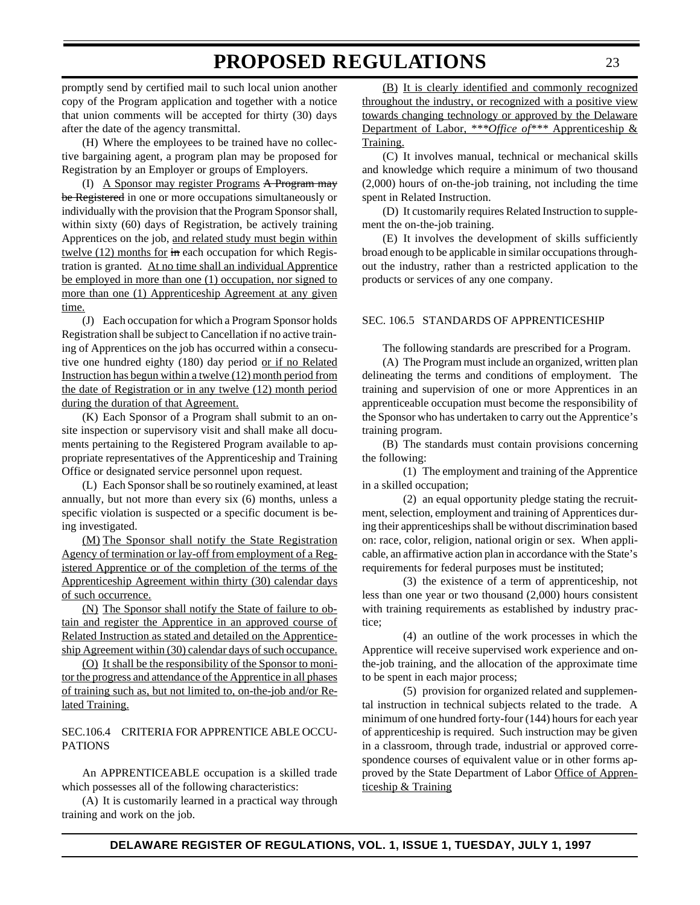promptly send by certified mail to such local union another copy of the Program application and together with a notice that union comments will be accepted for thirty (30) days after the date of the agency transmittal.

(H) Where the employees to be trained have no collective bargaining agent, a program plan may be proposed for Registration by an Employer or groups of Employers.

(I) A Sponsor may register Programs A Program may be Registered in one or more occupations simultaneously or individually with the provision that the Program Sponsor shall, within sixty (60) days of Registration, be actively training Apprentices on the job, and related study must begin within twelve (12) months for in each occupation for which Registration is granted. At no time shall an individual Apprentice be employed in more than one (1) occupation, nor signed to more than one (1) Apprenticeship Agreement at any given time.

(J) Each occupation for which a Program Sponsor holds Registration shall be subject to Cancellation if no active training of Apprentices on the job has occurred within a consecutive one hundred eighty (180) day period or if no Related Instruction has begun within a twelve (12) month period from the date of Registration or in any twelve (12) month period during the duration of that Agreement.

(K) Each Sponsor of a Program shall submit to an onsite inspection or supervisory visit and shall make all documents pertaining to the Registered Program available to appropriate representatives of the Apprenticeship and Training Office or designated service personnel upon request.

(L) Each Sponsor shall be so routinely examined, at least annually, but not more than every six (6) months, unless a specific violation is suspected or a specific document is being investigated.

(M) The Sponsor shall notify the State Registration Agency of termination or lay-off from employment of a Registered Apprentice or of the completion of the terms of the Apprenticeship Agreement within thirty (30) calendar days of such occurrence.

(N) The Sponsor shall notify the State of failure to obtain and register the Apprentice in an approved course of Related Instruction as stated and detailed on the Apprenticeship Agreement within (30) calendar days of such occupance.

(O) It shall be the responsibility of the Sponsor to monitor the progress and attendance of the Apprentice in all phases of training such as, but not limited to, on-the-job and/or Related Training.

#### SEC.106.4 CRITERIA FOR APPRENTICE ABLE OCCU-PATIONS

An APPRENTICEABLE occupation is a skilled trade which possesses all of the following characteristics:

(A) It is customarily learned in a practical way through training and work on the job.

(B) It is clearly identified and commonly recognized throughout the industry, or recognized with a positive view towards changing technology or approved by the Delaware Department of Labor, *\*\*\*Office of\*\*\** Apprenticeship & Training.

(C) It involves manual, technical or mechanical skills and knowledge which require a minimum of two thousand (2,000) hours of on-the-job training, not including the time spent in Related Instruction.

(D) It customarily requires Related Instruction to supplement the on-the-job training.

(E) It involves the development of skills sufficiently broad enough to be applicable in similar occupations throughout the industry, rather than a restricted application to the products or services of any one company.

#### SEC. 106.5 STANDARDS OF APPRENTICESHIP

The following standards are prescribed for a Program.

(A) The Program must include an organized, written plan delineating the terms and conditions of employment. The training and supervision of one or more Apprentices in an apprenticeable occupation must become the responsibility of the Sponsor who has undertaken to carry out the Apprentice's training program.

(B) The standards must contain provisions concerning the following:

(1) The employment and training of the Apprentice in a skilled occupation;

(2) an equal opportunity pledge stating the recruitment, selection, employment and training of Apprentices during their apprenticeships shall be without discrimination based on: race, color, religion, national origin or sex. When applicable, an affirmative action plan in accordance with the State's requirements for federal purposes must be instituted;

(3) the existence of a term of apprenticeship, not less than one year or two thousand (2,000) hours consistent with training requirements as established by industry practice;

(4) an outline of the work processes in which the Apprentice will receive supervised work experience and onthe-job training, and the allocation of the approximate time to be spent in each major process;

(5) provision for organized related and supplemental instruction in technical subjects related to the trade. A minimum of one hundred forty-four (144) hours for each year of apprenticeship is required. Such instruction may be given in a classroom, through trade, industrial or approved correspondence courses of equivalent value or in other forms approved by the State Department of Labor Office of Apprenticeship & Training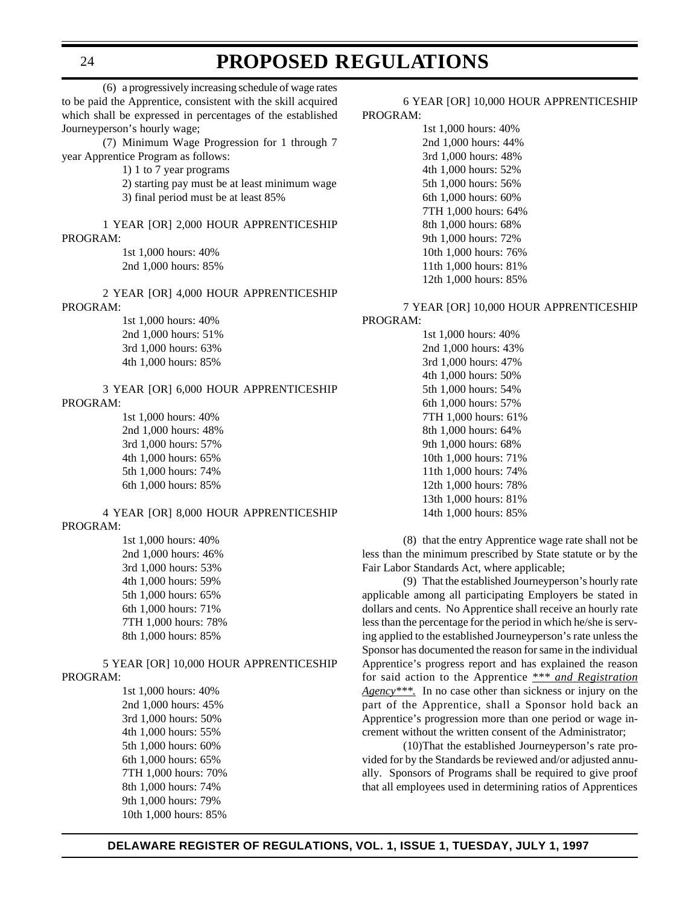### **PROPOSED REGULATIONS**

(6) a progressively increasing schedule of wage rates to be paid the Apprentice, consistent with the skill acquired which shall be expressed in percentages of the established Journeyperson's hourly wage;

(7) Minimum Wage Progression for 1 through 7 year Apprentice Program as follows:

1) 1 to 7 year programs

2) starting pay must be at least minimum wage 3) final period must be at least 85%

1 YEAR [OR] 2,000 HOUR APPRENTICESHIP PROGRAM:

> 1st 1,000 hours: 40% 2nd 1,000 hours: 85%

2 YEAR [OR] 4,000 HOUR APPRENTICESHIP PROGRAM:

> 1st 1,000 hours: 40% 2nd 1,000 hours: 51% 3rd 1,000 hours: 63% 4th 1,000 hours: 85%

#### 3 YEAR [OR] 6,000 HOUR APPRENTICESHIP PROGRAM: 1st 1,000 hours: 40%

2nd 1,000 hours: 48% 3rd 1,000 hours: 57% 4th 1,000 hours: 65% 5th 1,000 hours: 74% 6th 1,000 hours: 85%

#### 4 YEAR [OR] 8,000 HOUR APPRENTICESHIP PROGRAM:

1st 1,000 hours: 40% 2nd 1,000 hours: 46% 3rd 1,000 hours: 53% 4th 1,000 hours: 59% 5th 1,000 hours: 65% 6th 1,000 hours: 71% 7TH 1,000 hours: 78% 8th 1,000 hours: 85%

5 YEAR [OR] 10,000 HOUR APPRENTICESHIP PROGRAM:

> 1st 1,000 hours: 40% 2nd 1,000 hours: 45% 3rd 1,000 hours: 50% 4th 1,000 hours: 55% 5th 1,000 hours: 60% 6th 1,000 hours: 65% 7TH 1,000 hours: 70% 8th 1,000 hours: 74% 9th 1,000 hours: 79% 10th 1,000 hours: 85%

#### 6 YEAR [OR] 10,000 HOUR APPRENTICESHIP PROGRAM:

1st 1,000 hours: 40% 2nd 1,000 hours: 44% 3rd 1,000 hours: 48% 4th 1,000 hours: 52% 5th 1,000 hours: 56% 6th 1,000 hours: 60% 7TH 1,000 hours: 64% 8th 1,000 hours: 68% 9th 1,000 hours: 72% 10th 1,000 hours: 76% 11th 1,000 hours: 81% 12th 1,000 hours: 85%

#### 7 YEAR [OR] 10,000 HOUR APPRENTICESHIP

#### PROGRAM:

1st 1,000 hours: 40% 2nd 1,000 hours: 43% 3rd 1,000 hours: 47% 4th 1,000 hours: 50% 5th 1,000 hours: 54% 6th 1,000 hours: 57% 7TH 1,000 hours: 61% 8th 1,000 hours: 64% 9th 1,000 hours: 68% 10th 1,000 hours: 71% 11th 1,000 hours: 74% 12th 1,000 hours: 78% 13th 1,000 hours: 81% 14th 1,000 hours: 85%

(8) that the entry Apprentice wage rate shall not be less than the minimum prescribed by State statute or by the Fair Labor Standards Act, where applicable;

(9) That the established Journeyperson's hourly rate applicable among all participating Employers be stated in dollars and cents. No Apprentice shall receive an hourly rate less than the percentage for the period in which he/she is serving applied to the established Journeyperson's rate unless the Sponsor has documented the reason for same in the individual Apprentice's progress report and has explained the reason for said action to the Apprentice *\*\*\* and Registration Agency\*\*\*.* In no case other than sickness or injury on the part of the Apprentice, shall a Sponsor hold back an Apprentice's progression more than one period or wage increment without the written consent of the Administrator;

(10)That the established Journeyperson's rate provided for by the Standards be reviewed and/or adjusted annually. Sponsors of Programs shall be required to give proof that all employees used in determining ratios of Apprentices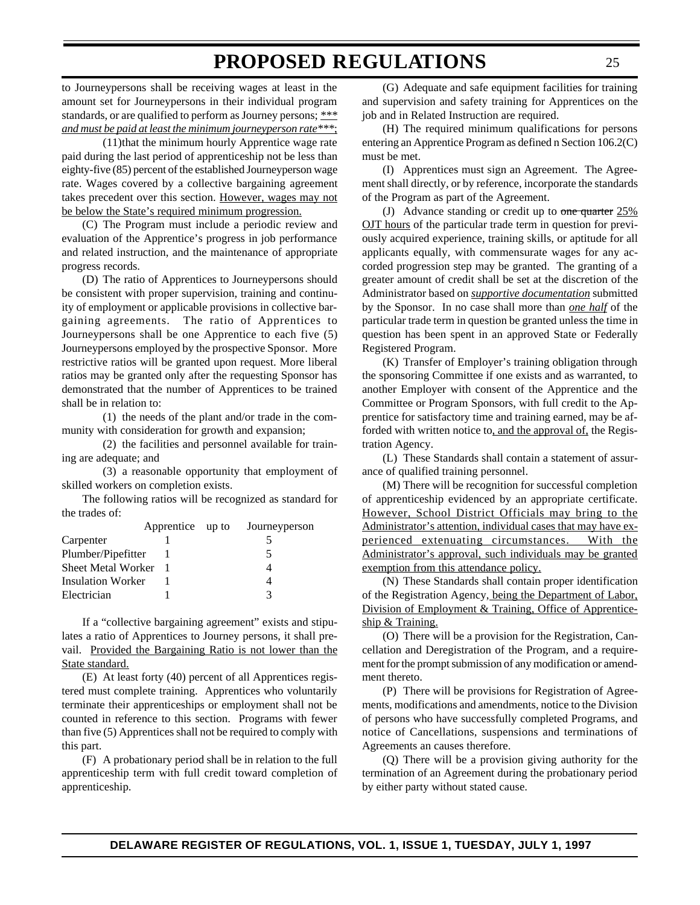to Journeypersons shall be receiving wages at least in the amount set for Journeypersons in their individual program standards, or are qualified to perform as Journey persons; *\*\*\* and must be paid at least the minimum journeyperson rate\*\*\**;

(11)that the minimum hourly Apprentice wage rate paid during the last period of apprenticeship not be less than eighty-five (85) percent of the established Journeyperson wage rate. Wages covered by a collective bargaining agreement takes precedent over this section. However, wages may not be below the State's required minimum progression.

(C) The Program must include a periodic review and evaluation of the Apprentice's progress in job performance and related instruction, and the maintenance of appropriate progress records.

(D) The ratio of Apprentices to Journeypersons should be consistent with proper supervision, training and continuity of employment or applicable provisions in collective bargaining agreements. The ratio of Apprentices to Journeypersons shall be one Apprentice to each five (5) Journeypersons employed by the prospective Sponsor. More restrictive ratios will be granted upon request. More liberal ratios may be granted only after the requesting Sponsor has demonstrated that the number of Apprentices to be trained shall be in relation to:

(1) the needs of the plant and/or trade in the community with consideration for growth and expansion;

(2) the facilities and personnel available for training are adequate; and

(3) a reasonable opportunity that employment of skilled workers on completion exists.

The following ratios will be recognized as standard for the trades of:

|                           | Apprentice up to | Journeyperson |
|---------------------------|------------------|---------------|
| Carpenter                 |                  |               |
| Plumber/Pipefitter        |                  | ৲             |
| <b>Sheet Metal Worker</b> |                  |               |
| <b>Insulation Worker</b>  |                  |               |
| Electrician               |                  |               |

If a "collective bargaining agreement" exists and stipulates a ratio of Apprentices to Journey persons, it shall prevail. Provided the Bargaining Ratio is not lower than the State standard.

(E) At least forty (40) percent of all Apprentices registered must complete training. Apprentices who voluntarily terminate their apprenticeships or employment shall not be counted in reference to this section. Programs with fewer than five (5) Apprentices shall not be required to comply with this part.

(F) A probationary period shall be in relation to the full apprenticeship term with full credit toward completion of apprenticeship.

(G) Adequate and safe equipment facilities for training and supervision and safety training for Apprentices on the job and in Related Instruction are required.

(H) The required minimum qualifications for persons entering an Apprentice Program as defined n Section 106.2(C) must be met.

(I) Apprentices must sign an Agreement. The Agreement shall directly, or by reference, incorporate the standards of the Program as part of the Agreement.

(J) Advance standing or credit up to one quarter  $25\%$ OJT hours of the particular trade term in question for previously acquired experience, training skills, or aptitude for all applicants equally, with commensurate wages for any accorded progression step may be granted. The granting of a greater amount of credit shall be set at the discretion of the Administrator based on *supportive documentation* submitted by the Sponsor. In no case shall more than *one half* of the particular trade term in question be granted unless the time in question has been spent in an approved State or Federally Registered Program.

(K) Transfer of Employer's training obligation through the sponsoring Committee if one exists and as warranted, to another Employer with consent of the Apprentice and the Committee or Program Sponsors, with full credit to the Apprentice for satisfactory time and training earned, may be afforded with written notice to, and the approval of, the Registration Agency.

(L) These Standards shall contain a statement of assurance of qualified training personnel.

(M) There will be recognition for successful completion of apprenticeship evidenced by an appropriate certificate. However, School District Officials may bring to the Administrator's attention, individual cases that may have experienced extenuating circumstances. With the Administrator's approval, such individuals may be granted exemption from this attendance policy.

(N) These Standards shall contain proper identification of the Registration Agency, being the Department of Labor, Division of Employment & Training, Office of Apprenticeship & Training.

(O) There will be a provision for the Registration, Cancellation and Deregistration of the Program, and a requirement for the prompt submission of any modification or amendment thereto.

(P) There will be provisions for Registration of Agreements, modifications and amendments, notice to the Division of persons who have successfully completed Programs, and notice of Cancellations, suspensions and terminations of Agreements an causes therefore.

(Q) There will be a provision giving authority for the termination of an Agreement during the probationary period by either party without stated cause.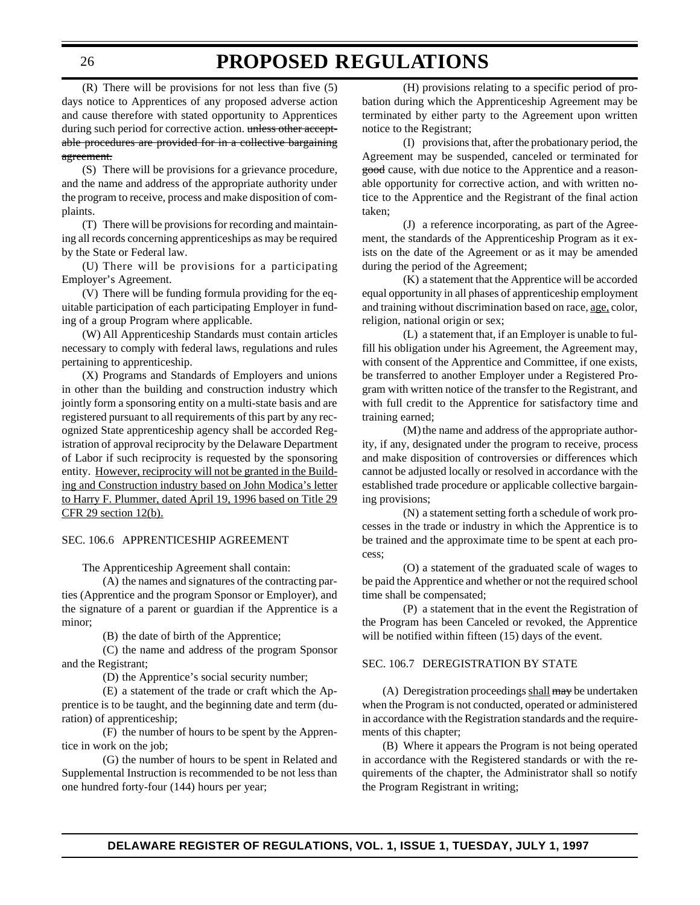(R) There will be provisions for not less than five (5) days notice to Apprentices of any proposed adverse action and cause therefore with stated opportunity to Apprentices during such period for corrective action. unless other acceptable procedures are provided for in a collective bargaining agreement.

(S) There will be provisions for a grievance procedure, and the name and address of the appropriate authority under the program to receive, process and make disposition of complaints.

(T) There will be provisions for recording and maintaining all records concerning apprenticeships as may be required by the State or Federal law.

(U) There will be provisions for a participating Employer's Agreement.

(V) There will be funding formula providing for the equitable participation of each participating Employer in funding of a group Program where applicable.

(W) All Apprenticeship Standards must contain articles necessary to comply with federal laws, regulations and rules pertaining to apprenticeship.

(X) Programs and Standards of Employers and unions in other than the building and construction industry which jointly form a sponsoring entity on a multi-state basis and are registered pursuant to all requirements of this part by any recognized State apprenticeship agency shall be accorded Registration of approval reciprocity by the Delaware Department of Labor if such reciprocity is requested by the sponsoring entity. However, reciprocity will not be granted in the Building and Construction industry based on John Modica's letter to Harry F. Plummer, dated April 19, 1996 based on Title 29 CFR 29 section 12(b).

#### SEC. 106.6 APPRENTICESHIP AGREEMENT

The Apprenticeship Agreement shall contain:

(A) the names and signatures of the contracting parties (Apprentice and the program Sponsor or Employer), and the signature of a parent or guardian if the Apprentice is a minor;

(B) the date of birth of the Apprentice;

(C) the name and address of the program Sponsor and the Registrant;

(D) the Apprentice's social security number;

(E) a statement of the trade or craft which the Apprentice is to be taught, and the beginning date and term (duration) of apprenticeship;

(F) the number of hours to be spent by the Apprentice in work on the job;

(G) the number of hours to be spent in Related and Supplemental Instruction is recommended to be not less than one hundred forty-four (144) hours per year;

(H) provisions relating to a specific period of probation during which the Apprenticeship Agreement may be terminated by either party to the Agreement upon written notice to the Registrant;

(I) provisions that, after the probationary period, the Agreement may be suspended, canceled or terminated for good cause, with due notice to the Apprentice and a reasonable opportunity for corrective action, and with written notice to the Apprentice and the Registrant of the final action taken;

(J) a reference incorporating, as part of the Agreement, the standards of the Apprenticeship Program as it exists on the date of the Agreement or as it may be amended during the period of the Agreement;

(K) a statement that the Apprentice will be accorded equal opportunity in all phases of apprenticeship employment and training without discrimination based on race, age, color, religion, national origin or sex;

(L) a statement that, if an Employer is unable to fulfill his obligation under his Agreement, the Agreement may, with consent of the Apprentice and Committee, if one exists, be transferred to another Employer under a Registered Program with written notice of the transfer to the Registrant, and with full credit to the Apprentice for satisfactory time and training earned;

(M) the name and address of the appropriate authority, if any, designated under the program to receive, process and make disposition of controversies or differences which cannot be adjusted locally or resolved in accordance with the established trade procedure or applicable collective bargaining provisions;

(N) a statement setting forth a schedule of work processes in the trade or industry in which the Apprentice is to be trained and the approximate time to be spent at each process;

(O) a statement of the graduated scale of wages to be paid the Apprentice and whether or not the required school time shall be compensated;

(P) a statement that in the event the Registration of the Program has been Canceled or revoked, the Apprentice will be notified within fifteen  $(15)$  days of the event.

#### SEC. 106.7 DEREGISTRATION BY STATE

(A) Deregistration proceedings shall may be undertaken when the Program is not conducted, operated or administered in accordance with the Registration standards and the requirements of this chapter;

(B) Where it appears the Program is not being operated in accordance with the Registered standards or with the requirements of the chapter, the Administrator shall so notify the Program Registrant in writing;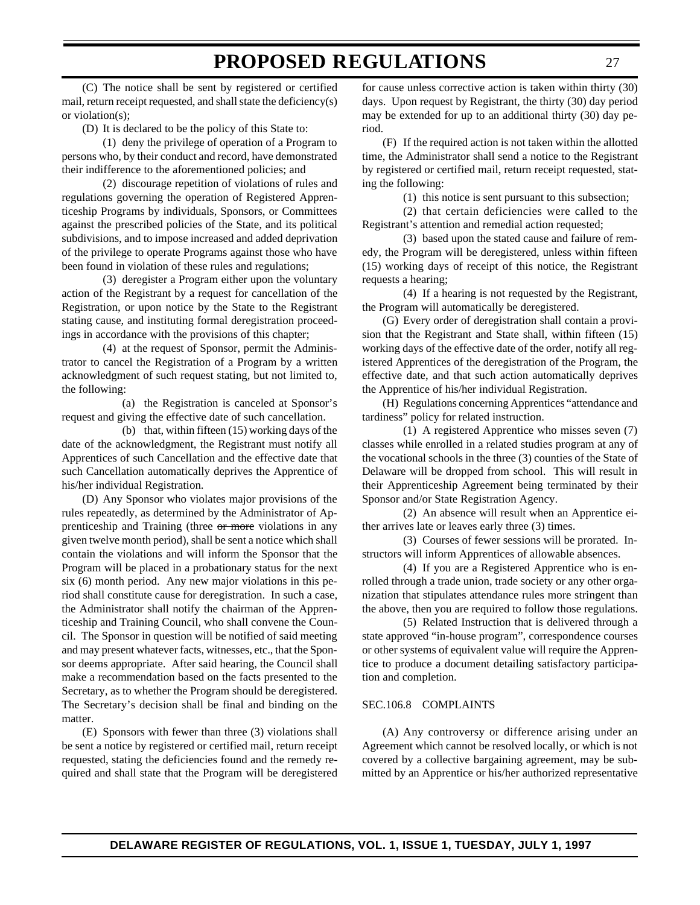(C) The notice shall be sent by registered or certified mail, return receipt requested, and shall state the deficiency(s) or violation(s);

(D) It is declared to be the policy of this State to:

(1) deny the privilege of operation of a Program to persons who, by their conduct and record, have demonstrated their indifference to the aforementioned policies; and

(2) discourage repetition of violations of rules and regulations governing the operation of Registered Apprenticeship Programs by individuals, Sponsors, or Committees against the prescribed policies of the State, and its political subdivisions, and to impose increased and added deprivation of the privilege to operate Programs against those who have been found in violation of these rules and regulations;

(3) deregister a Program either upon the voluntary action of the Registrant by a request for cancellation of the Registration, or upon notice by the State to the Registrant stating cause, and instituting formal deregistration proceedings in accordance with the provisions of this chapter;

(4) at the request of Sponsor, permit the Administrator to cancel the Registration of a Program by a written acknowledgment of such request stating, but not limited to, the following:

(a) the Registration is canceled at Sponsor's request and giving the effective date of such cancellation.

(b) that, within fifteen (15) working days of the date of the acknowledgment, the Registrant must notify all Apprentices of such Cancellation and the effective date that such Cancellation automatically deprives the Apprentice of his/her individual Registration.

(D) Any Sponsor who violates major provisions of the rules repeatedly, as determined by the Administrator of Apprenticeship and Training (three or more violations in any given twelve month period), shall be sent a notice which shall contain the violations and will inform the Sponsor that the Program will be placed in a probationary status for the next six (6) month period. Any new major violations in this period shall constitute cause for deregistration. In such a case, the Administrator shall notify the chairman of the Apprenticeship and Training Council, who shall convene the Council. The Sponsor in question will be notified of said meeting and may present whatever facts, witnesses, etc., that the Sponsor deems appropriate. After said hearing, the Council shall make a recommendation based on the facts presented to the Secretary, as to whether the Program should be deregistered. The Secretary's decision shall be final and binding on the matter.

(E) Sponsors with fewer than three (3) violations shall be sent a notice by registered or certified mail, return receipt requested, stating the deficiencies found and the remedy required and shall state that the Program will be deregistered

for cause unless corrective action is taken within thirty (30) days. Upon request by Registrant, the thirty (30) day period may be extended for up to an additional thirty (30) day period.

(F) If the required action is not taken within the allotted time, the Administrator shall send a notice to the Registrant by registered or certified mail, return receipt requested, stating the following:

(1) this notice is sent pursuant to this subsection;

(2) that certain deficiencies were called to the Registrant's attention and remedial action requested;

(3) based upon the stated cause and failure of remedy, the Program will be deregistered, unless within fifteen (15) working days of receipt of this notice, the Registrant requests a hearing;

(4) If a hearing is not requested by the Registrant, the Program will automatically be deregistered.

(G) Every order of deregistration shall contain a provision that the Registrant and State shall, within fifteen (15) working days of the effective date of the order, notify all registered Apprentices of the deregistration of the Program, the effective date, and that such action automatically deprives the Apprentice of his/her individual Registration.

(H) Regulations concerning Apprentices "attendance and tardiness" policy for related instruction.

(1) A registered Apprentice who misses seven (7) classes while enrolled in a related studies program at any of the vocational schools in the three (3) counties of the State of Delaware will be dropped from school. This will result in their Apprenticeship Agreement being terminated by their Sponsor and/or State Registration Agency.

(2) An absence will result when an Apprentice either arrives late or leaves early three (3) times.

(3) Courses of fewer sessions will be prorated. Instructors will inform Apprentices of allowable absences.

(4) If you are a Registered Apprentice who is enrolled through a trade union, trade society or any other organization that stipulates attendance rules more stringent than the above, then you are required to follow those regulations.

(5) Related Instruction that is delivered through a state approved "in-house program", correspondence courses or other systems of equivalent value will require the Apprentice to produce a document detailing satisfactory participation and completion.

#### SEC.106.8 COMPLAINTS

(A) Any controversy or difference arising under an Agreement which cannot be resolved locally, or which is not covered by a collective bargaining agreement, may be submitted by an Apprentice or his/her authorized representative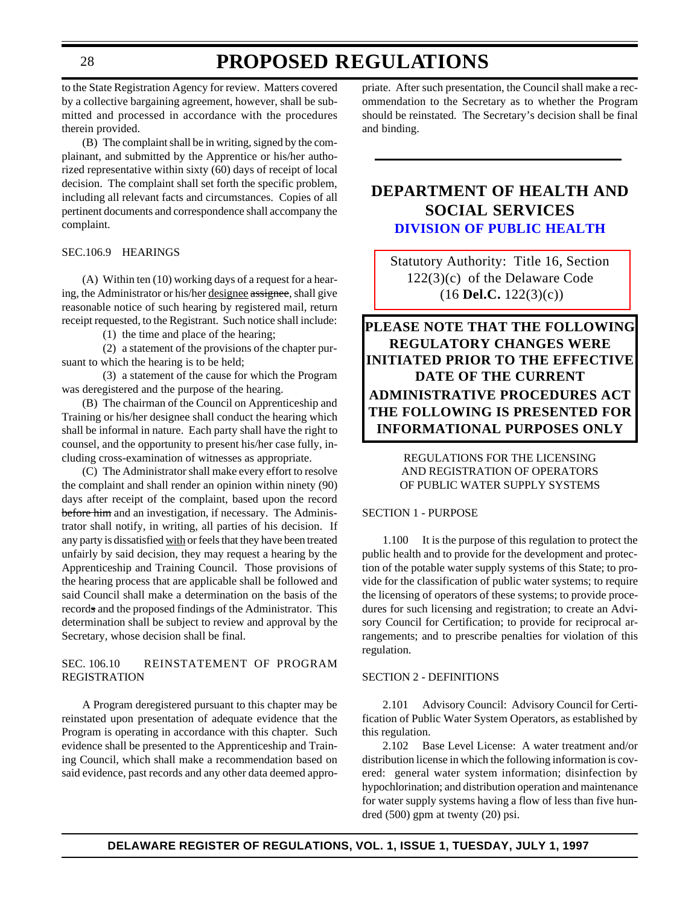### **PROPOSED REGULATIONS**

<span id="page-27-0"></span>to the State Registration Agency for review. Matters covered by a collective bargaining agreement, however, shall be submitted and processed in accordance with the procedures therein provided.

(B) The complaint shall be in writing, signed by the complainant, and submitted by the Apprentice or his/her authorized representative within sixty (60) days of receipt of local decision. The complaint shall set forth the specific problem, including all relevant facts and circumstances. Copies of all pertinent documents and correspondence shall accompany the complaint.

SEC.106.9 HEARINGS

(A) Within ten (10) working days of a request for a hearing, the Administrator or his/her designee assignee, shall give reasonable notice of such hearing by registered mail, return receipt requested, to the Registrant. Such notice shall include:

(1) the time and place of the hearing;

(2) a statement of the provisions of the chapter pursuant to which the hearing is to be held;

(3) a statement of the cause for which the Program was deregistered and the purpose of the hearing.

(B) The chairman of the Council on Apprenticeship and Training or his/her designee shall conduct the hearing which shall be informal in nature. Each party shall have the right to counsel, and the opportunity to present his/her case fully, including cross-examination of witnesses as appropriate.

(C) The Administrator shall make every effort to resolve the complaint and shall render an opinion within ninety (90) days after receipt of the complaint, based upon the record before him and an investigation, if necessary. The Administrator shall notify, in writing, all parties of his decision. If any party is dissatisfied with or feels that they have been treated unfairly by said decision, they may request a hearing by the Apprenticeship and Training Council. Those provisions of the hearing process that are applicable shall be followed and said Council shall make a determination on the basis of the records and the proposed findings of the Administrator. This determination shall be subject to review and approval by the Secretary, whose decision shall be final.

#### SEC. 106.10 REINSTATEMENT OF PROGRAM REGISTRATION

A Program deregistered pursuant to this chapter may be reinstated upon presentation of adequate evidence that the Program is operating in accordance with this chapter. Such evidence shall be presented to the Apprenticeship and Training Council, which shall make a recommendation based on said evidence, past records and any other data deemed appro-

priate. After such presentation, the Council shall make a recommendation to the Secretary as to whether the Program should be reinstated. The Secretary's decision shall be final and binding.

### **DEPARTMENT OF HEALTH AND SOCIAL SERVICES [DIVISION OF PUBLIC HEALTH](http://www.state.de.us/govern/agencies/dhss/irm/dph/dphhome.htm)**

[Statutory Authority: Title 16, Section](#page-3-0) 122(3)(c) of the Delaware Code (16 **Del.C.** 122(3)(c))

**PLEASE NOTE THAT THE FOLLOWING REGULATORY CHANGES WERE INITIATED PRIOR TO THE EFFECTIVE DATE OF THE CURRENT ADMINISTRATIVE PROCEDURES ACT THE FOLLOWING IS PRESENTED FOR INFORMATIONAL PURPOSES ONLY**

#### REGULATIONS FOR THE LICENSING AND REGISTRATION OF OPERATORS OF PUBLIC WATER SUPPLY SYSTEMS

#### SECTION 1 - PURPOSE

1.100 It is the purpose of this regulation to protect the public health and to provide for the development and protection of the potable water supply systems of this State; to provide for the classification of public water systems; to require the licensing of operators of these systems; to provide procedures for such licensing and registration; to create an Advisory Council for Certification; to provide for reciprocal arrangements; and to prescribe penalties for violation of this regulation.

#### SECTION 2 - DEFINITIONS

2.101 Advisory Council: Advisory Council for Certification of Public Water System Operators, as established by this regulation.

2.102 Base Level License: A water treatment and/or distribution license in which the following information is covered: general water system information; disinfection by hypochlorination; and distribution operation and maintenance for water supply systems having a flow of less than five hundred (500) gpm at twenty (20) psi.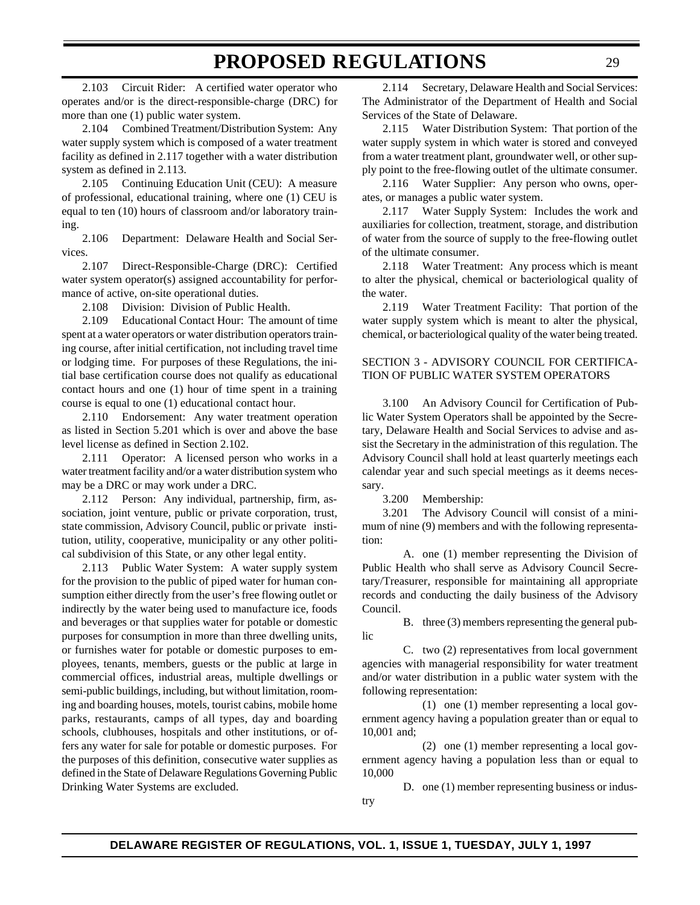2.103 Circuit Rider: A certified water operator who operates and/or is the direct-responsible-charge (DRC) for more than one (1) public water system.

2.104 Combined Treatment/Distribution System: Any water supply system which is composed of a water treatment facility as defined in 2.117 together with a water distribution system as defined in 2.113.

2.105 Continuing Education Unit (CEU): A measure of professional, educational training, where one (1) CEU is equal to ten (10) hours of classroom and/or laboratory training.

2.106 Department: Delaware Health and Social Services.

2.107 Direct-Responsible-Charge (DRC): Certified water system operator(s) assigned accountability for performance of active, on-site operational duties.

2.108 Division: Division of Public Health.

2.109 Educational Contact Hour: The amount of time spent at a water operators or water distribution operators training course, after initial certification, not including travel time or lodging time. For purposes of these Regulations, the initial base certification course does not qualify as educational contact hours and one (1) hour of time spent in a training course is equal to one (1) educational contact hour.

2.110 Endorsement: Any water treatment operation as listed in Section 5.201 which is over and above the base level license as defined in Section 2.102.

2.111 Operator: A licensed person who works in a water treatment facility and/or a water distribution system who may be a DRC or may work under a DRC.

2.112 Person: Any individual, partnership, firm, association, joint venture, public or private corporation, trust, state commission, Advisory Council, public or private institution, utility, cooperative, municipality or any other political subdivision of this State, or any other legal entity.

2.113 Public Water System: A water supply system for the provision to the public of piped water for human consumption either directly from the user's free flowing outlet or indirectly by the water being used to manufacture ice, foods and beverages or that supplies water for potable or domestic purposes for consumption in more than three dwelling units, or furnishes water for potable or domestic purposes to employees, tenants, members, guests or the public at large in commercial offices, industrial areas, multiple dwellings or semi-public buildings, including, but without limitation, rooming and boarding houses, motels, tourist cabins, mobile home parks, restaurants, camps of all types, day and boarding schools, clubhouses, hospitals and other institutions, or offers any water for sale for potable or domestic purposes. For the purposes of this definition, consecutive water supplies as defined in the State of Delaware Regulations Governing Public Drinking Water Systems are excluded.

2.114 Secretary, Delaware Health and Social Services: The Administrator of the Department of Health and Social Services of the State of Delaware.

2.115 Water Distribution System: That portion of the water supply system in which water is stored and conveyed from a water treatment plant, groundwater well, or other supply point to the free-flowing outlet of the ultimate consumer.

2.116 Water Supplier: Any person who owns, operates, or manages a public water system.

2.117 Water Supply System: Includes the work and auxiliaries for collection, treatment, storage, and distribution of water from the source of supply to the free-flowing outlet of the ultimate consumer.

2.118 Water Treatment: Any process which is meant to alter the physical, chemical or bacteriological quality of the water.

2.119 Water Treatment Facility: That portion of the water supply system which is meant to alter the physical, chemical, or bacteriological quality of the water being treated.

#### SECTION 3 - ADVISORY COUNCIL FOR CERTIFICA-TION OF PUBLIC WATER SYSTEM OPERATORS

3.100 An Advisory Council for Certification of Public Water System Operators shall be appointed by the Secretary, Delaware Health and Social Services to advise and assist the Secretary in the administration of this regulation. The Advisory Council shall hold at least quarterly meetings each calendar year and such special meetings as it deems necessary.

3.200 Membership:

3.201 The Advisory Council will consist of a minimum of nine (9) members and with the following representation:

A. one (1) member representing the Division of Public Health who shall serve as Advisory Council Secretary/Treasurer, responsible for maintaining all appropriate records and conducting the daily business of the Advisory Council.

B. three (3) members representing the general public

C. two (2) representatives from local government agencies with managerial responsibility for water treatment and/or water distribution in a public water system with the following representation:

(1) one (1) member representing a local government agency having a population greater than or equal to 10,001 and;

(2) one (1) member representing a local government agency having a population less than or equal to 10,000

D. one (1) member representing business or industry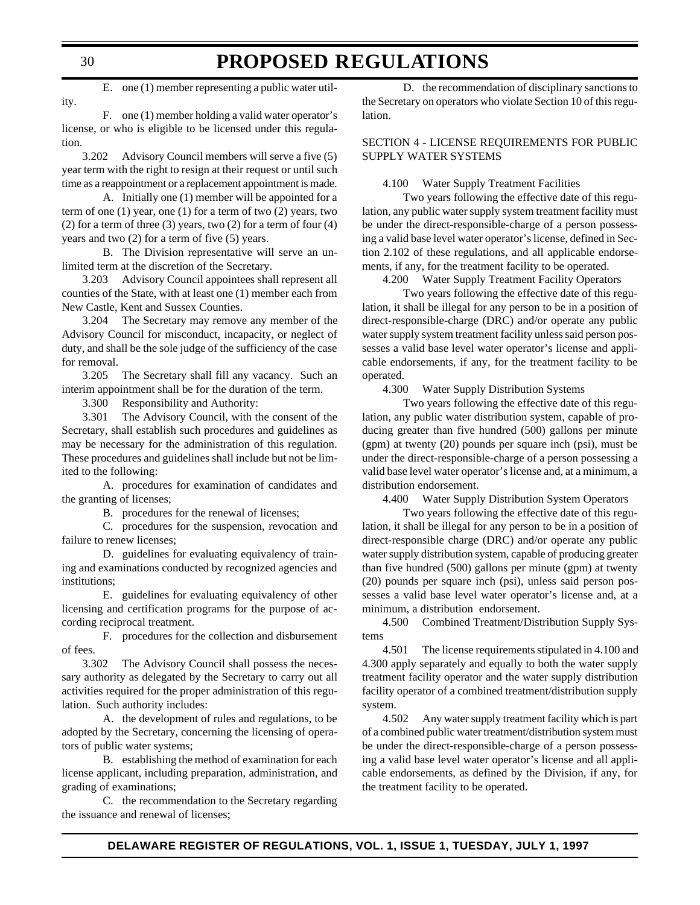E. one (1) member representing a public water utility.

F. one (1) member holding a valid water operator's license, or who is eligible to be licensed under this regulation.

3.202 Advisory Council members will serve a five (5) year term with the right to resign at their request or until such time as a reappointment or a replacement appointment is made.

A. Initially one (1) member will be appointed for a term of one (1) year, one (1) for a term of two (2) years, two (2) for a term of three (3) years, two (2) for a term of four (4) years and two (2) for a term of five (5) years.

B. The Division representative will serve an unlimited term at the discretion of the Secretary.

3.203 Advisory Council appointees shall represent all counties of the State, with at least one (1) member each from New Castle, Kent and Sussex Counties.

3.204 The Secretary may remove any member of the Advisory Council for misconduct, incapacity, or neglect of duty, and shall be the sole judge of the sufficiency of the case for removal.

3.205 The Secretary shall fill any vacancy. Such an interim appointment shall be for the duration of the term.

3.300 Responsibility and Authority:

3.301 The Advisory Council, with the consent of the Secretary, shall establish such procedures and guidelines as may be necessary for the administration of this regulation. These procedures and guidelines shall include but not be limited to the following:

A. procedures for examination of candidates and the granting of licenses;

B. procedures for the renewal of licenses;

C. procedures for the suspension, revocation and failure to renew licenses;

D. guidelines for evaluating equivalency of training and examinations conducted by recognized agencies and institutions;

E. guidelines for evaluating equivalency of other licensing and certification programs for the purpose of according reciprocal treatment.

F. procedures for the collection and disbursement of fees.

3.302 The Advisory Council shall possess the necessary authority as delegated by the Secretary to carry out all activities required for the proper administration of this regulation. Such authority includes:

A. the development of rules and regulations, to be adopted by the Secretary, concerning the licensing of operators of public water systems;

B. establishing the method of examination for each license applicant, including preparation, administration, and grading of examinations;

C. the recommendation to the Secretary regarding the issuance and renewal of licenses;

D. the recommendation of disciplinary sanctions to the Secretary on operators who violate Section 10 of this regulation.

#### SECTION 4 - LICENSE REQUIREMENTS FOR PUBLIC SUPPLY WATER SYSTEMS

4.100 Water Supply Treatment Facilities

Two years following the effective date of this regulation, any public water supply system treatment facility must be under the direct-responsible-charge of a person possessing a valid base level water operator's license, defined in Section 2.102 of these regulations, and all applicable endorsements, if any, for the treatment facility to be operated.

4.200 Water Supply Treatment Facility Operators

Two years following the effective date of this regulation, it shall be illegal for any person to be in a position of direct-responsible-charge (DRC) and/or operate any public water supply system treatment facility unless said person possesses a valid base level water operator's license and applicable endorsements, if any, for the treatment facility to be operated.

4.300 Water Supply Distribution Systems

Two years following the effective date of this regulation, any public water distribution system, capable of producing greater than five hundred (500) gallons per minute (gpm) at twenty (20) pounds per square inch (psi), must be under the direct-responsible-charge of a person possessing a valid base level water operator's license and, at a minimum, a distribution endorsement.

4.400 Water Supply Distribution System Operators

Two years following the effective date of this regulation, it shall be illegal for any person to be in a position of direct-responsible charge (DRC) and/or operate any public water supply distribution system, capable of producing greater than five hundred (500) gallons per minute (gpm) at twenty (20) pounds per square inch (psi), unless said person possesses a valid base level water operator's license and, at a minimum, a distribution endorsement.

4.500 Combined Treatment/Distribution Supply Systems

4.501 The license requirements stipulated in 4.100 and 4.300 apply separately and equally to both the water supply treatment facility operator and the water supply distribution facility operator of a combined treatment/distribution supply system.

4.502 Any water supply treatment facility which is part of a combined public water treatment/distribution system must be under the direct-responsible-charge of a person possessing a valid base level water operator's license and all applicable endorsements, as defined by the Division, if any, for the treatment facility to be operated.

30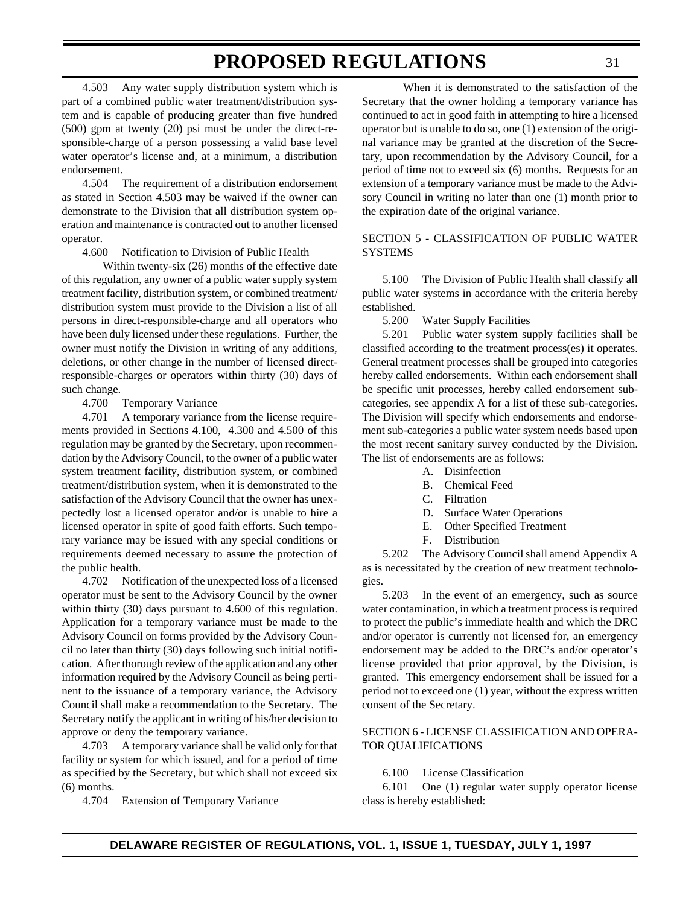4.503 Any water supply distribution system which is part of a combined public water treatment/distribution system and is capable of producing greater than five hundred (500) gpm at twenty (20) psi must be under the direct-responsible-charge of a person possessing a valid base level water operator's license and, at a minimum, a distribution endorsement.

4.504 The requirement of a distribution endorsement as stated in Section 4.503 may be waived if the owner can demonstrate to the Division that all distribution system operation and maintenance is contracted out to another licensed operator.

4.600 Notification to Division of Public Health

Within twenty-six (26) months of the effective date of this regulation, any owner of a public water supply system treatment facility, distribution system, or combined treatment/ distribution system must provide to the Division a list of all persons in direct-responsible-charge and all operators who have been duly licensed under these regulations. Further, the owner must notify the Division in writing of any additions, deletions, or other change in the number of licensed directresponsible-charges or operators within thirty (30) days of such change.

4.700 Temporary Variance

4.701 A temporary variance from the license requirements provided in Sections 4.100, 4.300 and 4.500 of this regulation may be granted by the Secretary, upon recommendation by the Advisory Council, to the owner of a public water system treatment facility, distribution system, or combined treatment/distribution system, when it is demonstrated to the satisfaction of the Advisory Council that the owner has unexpectedly lost a licensed operator and/or is unable to hire a licensed operator in spite of good faith efforts. Such temporary variance may be issued with any special conditions or requirements deemed necessary to assure the protection of the public health.

4.702 Notification of the unexpected loss of a licensed operator must be sent to the Advisory Council by the owner within thirty (30) days pursuant to 4.600 of this regulation. Application for a temporary variance must be made to the Advisory Council on forms provided by the Advisory Council no later than thirty (30) days following such initial notification. After thorough review of the application and any other information required by the Advisory Council as being pertinent to the issuance of a temporary variance, the Advisory Council shall make a recommendation to the Secretary. The Secretary notify the applicant in writing of his/her decision to approve or deny the temporary variance.

4.703 A temporary variance shall be valid only for that facility or system for which issued, and for a period of time as specified by the Secretary, but which shall not exceed six (6) months.

4.704 Extension of Temporary Variance

When it is demonstrated to the satisfaction of the Secretary that the owner holding a temporary variance has continued to act in good faith in attempting to hire a licensed operator but is unable to do so, one (1) extension of the original variance may be granted at the discretion of the Secretary, upon recommendation by the Advisory Council, for a period of time not to exceed six (6) months. Requests for an extension of a temporary variance must be made to the Advisory Council in writing no later than one (1) month prior to the expiration date of the original variance.

#### SECTION 5 - CLASSIFICATION OF PUBLIC WATER SYSTEMS

5.100 The Division of Public Health shall classify all public water systems in accordance with the criteria hereby established.

5.200 Water Supply Facilities

5.201 Public water system supply facilities shall be classified according to the treatment process(es) it operates. General treatment processes shall be grouped into categories hereby called endorsements. Within each endorsement shall be specific unit processes, hereby called endorsement subcategories, see appendix A for a list of these sub-categories. The Division will specify which endorsements and endorsement sub-categories a public water system needs based upon the most recent sanitary survey conducted by the Division. The list of endorsements are as follows:

- A. Disinfection
- B. Chemical Feed
- C. Filtration
- D. Surface Water Operations
- E. Other Specified Treatment
- F. Distribution

5.202 The Advisory Council shall amend Appendix A as is necessitated by the creation of new treatment technologies.

5.203 In the event of an emergency, such as source water contamination, in which a treatment process is required to protect the public's immediate health and which the DRC and/or operator is currently not licensed for, an emergency endorsement may be added to the DRC's and/or operator's license provided that prior approval, by the Division, is granted. This emergency endorsement shall be issued for a period not to exceed one (1) year, without the express written consent of the Secretary.

#### SECTION 6 - LICENSE CLASSIFICATION AND OPERA-TOR QUALIFICATIONS

#### 6.100 License Classification

6.101 One (1) regular water supply operator license class is hereby established:

31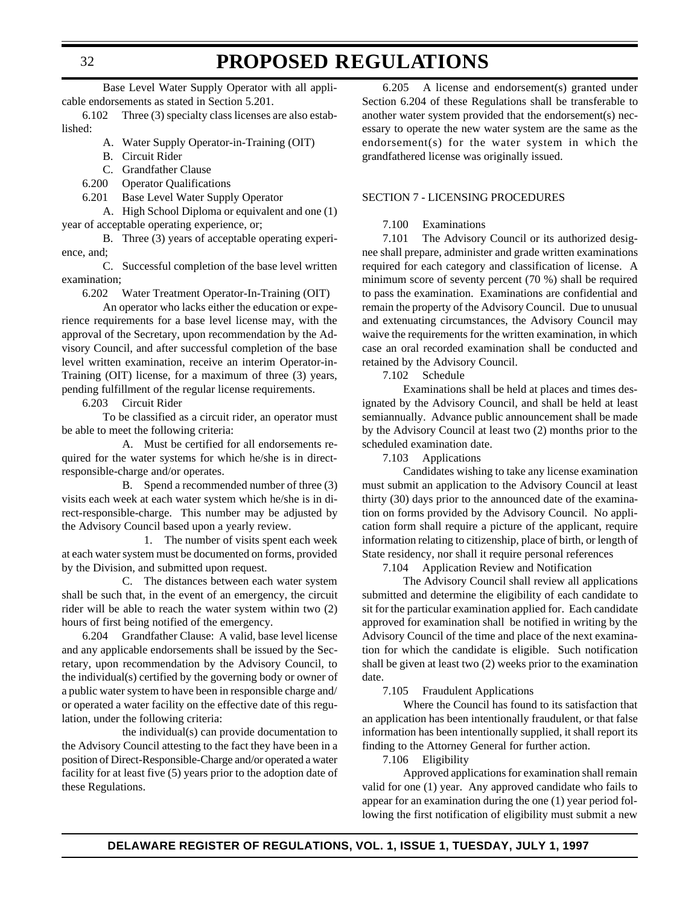### **PROPOSED REGULATIONS**

Base Level Water Supply Operator with all applicable endorsements as stated in Section 5.201.

6.102 Three (3) specialty class licenses are also established:

- A. Water Supply Operator-in-Training (OIT)
- B. Circuit Rider
- C. Grandfather Clause
- 6.200 Operator Qualifications
- 6.201 Base Level Water Supply Operator

A. High School Diploma or equivalent and one (1) year of acceptable operating experience, or;

B. Three (3) years of acceptable operating experience, and;

C. Successful completion of the base level written examination;

6.202 Water Treatment Operator-In-Training (OIT)

An operator who lacks either the education or experience requirements for a base level license may, with the approval of the Secretary, upon recommendation by the Advisory Council, and after successful completion of the base level written examination, receive an interim Operator-in-Training (OIT) license, for a maximum of three (3) years, pending fulfillment of the regular license requirements.

6.203 Circuit Rider

To be classified as a circuit rider, an operator must be able to meet the following criteria:

A. Must be certified for all endorsements required for the water systems for which he/she is in directresponsible-charge and/or operates.

B. Spend a recommended number of three (3) visits each week at each water system which he/she is in direct-responsible-charge. This number may be adjusted by the Advisory Council based upon a yearly review.

1. The number of visits spent each week at each water system must be documented on forms, provided by the Division, and submitted upon request.

C. The distances between each water system shall be such that, in the event of an emergency, the circuit rider will be able to reach the water system within two (2) hours of first being notified of the emergency.

6.204 Grandfather Clause: A valid, base level license and any applicable endorsements shall be issued by the Secretary, upon recommendation by the Advisory Council, to the individual(s) certified by the governing body or owner of a public water system to have been in responsible charge and/ or operated a water facility on the effective date of this regulation, under the following criteria:

the individual(s) can provide documentation to the Advisory Council attesting to the fact they have been in a position of Direct-Responsible-Charge and/or operated a water facility for at least five (5) years prior to the adoption date of these Regulations.

6.205 A license and endorsement(s) granted under Section 6.204 of these Regulations shall be transferable to another water system provided that the endorsement(s) necessary to operate the new water system are the same as the endorsement(s) for the water system in which the grandfathered license was originally issued.

#### SECTION 7 - LICENSING PROCEDURES

#### 7.100 Examinations

7.101 The Advisory Council or its authorized designee shall prepare, administer and grade written examinations required for each category and classification of license. A minimum score of seventy percent (70 %) shall be required to pass the examination. Examinations are confidential and remain the property of the Advisory Council. Due to unusual and extenuating circumstances, the Advisory Council may waive the requirements for the written examination, in which case an oral recorded examination shall be conducted and retained by the Advisory Council.

7.102 Schedule

Examinations shall be held at places and times designated by the Advisory Council, and shall be held at least semiannually. Advance public announcement shall be made by the Advisory Council at least two (2) months prior to the scheduled examination date.

7.103 Applications

Candidates wishing to take any license examination must submit an application to the Advisory Council at least thirty (30) days prior to the announced date of the examination on forms provided by the Advisory Council. No application form shall require a picture of the applicant, require information relating to citizenship, place of birth, or length of State residency, nor shall it require personal references

7.104 Application Review and Notification

The Advisory Council shall review all applications submitted and determine the eligibility of each candidate to sit for the particular examination applied for. Each candidate approved for examination shall be notified in writing by the Advisory Council of the time and place of the next examination for which the candidate is eligible. Such notification shall be given at least two (2) weeks prior to the examination date.

7.105 Fraudulent Applications

Where the Council has found to its satisfaction that an application has been intentionally fraudulent, or that false information has been intentionally supplied, it shall report its finding to the Attorney General for further action.

7.106 Eligibility

Approved applications for examination shall remain valid for one (1) year. Any approved candidate who fails to appear for an examination during the one (1) year period following the first notification of eligibility must submit a new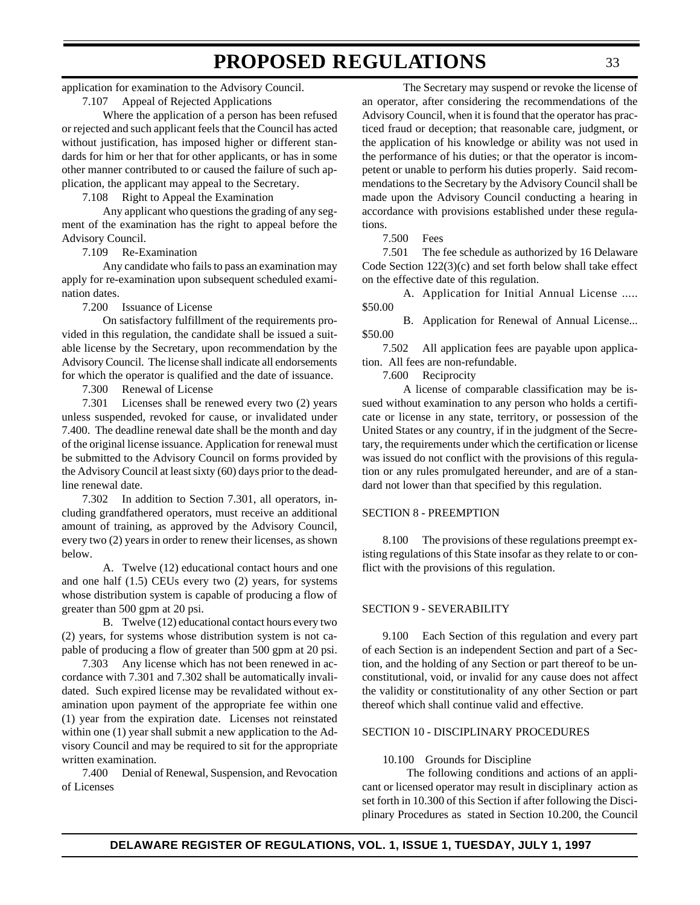application for examination to the Advisory Council.

7.107 Appeal of Rejected Applications

Where the application of a person has been refused or rejected and such applicant feels that the Council has acted without justification, has imposed higher or different standards for him or her that for other applicants, or has in some other manner contributed to or caused the failure of such application, the applicant may appeal to the Secretary.

7.108 Right to Appeal the Examination

Any applicant who questions the grading of any segment of the examination has the right to appeal before the Advisory Council.

7.109 Re-Examination

Any candidate who fails to pass an examination may apply for re-examination upon subsequent scheduled examination dates.

7.200 Issuance of License

On satisfactory fulfillment of the requirements provided in this regulation, the candidate shall be issued a suitable license by the Secretary, upon recommendation by the Advisory Council. The license shall indicate all endorsements for which the operator is qualified and the date of issuance.

7.300 Renewal of License

7.301 Licenses shall be renewed every two (2) years unless suspended, revoked for cause, or invalidated under 7.400. The deadline renewal date shall be the month and day of the original license issuance. Application for renewal must be submitted to the Advisory Council on forms provided by the Advisory Council at least sixty (60) days prior to the deadline renewal date.

7.302 In addition to Section 7.301, all operators, including grandfathered operators, must receive an additional amount of training, as approved by the Advisory Council, every two (2) years in order to renew their licenses, as shown below.

A. Twelve (12) educational contact hours and one and one half (1.5) CEUs every two (2) years, for systems whose distribution system is capable of producing a flow of greater than 500 gpm at 20 psi.

B. Twelve (12) educational contact hours every two (2) years, for systems whose distribution system is not capable of producing a flow of greater than 500 gpm at 20 psi.

7.303 Any license which has not been renewed in accordance with 7.301 and 7.302 shall be automatically invalidated. Such expired license may be revalidated without examination upon payment of the appropriate fee within one (1) year from the expiration date. Licenses not reinstated within one (1) year shall submit a new application to the Advisory Council and may be required to sit for the appropriate written examination.

7.400 Denial of Renewal, Suspension, and Revocation of Licenses

The Secretary may suspend or revoke the license of an operator, after considering the recommendations of the Advisory Council, when it is found that the operator has practiced fraud or deception; that reasonable care, judgment, or the application of his knowledge or ability was not used in the performance of his duties; or that the operator is incompetent or unable to perform his duties properly. Said recommendations to the Secretary by the Advisory Council shall be made upon the Advisory Council conducting a hearing in accordance with provisions established under these regulations.

7.500 Fees

7.501 The fee schedule as authorized by 16 Delaware Code Section 122(3)(c) and set forth below shall take effect on the effective date of this regulation.

A. Application for Initial Annual License ..... \$50.00

B. Application for Renewal of Annual License... \$50.00

7.502 All application fees are payable upon application. All fees are non-refundable.

7.600 Reciprocity

A license of comparable classification may be issued without examination to any person who holds a certificate or license in any state, territory, or possession of the United States or any country, if in the judgment of the Secretary, the requirements under which the certification or license was issued do not conflict with the provisions of this regulation or any rules promulgated hereunder, and are of a standard not lower than that specified by this regulation.

#### SECTION 8 - PREEMPTION

8.100 The provisions of these regulations preempt existing regulations of this State insofar as they relate to or conflict with the provisions of this regulation.

#### SECTION 9 - SEVERABILITY

9.100 Each Section of this regulation and every part of each Section is an independent Section and part of a Section, and the holding of any Section or part thereof to be unconstitutional, void, or invalid for any cause does not affect the validity or constitutionality of any other Section or part thereof which shall continue valid and effective.

#### SECTION 10 - DISCIPLINARY PROCEDURES

#### 10.100 Grounds for Discipline

 The following conditions and actions of an applicant or licensed operator may result in disciplinary action as set forth in 10.300 of this Section if after following the Disciplinary Procedures as stated in Section 10.200, the Council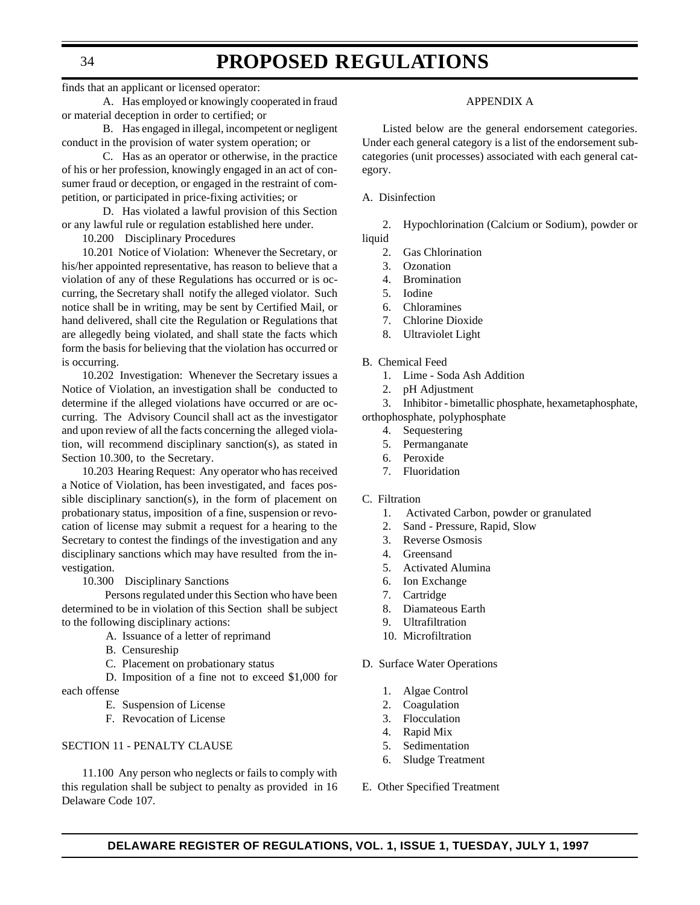## **PROPOSED REGULATIONS**

finds that an applicant or licensed operator:

A. Has employed or knowingly cooperated in fraud or material deception in order to certified; or

B. Has engaged in illegal, incompetent or negligent conduct in the provision of water system operation; or

C. Has as an operator or otherwise, in the practice of his or her profession, knowingly engaged in an act of consumer fraud or deception, or engaged in the restraint of competition, or participated in price-fixing activities; or

D. Has violated a lawful provision of this Section or any lawful rule or regulation established here under.

10.200 Disciplinary Procedures

10.201 Notice of Violation: Whenever the Secretary, or his/her appointed representative, has reason to believe that a violation of any of these Regulations has occurred or is occurring, the Secretary shall notify the alleged violator. Such notice shall be in writing, may be sent by Certified Mail, or hand delivered, shall cite the Regulation or Regulations that are allegedly being violated, and shall state the facts which form the basis for believing that the violation has occurred or is occurring.

10.202 Investigation: Whenever the Secretary issues a Notice of Violation, an investigation shall be conducted to determine if the alleged violations have occurred or are occurring. The Advisory Council shall act as the investigator and upon review of all the facts concerning the alleged violation, will recommend disciplinary sanction(s), as stated in Section 10.300, to the Secretary.

10.203 Hearing Request: Any operator who has received a Notice of Violation, has been investigated, and faces possible disciplinary sanction(s), in the form of placement on probationary status, imposition of a fine, suspension or revocation of license may submit a request for a hearing to the Secretary to contest the findings of the investigation and any disciplinary sanctions which may have resulted from the investigation.

10.300 Disciplinary Sanctions

 Persons regulated under this Section who have been determined to be in violation of this Section shall be subject to the following disciplinary actions:

- A. Issuance of a letter of reprimand
- B. Censureship
- C. Placement on probationary status

 D. Imposition of a fine not to exceed \$1,000 for each offense

- E. Suspension of License
- F. Revocation of License

#### SECTION 11 - PENALTY CLAUSE

11.100 Any person who neglects or fails to comply with this regulation shall be subject to penalty as provided in 16 Delaware Code 107.

#### APPENDIX A

Listed below are the general endorsement categories. Under each general category is a list of the endorsement subcategories (unit processes) associated with each general category.

#### A. Disinfection

2. Hypochlorination (Calcium or Sodium), powder or liquid

- 2. Gas Chlorination
- 3. Ozonation
- 4. Bromination
- 5. Iodine
- 6. Chloramines
- 7. Chlorine Dioxide
- 8. Ultraviolet Light

#### B. Chemical Feed

- 1. Lime Soda Ash Addition
- 2. pH Adjustment
- 3. Inhibitor bimetallic phosphate, hexametaphosphate,

orthophosphate, polyphosphate

- 4. Sequestering
- 5. Permanganate
- 6. Peroxide
- 7. Fluoridation

#### C. Filtration

- 1. Activated Carbon, powder or granulated
- 2. Sand Pressure, Rapid, Slow
- 3. Reverse Osmosis
- 4. Greensand
- 5. Activated Alumina
- 6. Ion Exchange
- 7. Cartridge
- 8. Diamateous Earth
- 9. Ultrafiltration
- 10. Microfiltration
- D. Surface Water Operations
	- 1. Algae Control
	- 2. Coagulation
	- 3. Flocculation
	- 4. Rapid Mix
	- 5. Sedimentation
	- 6. Sludge Treatment
- E. Other Specified Treatment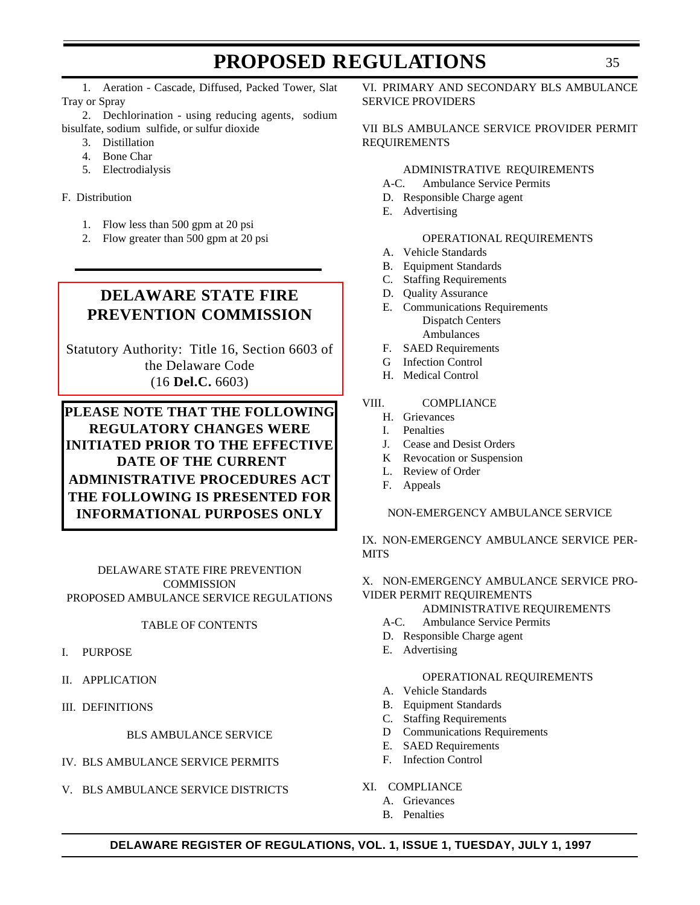<span id="page-34-0"></span>1. Aeration - Cascade, Diffused, Packed Tower, Slat Tray or Spray

2. Dechlorination - using reducing agents, sodium bisulfate, sodium sulfide, or sulfur dioxide

- 3. Distillation
- 4. Bone Char
- 5. Electrodialysis

F. Distribution

- 1. Flow less than 500 gpm at 20 psi
- 2. Flow greater than 500 gpm at 20 psi

### **DELAWARE STATE FIRE PREVENTION COMMISSION**

[Statutory Authority: Title 16, Section 6603 of](#page-3-0) the Delaware Code (16 **Del.C.** 6603)

#### **PLEASE NOTE THAT THE FOLLOWING REGULATORY CHANGES WERE INITIATED PRIOR TO THE EFFECTIVE DATE OF THE CURRENT ADMINISTRATIVE PROCEDURES ACT THE FOLLOWING IS PRESENTED FOR INFORMATIONAL PURPOSES ONLY**

DELAWARE STATE FIRE PREVENTION **COMMISSION** PROPOSED AMBULANCE SERVICE REGULATIONS

#### TABLE OF CONTENTS

- I. PURPOSE
- II. APPLICATION
- III. DEFINITIONS

#### BLS AMBULANCE SERVICE

- IV. BLS AMBULANCE SERVICE PERMITS
- V. BLS AMBULANCE SERVICE DISTRICTS

VI. PRIMARY AND SECONDARY BLS AMBULANCE SERVICE PROVIDERS

#### VII BLS AMBULANCE SERVICE PROVIDER PERMIT REQUIREMENTS

#### ADMINISTRATIVE REQUIREMENTS

- A-C. Ambulance Service Permits
- D. Responsible Charge agent
- E. Advertising

#### OPERATIONAL REQUIREMENTS

- A. Vehicle Standards
- B. Equipment Standards
- C. Staffing Requirements
- D. Quality Assurance
- E. Communications Requirements Dispatch Centers Ambulances
- F. SAED Requirements
- G Infection Control
- H. Medical Control

#### VIII. COMPLIANCE

- H. Grievances
- I. Penalties
- J. Cease and Desist Orders
- K Revocation or Suspension
- L. Review of Order
- F. Appeals

#### NON-EMERGENCY AMBULANCE SERVICE

IX. NON-EMERGENCY AMBULANCE SERVICE PER-**MITS** 

#### X. NON-EMERGENCY AMBULANCE SERVICE PRO-VIDER PERMIT REQUIREMENTS

#### ADMINISTRATIVE REQUIREMENTS

- A-C. Ambulance Service Permits
- D. Responsible Charge agent
- E. Advertising

#### OPERATIONAL REQUIREMENTS

- A. Vehicle Standards
- B. Equipment Standards
- C. Staffing Requirements
- D Communications Requirements
- E. SAED Requirements
- F. Infection Control
- XI. COMPLIANCE
	- A. Grievances
	- B. Penalties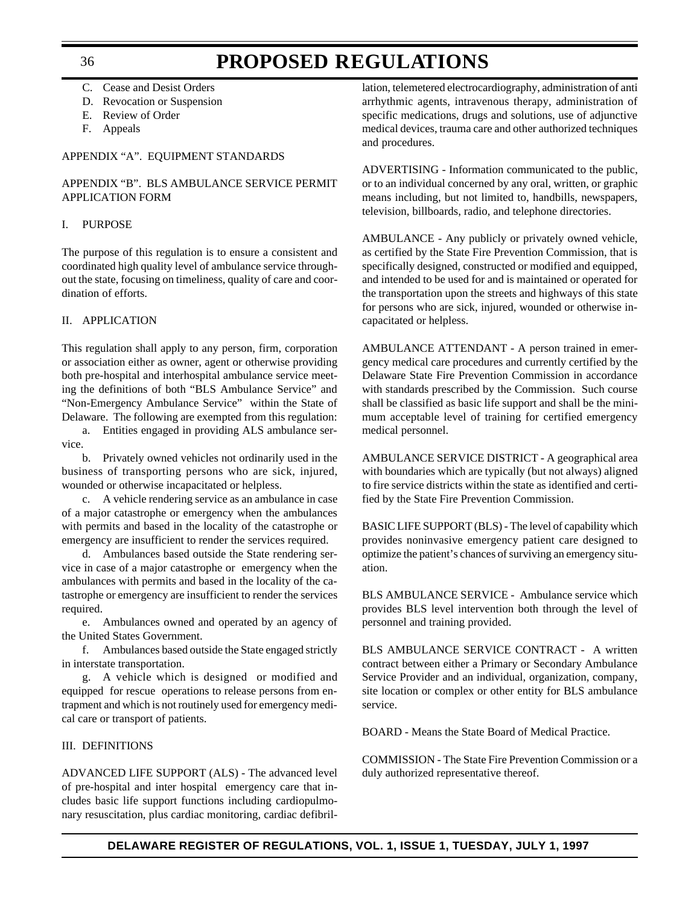- C. Cease and Desist Orders
- D. Revocation or Suspension
- E. Review of Order
- F. Appeals

#### APPENDIX "A". EQUIPMENT STANDARDS

#### APPENDIX "B". BLS AMBULANCE SERVICE PERMIT APPLICATION FORM

#### I. PURPOSE

The purpose of this regulation is to ensure a consistent and coordinated high quality level of ambulance service throughout the state, focusing on timeliness, quality of care and coordination of efforts.

#### II. APPLICATION

This regulation shall apply to any person, firm, corporation or association either as owner, agent or otherwise providing both pre-hospital and interhospital ambulance service meeting the definitions of both "BLS Ambulance Service" and "Non-Emergency Ambulance Service" within the State of Delaware. The following are exempted from this regulation:

a. Entities engaged in providing ALS ambulance service.

b. Privately owned vehicles not ordinarily used in the business of transporting persons who are sick, injured, wounded or otherwise incapacitated or helpless.

c. A vehicle rendering service as an ambulance in case of a major catastrophe or emergency when the ambulances with permits and based in the locality of the catastrophe or emergency are insufficient to render the services required.

d. Ambulances based outside the State rendering service in case of a major catastrophe or emergency when the ambulances with permits and based in the locality of the catastrophe or emergency are insufficient to render the services required.

e. Ambulances owned and operated by an agency of the United States Government.

f. Ambulances based outside the State engaged strictly in interstate transportation.

g. A vehicle which is designed or modified and equipped for rescue operations to release persons from entrapment and which is not routinely used for emergency medical care or transport of patients.

#### III. DEFINITIONS

ADVANCED LIFE SUPPORT (ALS) - The advanced level of pre-hospital and inter hospital emergency care that includes basic life support functions including cardiopulmonary resuscitation, plus cardiac monitoring, cardiac defibril-

lation, telemetered electrocardiography, administration of anti arrhythmic agents, intravenous therapy, administration of specific medications, drugs and solutions, use of adjunctive medical devices, trauma care and other authorized techniques and procedures.

ADVERTISING - Information communicated to the public, or to an individual concerned by any oral, written, or graphic means including, but not limited to, handbills, newspapers, television, billboards, radio, and telephone directories.

AMBULANCE - Any publicly or privately owned vehicle, as certified by the State Fire Prevention Commission, that is specifically designed, constructed or modified and equipped, and intended to be used for and is maintained or operated for the transportation upon the streets and highways of this state for persons who are sick, injured, wounded or otherwise incapacitated or helpless.

AMBULANCE ATTENDANT - A person trained in emergency medical care procedures and currently certified by the Delaware State Fire Prevention Commission in accordance with standards prescribed by the Commission. Such course shall be classified as basic life support and shall be the minimum acceptable level of training for certified emergency medical personnel.

AMBULANCE SERVICE DISTRICT - A geographical area with boundaries which are typically (but not always) aligned to fire service districts within the state as identified and certified by the State Fire Prevention Commission.

BASIC LIFE SUPPORT (BLS) - The level of capability which provides noninvasive emergency patient care designed to optimize the patient's chances of surviving an emergency situation.

BLS AMBULANCE SERVICE - Ambulance service which provides BLS level intervention both through the level of personnel and training provided.

BLS AMBULANCE SERVICE CONTRACT - A written contract between either a Primary or Secondary Ambulance Service Provider and an individual, organization, company, site location or complex or other entity for BLS ambulance service.

BOARD - Means the State Board of Medical Practice.

COMMISSION - The State Fire Prevention Commission or a duly authorized representative thereof.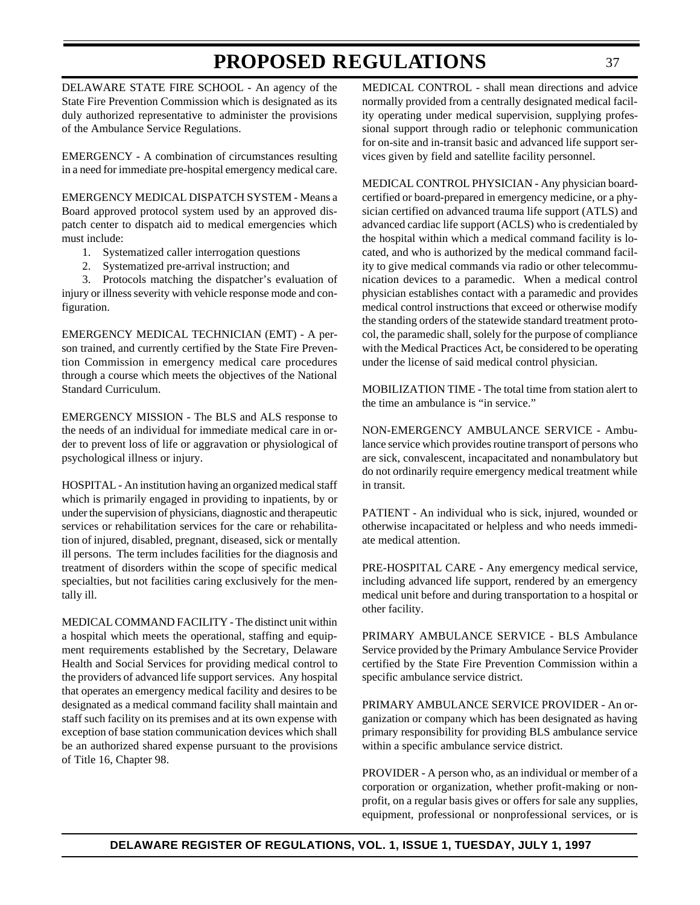DELAWARE STATE FIRE SCHOOL - An agency of the State Fire Prevention Commission which is designated as its duly authorized representative to administer the provisions of the Ambulance Service Regulations.

EMERGENCY - A combination of circumstances resulting in a need for immediate pre-hospital emergency medical care.

EMERGENCY MEDICAL DISPATCH SYSTEM - Means a Board approved protocol system used by an approved dispatch center to dispatch aid to medical emergencies which must include:

- 1. Systematized caller interrogation questions
- 2. Systematized pre-arrival instruction; and

3. Protocols matching the dispatcher's evaluation of injury or illness severity with vehicle response mode and configuration.

EMERGENCY MEDICAL TECHNICIAN (EMT) - A person trained, and currently certified by the State Fire Prevention Commission in emergency medical care procedures through a course which meets the objectives of the National Standard Curriculum.

EMERGENCY MISSION - The BLS and ALS response to the needs of an individual for immediate medical care in order to prevent loss of life or aggravation or physiological of psychological illness or injury.

HOSPITAL - An institution having an organized medical staff which is primarily engaged in providing to inpatients, by or under the supervision of physicians, diagnostic and therapeutic services or rehabilitation services for the care or rehabilitation of injured, disabled, pregnant, diseased, sick or mentally ill persons. The term includes facilities for the diagnosis and treatment of disorders within the scope of specific medical specialties, but not facilities caring exclusively for the mentally ill.

MEDICAL COMMAND FACILITY - The distinct unit within a hospital which meets the operational, staffing and equipment requirements established by the Secretary, Delaware Health and Social Services for providing medical control to the providers of advanced life support services. Any hospital that operates an emergency medical facility and desires to be designated as a medical command facility shall maintain and staff such facility on its premises and at its own expense with exception of base station communication devices which shall be an authorized shared expense pursuant to the provisions of Title 16, Chapter 98.

MEDICAL CONTROL - shall mean directions and advice normally provided from a centrally designated medical facility operating under medical supervision, supplying professional support through radio or telephonic communication for on-site and in-transit basic and advanced life support services given by field and satellite facility personnel.

MEDICAL CONTROL PHYSICIAN - Any physician boardcertified or board-prepared in emergency medicine, or a physician certified on advanced trauma life support (ATLS) and advanced cardiac life support (ACLS) who is credentialed by the hospital within which a medical command facility is located, and who is authorized by the medical command facility to give medical commands via radio or other telecommunication devices to a paramedic. When a medical control physician establishes contact with a paramedic and provides medical control instructions that exceed or otherwise modify the standing orders of the statewide standard treatment protocol, the paramedic shall, solely for the purpose of compliance with the Medical Practices Act, be considered to be operating under the license of said medical control physician.

MOBILIZATION TIME - The total time from station alert to the time an ambulance is "in service."

NON-EMERGENCY AMBULANCE SERVICE - Ambulance service which provides routine transport of persons who are sick, convalescent, incapacitated and nonambulatory but do not ordinarily require emergency medical treatment while in transit.

PATIENT - An individual who is sick, injured, wounded or otherwise incapacitated or helpless and who needs immediate medical attention.

PRE-HOSPITAL CARE - Any emergency medical service, including advanced life support, rendered by an emergency medical unit before and during transportation to a hospital or other facility.

PRIMARY AMBULANCE SERVICE - BLS Ambulance Service provided by the Primary Ambulance Service Provider certified by the State Fire Prevention Commission within a specific ambulance service district.

PRIMARY AMBULANCE SERVICE PROVIDER - An organization or company which has been designated as having primary responsibility for providing BLS ambulance service within a specific ambulance service district.

PROVIDER - A person who, as an individual or member of a corporation or organization, whether profit-making or nonprofit, on a regular basis gives or offers for sale any supplies, equipment, professional or nonprofessional services, or is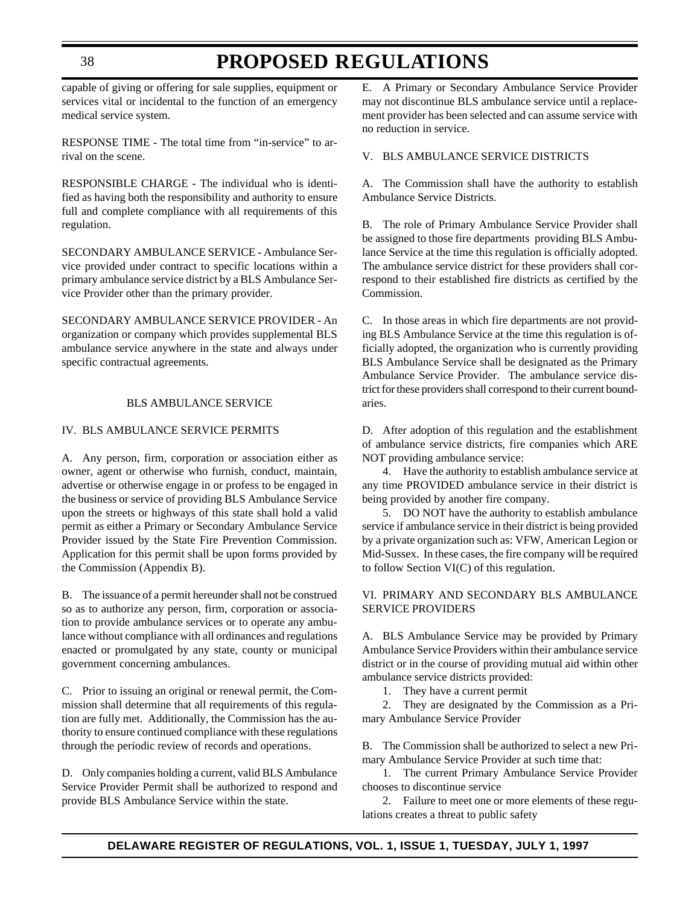capable of giving or offering for sale supplies, equipment or services vital or incidental to the function of an emergency medical service system.

RESPONSE TIME - The total time from "in-service" to arrival on the scene.

RESPONSIBLE CHARGE - The individual who is identified as having both the responsibility and authority to ensure full and complete compliance with all requirements of this regulation.

SECONDARY AMBULANCE SERVICE - Ambulance Service provided under contract to specific locations within a primary ambulance service district by a BLS Ambulance Service Provider other than the primary provider.

SECONDARY AMBULANCE SERVICE PROVIDER - An organization or company which provides supplemental BLS ambulance service anywhere in the state and always under specific contractual agreements.

### BLS AMBULANCE SERVICE

#### IV. BLS AMBULANCE SERVICE PERMITS

A. Any person, firm, corporation or association either as owner, agent or otherwise who furnish, conduct, maintain, advertise or otherwise engage in or profess to be engaged in the business or service of providing BLS Ambulance Service upon the streets or highways of this state shall hold a valid permit as either a Primary or Secondary Ambulance Service Provider issued by the State Fire Prevention Commission. Application for this permit shall be upon forms provided by the Commission (Appendix B).

B. The issuance of a permit hereunder shall not be construed so as to authorize any person, firm, corporation or association to provide ambulance services or to operate any ambulance without compliance with all ordinances and regulations enacted or promulgated by any state, county or municipal government concerning ambulances.

C. Prior to issuing an original or renewal permit, the Commission shall determine that all requirements of this regulation are fully met. Additionally, the Commission has the authority to ensure continued compliance with these regulations through the periodic review of records and operations.

D. Only companies holding a current, valid BLS Ambulance Service Provider Permit shall be authorized to respond and provide BLS Ambulance Service within the state.

E. A Primary or Secondary Ambulance Service Provider may not discontinue BLS ambulance service until a replacement provider has been selected and can assume service with no reduction in service.

### V. BLS AMBULANCE SERVICE DISTRICTS

A. The Commission shall have the authority to establish Ambulance Service Districts.

B. The role of Primary Ambulance Service Provider shall be assigned to those fire departments providing BLS Ambulance Service at the time this regulation is officially adopted. The ambulance service district for these providers shall correspond to their established fire districts as certified by the Commission.

C. In those areas in which fire departments are not providing BLS Ambulance Service at the time this regulation is officially adopted, the organization who is currently providing BLS Ambulance Service shall be designated as the Primary Ambulance Service Provider. The ambulance service district for these providers shall correspond to their current boundaries.

D. After adoption of this regulation and the establishment of ambulance service districts, fire companies which ARE NOT providing ambulance service:

4. Have the authority to establish ambulance service at any time PROVIDED ambulance service in their district is being provided by another fire company.

5. DO NOT have the authority to establish ambulance service if ambulance service in their district is being provided by a private organization such as: VFW, American Legion or Mid-Sussex. In these cases, the fire company will be required to follow Section VI(C) of this regulation.

### VI. PRIMARY AND SECONDARY BLS AMBULANCE SERVICE PROVIDERS

A. BLS Ambulance Service may be provided by Primary Ambulance Service Providers within their ambulance service district or in the course of providing mutual aid within other ambulance service districts provided:

1. They have a current permit

2. They are designated by the Commission as a Primary Ambulance Service Provider

B. The Commission shall be authorized to select a new Primary Ambulance Service Provider at such time that:

1. The current Primary Ambulance Service Provider chooses to discontinue service

2. Failure to meet one or more elements of these regulations creates a threat to public safety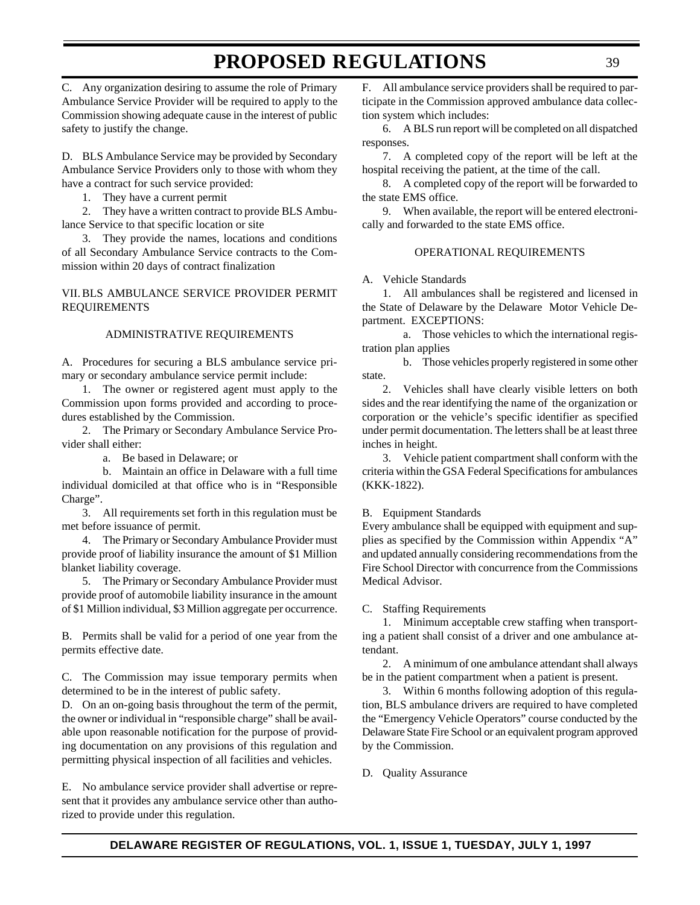C. Any organization desiring to assume the role of Primary Ambulance Service Provider will be required to apply to the Commission showing adequate cause in the interest of public safety to justify the change.

D. BLS Ambulance Service may be provided by Secondary Ambulance Service Providers only to those with whom they have a contract for such service provided:

1. They have a current permit

2. They have a written contract to provide BLS Ambulance Service to that specific location or site

3. They provide the names, locations and conditions of all Secondary Ambulance Service contracts to the Commission within 20 days of contract finalization

VII. BLS AMBULANCE SERVICE PROVIDER PERMIT REQUIREMENTS

### ADMINISTRATIVE REQUIREMENTS

A. Procedures for securing a BLS ambulance service primary or secondary ambulance service permit include:

1. The owner or registered agent must apply to the Commission upon forms provided and according to procedures established by the Commission.

2. The Primary or Secondary Ambulance Service Provider shall either:

a. Be based in Delaware; or

b. Maintain an office in Delaware with a full time individual domiciled at that office who is in "Responsible Charge".

3. All requirements set forth in this regulation must be met before issuance of permit.

4. The Primary or Secondary Ambulance Provider must provide proof of liability insurance the amount of \$1 Million blanket liability coverage.

5. The Primary or Secondary Ambulance Provider must provide proof of automobile liability insurance in the amount of \$1 Million individual, \$3 Million aggregate per occurrence.

B. Permits shall be valid for a period of one year from the permits effective date.

C. The Commission may issue temporary permits when determined to be in the interest of public safety.

D. On an on-going basis throughout the term of the permit, the owner or individual in "responsible charge" shall be available upon reasonable notification for the purpose of providing documentation on any provisions of this regulation and permitting physical inspection of all facilities and vehicles.

E. No ambulance service provider shall advertise or represent that it provides any ambulance service other than authorized to provide under this regulation.

F. All ambulance service providers shall be required to participate in the Commission approved ambulance data collection system which includes:

6. A BLS run report will be completed on all dispatched responses.

7. A completed copy of the report will be left at the hospital receiving the patient, at the time of the call.

8. A completed copy of the report will be forwarded to the state EMS office.

9. When available, the report will be entered electronically and forwarded to the state EMS office.

#### OPERATIONAL REQUIREMENTS

#### A. Vehicle Standards

1. All ambulances shall be registered and licensed in the State of Delaware by the Delaware Motor Vehicle Department. EXCEPTIONS:

a. Those vehicles to which the international registration plan applies

b. Those vehicles properly registered in some other state.

2. Vehicles shall have clearly visible letters on both sides and the rear identifying the name of the organization or corporation or the vehicle's specific identifier as specified under permit documentation. The letters shall be at least three inches in height.

3. Vehicle patient compartment shall conform with the criteria within the GSA Federal Specifications for ambulances (KKK-1822).

#### B. Equipment Standards

Every ambulance shall be equipped with equipment and supplies as specified by the Commission within Appendix "A" and updated annually considering recommendations from the Fire School Director with concurrence from the Commissions Medical Advisor.

#### C. Staffing Requirements

1. Minimum acceptable crew staffing when transporting a patient shall consist of a driver and one ambulance attendant.

2. A minimum of one ambulance attendant shall always be in the patient compartment when a patient is present.

3. Within 6 months following adoption of this regulation, BLS ambulance drivers are required to have completed the "Emergency Vehicle Operators" course conducted by the Delaware State Fire School or an equivalent program approved by the Commission.

D. Quality Assurance

## **DELAWARE REGISTER OF REGULATIONS, VOL. 1, ISSUE 1, TUESDAY, JULY 1, 1997**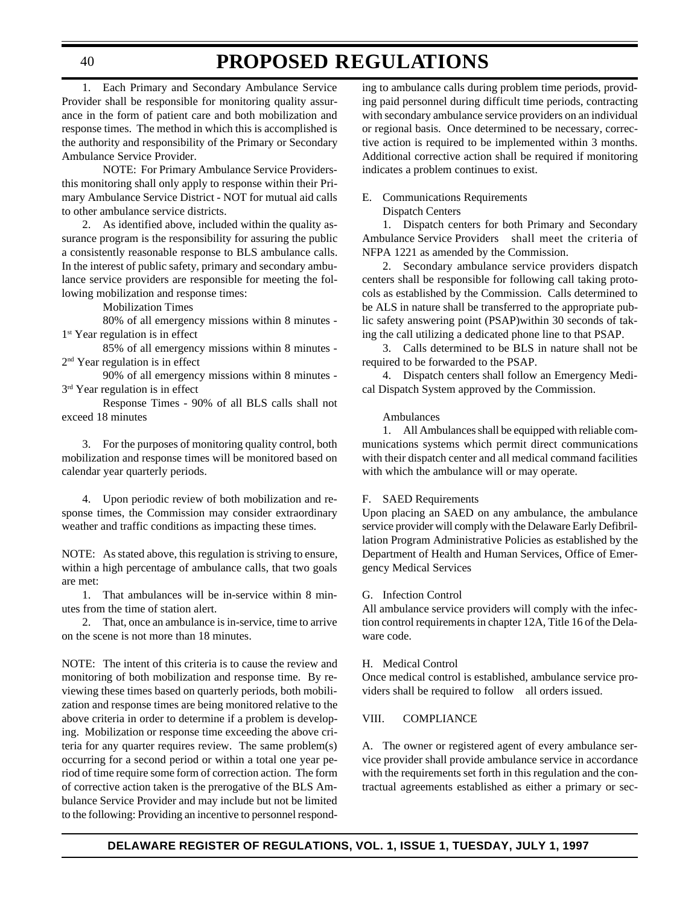1. Each Primary and Secondary Ambulance Service Provider shall be responsible for monitoring quality assurance in the form of patient care and both mobilization and response times. The method in which this is accomplished is the authority and responsibility of the Primary or Secondary Ambulance Service Provider.

NOTE: For Primary Ambulance Service Providersthis monitoring shall only apply to response within their Primary Ambulance Service District - NOT for mutual aid calls to other ambulance service districts.

2. As identified above, included within the quality assurance program is the responsibility for assuring the public a consistently reasonable response to BLS ambulance calls. In the interest of public safety, primary and secondary ambulance service providers are responsible for meeting the following mobilization and response times:

Mobilization Times

80% of all emergency missions within 8 minutes - 1<sup>st</sup> Year regulation is in effect

85% of all emergency missions within 8 minutes - 2nd Year regulation is in effect

90% of all emergency missions within 8 minutes - 3<sup>rd</sup> Year regulation is in effect

Response Times - 90% of all BLS calls shall not exceed 18 minutes

3. For the purposes of monitoring quality control, both mobilization and response times will be monitored based on calendar year quarterly periods.

4. Upon periodic review of both mobilization and response times, the Commission may consider extraordinary weather and traffic conditions as impacting these times.

NOTE: As stated above, this regulation is striving to ensure, within a high percentage of ambulance calls, that two goals are met:

1. That ambulances will be in-service within 8 minutes from the time of station alert.

2. That, once an ambulance is in-service, time to arrive on the scene is not more than 18 minutes.

NOTE: The intent of this criteria is to cause the review and monitoring of both mobilization and response time. By reviewing these times based on quarterly periods, both mobilization and response times are being monitored relative to the above criteria in order to determine if a problem is developing. Mobilization or response time exceeding the above criteria for any quarter requires review. The same problem(s) occurring for a second period or within a total one year period of time require some form of correction action. The form of corrective action taken is the prerogative of the BLS Ambulance Service Provider and may include but not be limited to the following: Providing an incentive to personnel respond-

ing to ambulance calls during problem time periods, providing paid personnel during difficult time periods, contracting with secondary ambulance service providers on an individual or regional basis. Once determined to be necessary, corrective action is required to be implemented within 3 months. Additional corrective action shall be required if monitoring indicates a problem continues to exist.

### E. Communications Requirements

Dispatch Centers

1. Dispatch centers for both Primary and Secondary Ambulance Service Providers shall meet the criteria of NFPA 1221 as amended by the Commission.

2. Secondary ambulance service providers dispatch centers shall be responsible for following call taking protocols as established by the Commission. Calls determined to be ALS in nature shall be transferred to the appropriate public safety answering point (PSAP)within 30 seconds of taking the call utilizing a dedicated phone line to that PSAP.

3. Calls determined to be BLS in nature shall not be required to be forwarded to the PSAP.

4. Dispatch centers shall follow an Emergency Medical Dispatch System approved by the Commission.

#### Ambulances

1. All Ambulances shall be equipped with reliable communications systems which permit direct communications with their dispatch center and all medical command facilities with which the ambulance will or may operate.

#### F. SAED Requirements

Upon placing an SAED on any ambulance, the ambulance service provider will comply with the Delaware Early Defibrillation Program Administrative Policies as established by the Department of Health and Human Services, Office of Emergency Medical Services

#### G. Infection Control

All ambulance service providers will comply with the infection control requirements in chapter 12A, Title 16 of the Delaware code.

#### H. Medical Control

Once medical control is established, ambulance service providers shall be required to follow all orders issued.

#### VIII. COMPLIANCE

A. The owner or registered agent of every ambulance service provider shall provide ambulance service in accordance with the requirements set forth in this regulation and the contractual agreements established as either a primary or sec-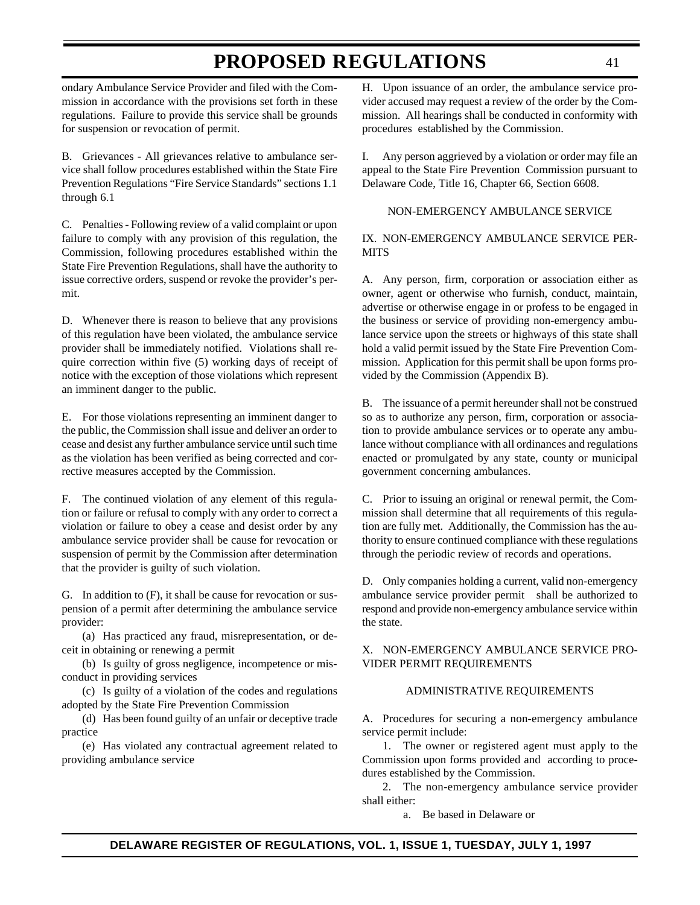ondary Ambulance Service Provider and filed with the Commission in accordance with the provisions set forth in these regulations. Failure to provide this service shall be grounds for suspension or revocation of permit.

B. Grievances - All grievances relative to ambulance service shall follow procedures established within the State Fire Prevention Regulations "Fire Service Standards" sections 1.1 through 6.1

C. Penalties - Following review of a valid complaint or upon failure to comply with any provision of this regulation, the Commission, following procedures established within the State Fire Prevention Regulations, shall have the authority to issue corrective orders, suspend or revoke the provider's permit.

D. Whenever there is reason to believe that any provisions of this regulation have been violated, the ambulance service provider shall be immediately notified. Violations shall require correction within five (5) working days of receipt of notice with the exception of those violations which represent an imminent danger to the public.

E. For those violations representing an imminent danger to the public, the Commission shall issue and deliver an order to cease and desist any further ambulance service until such time as the violation has been verified as being corrected and corrective measures accepted by the Commission.

F. The continued violation of any element of this regulation or failure or refusal to comply with any order to correct a violation or failure to obey a cease and desist order by any ambulance service provider shall be cause for revocation or suspension of permit by the Commission after determination that the provider is guilty of such violation.

G. In addition to (F), it shall be cause for revocation or suspension of a permit after determining the ambulance service provider:

(a) Has practiced any fraud, misrepresentation, or deceit in obtaining or renewing a permit

(b) Is guilty of gross negligence, incompetence or misconduct in providing services

(c) Is guilty of a violation of the codes and regulations adopted by the State Fire Prevention Commission

(d) Has been found guilty of an unfair or deceptive trade practice

(e) Has violated any contractual agreement related to providing ambulance service

H. Upon issuance of an order, the ambulance service provider accused may request a review of the order by the Commission. All hearings shall be conducted in conformity with procedures established by the Commission.

I. Any person aggrieved by a violation or order may file an appeal to the State Fire Prevention Commission pursuant to Delaware Code, Title 16, Chapter 66, Section 6608.

### NON-EMERGENCY AMBULANCE SERVICE

### IX. NON-EMERGENCY AMBULANCE SERVICE PER-**MITS**

A. Any person, firm, corporation or association either as owner, agent or otherwise who furnish, conduct, maintain, advertise or otherwise engage in or profess to be engaged in the business or service of providing non-emergency ambulance service upon the streets or highways of this state shall hold a valid permit issued by the State Fire Prevention Commission. Application for this permit shall be upon forms provided by the Commission (Appendix B).

B. The issuance of a permit hereunder shall not be construed so as to authorize any person, firm, corporation or association to provide ambulance services or to operate any ambulance without compliance with all ordinances and regulations enacted or promulgated by any state, county or municipal government concerning ambulances.

C. Prior to issuing an original or renewal permit, the Commission shall determine that all requirements of this regulation are fully met. Additionally, the Commission has the authority to ensure continued compliance with these regulations through the periodic review of records and operations.

D. Only companies holding a current, valid non-emergency ambulance service provider permit shall be authorized to respond and provide non-emergency ambulance service within the state.

### X. NON-EMERGENCY AMBULANCE SERVICE PRO-VIDER PERMIT REQUIREMENTS

### ADMINISTRATIVE REQUIREMENTS

A. Procedures for securing a non-emergency ambulance service permit include:

1. The owner or registered agent must apply to the Commission upon forms provided and according to procedures established by the Commission.

2. The non-emergency ambulance service provider shall either:

a. Be based in Delaware or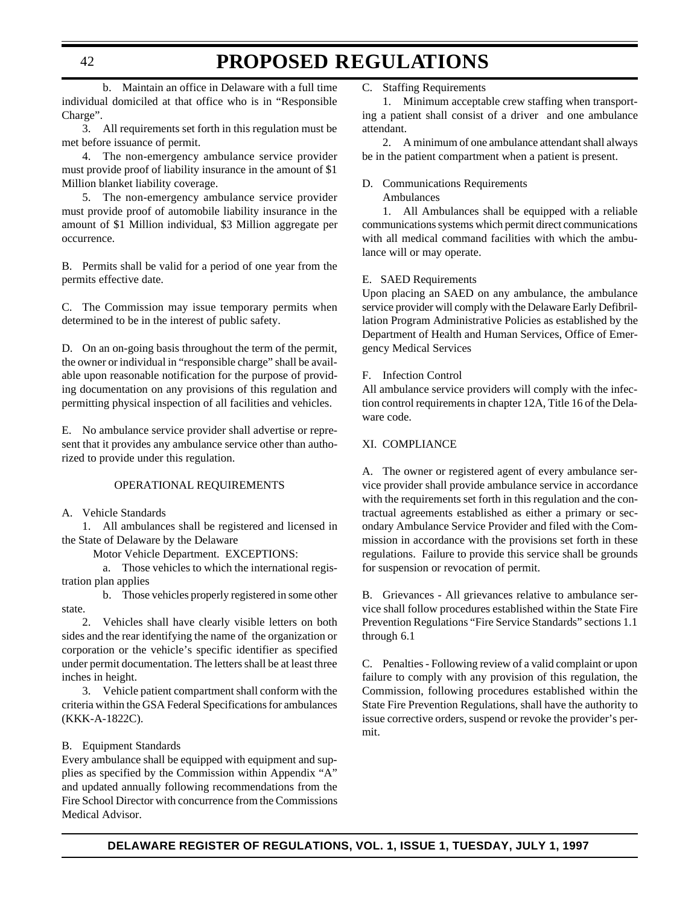b. Maintain an office in Delaware with a full time individual domiciled at that office who is in "Responsible Charge".

3. All requirements set forth in this regulation must be met before issuance of permit.

4. The non-emergency ambulance service provider must provide proof of liability insurance in the amount of \$1 Million blanket liability coverage.

5. The non-emergency ambulance service provider must provide proof of automobile liability insurance in the amount of \$1 Million individual, \$3 Million aggregate per occurrence.

B. Permits shall be valid for a period of one year from the permits effective date.

C. The Commission may issue temporary permits when determined to be in the interest of public safety.

D. On an on-going basis throughout the term of the permit, the owner or individual in "responsible charge" shall be available upon reasonable notification for the purpose of providing documentation on any provisions of this regulation and permitting physical inspection of all facilities and vehicles.

E. No ambulance service provider shall advertise or represent that it provides any ambulance service other than authorized to provide under this regulation.

#### OPERATIONAL REQUIREMENTS

A. Vehicle Standards

1. All ambulances shall be registered and licensed in the State of Delaware by the Delaware

Motor Vehicle Department. EXCEPTIONS:

a. Those vehicles to which the international registration plan applies

b. Those vehicles properly registered in some other state.

2. Vehicles shall have clearly visible letters on both sides and the rear identifying the name of the organization or corporation or the vehicle's specific identifier as specified under permit documentation. The letters shall be at least three inches in height.

3. Vehicle patient compartment shall conform with the criteria within the GSA Federal Specifications for ambulances (KKK-A-1822C).

#### B. Equipment Standards

Every ambulance shall be equipped with equipment and supplies as specified by the Commission within Appendix "A" and updated annually following recommendations from the Fire School Director with concurrence from the Commissions Medical Advisor.

C. Staffing Requirements

1. Minimum acceptable crew staffing when transporting a patient shall consist of a driver and one ambulance attendant.

2. A minimum of one ambulance attendant shall always be in the patient compartment when a patient is present.

### D. Communications Requirements

Ambulances

1. All Ambulances shall be equipped with a reliable communications systems which permit direct communications with all medical command facilities with which the ambulance will or may operate.

#### E. SAED Requirements

Upon placing an SAED on any ambulance, the ambulance service provider will comply with the Delaware Early Defibrillation Program Administrative Policies as established by the Department of Health and Human Services, Office of Emergency Medical Services

#### F. Infection Control

All ambulance service providers will comply with the infection control requirements in chapter 12A, Title 16 of the Delaware code.

#### XI. COMPLIANCE

A. The owner or registered agent of every ambulance service provider shall provide ambulance service in accordance with the requirements set forth in this regulation and the contractual agreements established as either a primary or secondary Ambulance Service Provider and filed with the Commission in accordance with the provisions set forth in these regulations. Failure to provide this service shall be grounds for suspension or revocation of permit.

B. Grievances - All grievances relative to ambulance service shall follow procedures established within the State Fire Prevention Regulations "Fire Service Standards" sections 1.1 through 6.1

C. Penalties - Following review of a valid complaint or upon failure to comply with any provision of this regulation, the Commission, following procedures established within the State Fire Prevention Regulations, shall have the authority to issue corrective orders, suspend or revoke the provider's permit.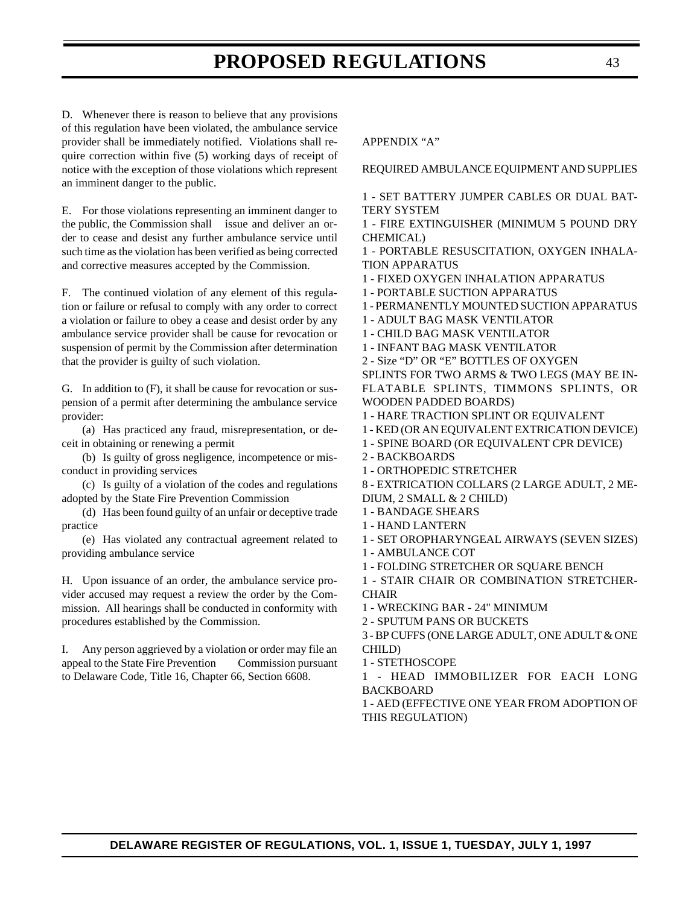D. Whenever there is reason to believe that any provisions of this regulation have been violated, the ambulance service provider shall be immediately notified. Violations shall require correction within five (5) working days of receipt of notice with the exception of those violations which represent an imminent danger to the public.

E. For those violations representing an imminent danger to the public, the Commission shall issue and deliver an order to cease and desist any further ambulance service until such time as the violation has been verified as being corrected and corrective measures accepted by the Commission.

F. The continued violation of any element of this regulation or failure or refusal to comply with any order to correct a violation or failure to obey a cease and desist order by any ambulance service provider shall be cause for revocation or suspension of permit by the Commission after determination that the provider is guilty of such violation.

G. In addition to (F), it shall be cause for revocation or suspension of a permit after determining the ambulance service provider:

(a) Has practiced any fraud, misrepresentation, or deceit in obtaining or renewing a permit

(b) Is guilty of gross negligence, incompetence or misconduct in providing services

(c) Is guilty of a violation of the codes and regulations adopted by the State Fire Prevention Commission

(d) Has been found guilty of an unfair or deceptive trade practice

(e) Has violated any contractual agreement related to providing ambulance service

H. Upon issuance of an order, the ambulance service provider accused may request a review the order by the Commission. All hearings shall be conducted in conformity with procedures established by the Commission.

I. Any person aggrieved by a violation or order may file an appeal to the State Fire Prevention Commission pursuant to Delaware Code, Title 16, Chapter 66, Section 6608.

### APPENDIX "A"

REQUIRED AMBULANCE EQUIPMENT AND SUPPLIES

1 - SET BATTERY JUMPER CABLES OR DUAL BAT-TERY SYSTEM

1 - FIRE EXTINGUISHER (MINIMUM 5 POUND DRY CHEMICAL)

1 - PORTABLE RESUSCITATION, OXYGEN INHALA-TION APPARATUS

1 - FIXED OXYGEN INHALATION APPARATUS

1 - PORTABLE SUCTION APPARATUS

1 - PERMANENTLY MOUNTED SUCTION APPARATUS

1 - ADULT BAG MASK VENTILATOR

1 - CHILD BAG MASK VENTILATOR

1 - INFANT BAG MASK VENTILATOR

2 - Size "D" OR "E" BOTTLES OF OXYGEN SPLINTS FOR TWO ARMS & TWO LEGS (MAY BE IN-

FLATABLE SPLINTS, TIMMONS SPLINTS, OR WOODEN PADDED BOARDS)

1 - HARE TRACTION SPLINT OR EQUIVALENT

1 - KED (OR AN EQUIVALENT EXTRICATION DEVICE)

1 - SPINE BOARD (OR EQUIVALENT CPR DEVICE)

2 - BACKBOARDS

1 - ORTHOPEDIC STRETCHER

8 - EXTRICATION COLLARS (2 LARGE ADULT, 2 ME-DIUM, 2 SMALL & 2 CHILD)

1 - BANDAGE SHEARS

1 - HAND LANTERN

1 - SET OROPHARYNGEAL AIRWAYS (SEVEN SIZES)

1 - AMBULANCE COT

1 - FOLDING STRETCHER OR SQUARE BENCH

1 - STAIR CHAIR OR COMBINATION STRETCHER-**CHAIR** 

1 - WRECKING BAR - 24" MINIMUM

2 - SPUTUM PANS OR BUCKETS

3 - BP CUFFS (ONE LARGE ADULT, ONE ADULT & ONE CHILD)

1 - STETHOSCOPE

1 - HEAD IMMOBILIZER FOR EACH LONG BACKBOARD

1 - AED (EFFECTIVE ONE YEAR FROM ADOPTION OF THIS REGULATION)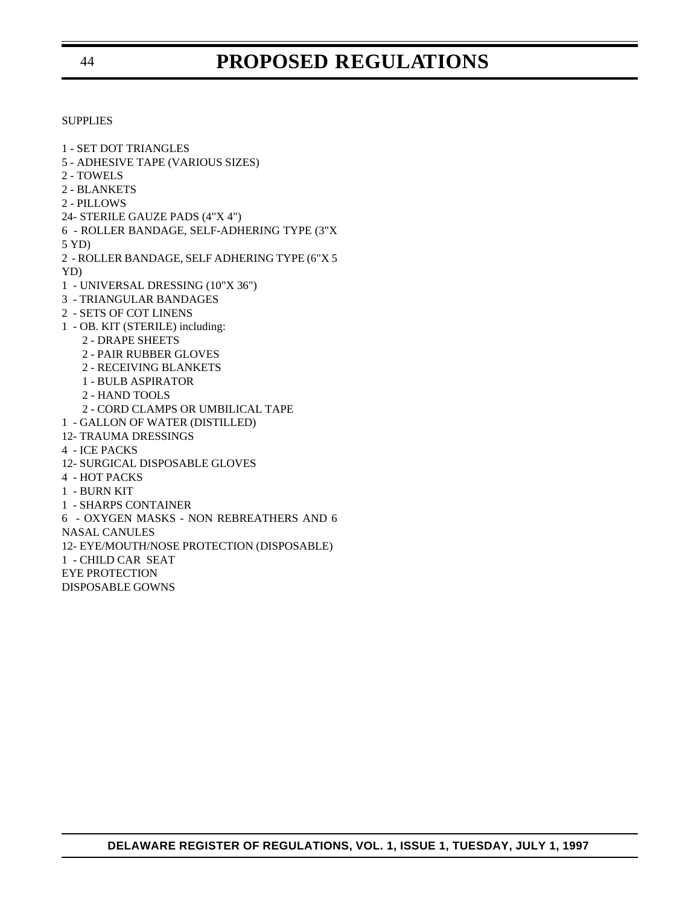#### **SUPPLIES**

1 - SET DOT TRIANGLES

- 5 ADHESIVE TAPE (VARIOUS SIZES)
- 2 TOWELS
- 2 BLANKETS
- 2 PILLOWS
- 24- STERILE GAUZE PADS (4"X 4")
- 6 ROLLER BANDAGE, SELF-ADHERING TYPE (3"X

5 YD)

2 - ROLLER BANDAGE, SELF ADHERING TYPE (6"X 5

YD)

- 1 UNIVERSAL DRESSING (10"X 36")
- 3 TRIANGULAR BANDAGES
- 2 SETS OF COT LINENS
- 1 OB. KIT (STERILE) including:
	- 2 DRAPE SHEETS
	- 2 PAIR RUBBER GLOVES
	- 2 RECEIVING BLANKETS
	- 1 BULB ASPIRATOR
	- 2 HAND TOOLS
	- 2 CORD CLAMPS OR UMBILICAL TAPE
- 1 GALLON OF WATER (DISTILLED)
- 12- TRAUMA DRESSINGS
- 4 ICE PACKS
- 12- SURGICAL DISPOSABLE GLOVES
- 4 HOT PACKS
- 1 BURN KIT
- 1 SHARPS CONTAINER
- 6 OXYGEN MASKS NON REBREATHERS AND 6

NASAL CANULES

12- EYE/MOUTH/NOSE PROTECTION (DISPOSABLE)

1 - CHILD CAR SEAT

- EYE PROTECTION
- DISPOSABLE GOWNS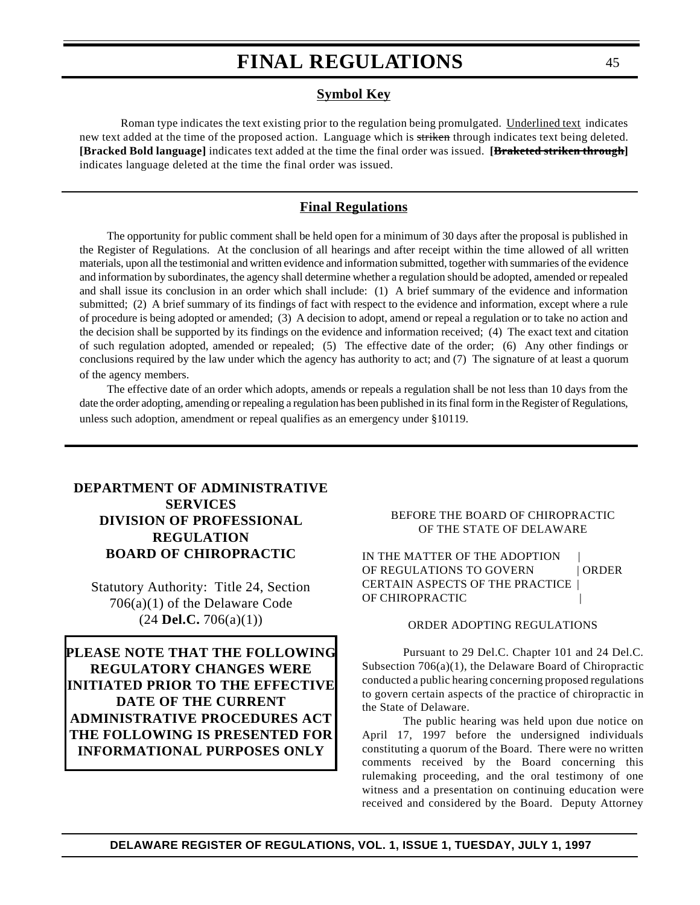### **Symbol Key**

Roman type indicates the text existing prior to the regulation being promulgated. Underlined text indicates new text added at the time of the proposed action. Language which is striken through indicates text being deleted. **[Bracked Bold language]** indicates text added at the time the final order was issued. **[Braketed striken through]** indicates language deleted at the time the final order was issued.

### **Final Regulations**

The opportunity for public comment shall be held open for a minimum of 30 days after the proposal is published in the Register of Regulations. At the conclusion of all hearings and after receipt within the time allowed of all written materials, upon all the testimonial and written evidence and information submitted, together with summaries of the evidence and information by subordinates, the agency shall determine whether a regulation should be adopted, amended or repealed and shall issue its conclusion in an order which shall include: (1) A brief summary of the evidence and information submitted; (2) A brief summary of its findings of fact with respect to the evidence and information, except where a rule of procedure is being adopted or amended; (3) A decision to adopt, amend or repeal a regulation or to take no action and the decision shall be supported by its findings on the evidence and information received; (4) The exact text and citation of such regulation adopted, amended or repealed; (5) The effective date of the order; (6) Any other findings or conclusions required by the law under which the agency has authority to act; and (7) The signature of at least a quorum of the agency members.

The effective date of an order which adopts, amends or repeals a regulation shall be not less than 10 days from the date the order adopting, amending or repealing a regulation has been published in its final form in the Register of Regulations, unless such adoption, amendment or repeal qualifies as an emergency under §10119.

### **[DEPARTMENT OF ADMINISTRATIVE](#page-3-0) SERVICES DIVISION OF PROFESSIONAL REGULATION BOARD OF CHIROPRACTIC**

Statutory Authority: Title 24, Section 706(a)(1) of the Delaware Code (24 **Del.C.** 706(a)(1))

**PLEASE NOTE THAT THE FOLLOWING REGULATORY CHANGES WERE INITIATED PRIOR TO THE EFFECTIVE DATE OF THE CURRENT ADMINISTRATIVE PROCEDURES ACT THE FOLLOWING IS PRESENTED FOR INFORMATIONAL PURPOSES ONLY**

### BEFORE THE BOARD OF CHIROPRACTIC OF THE STATE OF DELAWARE

IN THE MATTER OF THE ADOPTION OF REGULATIONS TO GOVERN | ORDER CERTAIN ASPECTS OF THE PRACTICE | OF CHIROPRACTIC |

#### ORDER ADOPTING REGULATIONS

Pursuant to 29 Del.C. Chapter 101 and 24 Del.C. Subsection 706(a)(1), the Delaware Board of Chiropractic conducted a public hearing concerning proposed regulations to govern certain aspects of the practice of chiropractic in the State of Delaware.

The public hearing was held upon due notice on April 17, 1997 before the undersigned individuals constituting a quorum of the Board. There were no written comments received by the Board concerning this rulemaking proceeding, and the oral testimony of one witness and a presentation on continuing education were received and considered by the Board. Deputy Attorney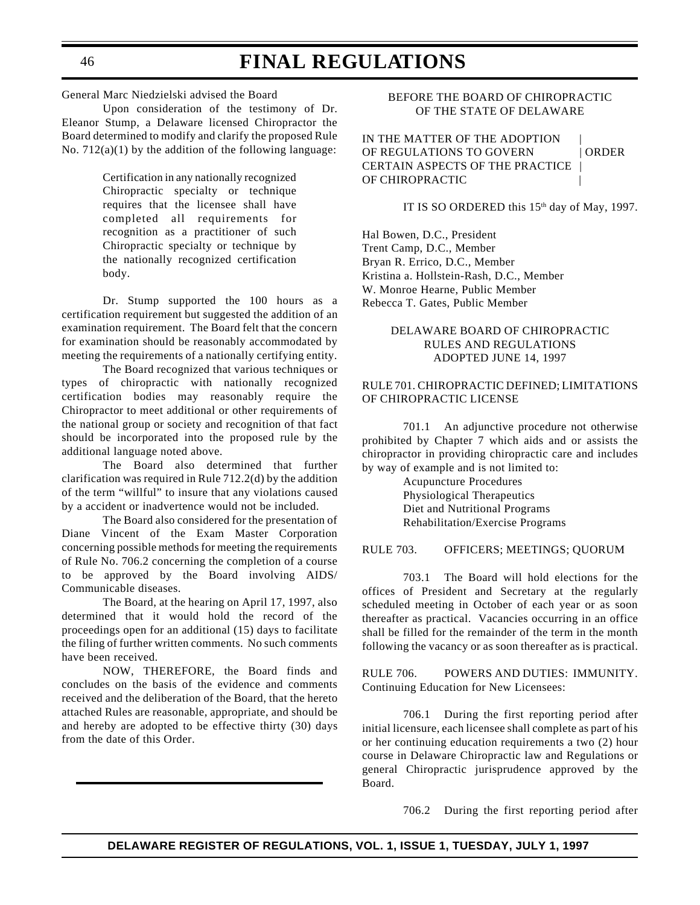General Marc Niedzielski advised the Board

Upon consideration of the testimony of Dr. Eleanor Stump, a Delaware licensed Chiropractor the Board determined to modify and clarify the proposed Rule No. 712(a)(1) by the addition of the following language:

> Certification in any nationally recognized Chiropractic specialty or technique requires that the licensee shall have completed all requirements for recognition as a practitioner of such Chiropractic specialty or technique by the nationally recognized certification body.

Dr. Stump supported the 100 hours as a certification requirement but suggested the addition of an examination requirement. The Board felt that the concern for examination should be reasonably accommodated by meeting the requirements of a nationally certifying entity.

The Board recognized that various techniques or types of chiropractic with nationally recognized certification bodies may reasonably require the Chiropractor to meet additional or other requirements of the national group or society and recognition of that fact should be incorporated into the proposed rule by the additional language noted above.

The Board also determined that further clarification was required in Rule 712.2(d) by the addition of the term "willful" to insure that any violations caused by a accident or inadvertence would not be included.

The Board also considered for the presentation of Diane Vincent of the Exam Master Corporation concerning possible methods for meeting the requirements of Rule No. 706.2 concerning the completion of a course to be approved by the Board involving AIDS/ Communicable diseases.

The Board, at the hearing on April 17, 1997, also determined that it would hold the record of the proceedings open for an additional (15) days to facilitate the filing of further written comments. No such comments have been received.

NOW, THEREFORE, the Board finds and concludes on the basis of the evidence and comments received and the deliberation of the Board, that the hereto attached Rules are reasonable, appropriate, and should be and hereby are adopted to be effective thirty (30) days from the date of this Order.

### BEFORE THE BOARD OF CHIROPRACTIC OF THE STATE OF DELAWARE

IN THE MATTER OF THE ADOPTION OF REGULATIONS TO GOVERN | ORDER CERTAIN ASPECTS OF THE PRACTICE | OF CHIROPRACTIC |

IT IS SO ORDERED this 15<sup>th</sup> day of May, 1997.

Hal Bowen, D.C., President Trent Camp, D.C., Member Bryan R. Errico, D.C., Member Kristina a. Hollstein-Rash, D.C., Member W. Monroe Hearne, Public Member Rebecca T. Gates, Public Member

### DELAWARE BOARD OF CHIROPRACTIC RULES AND REGULATIONS ADOPTED JUNE 14, 1997

### RULE 701. CHIROPRACTIC DEFINED; LIMITATIONS OF CHIROPRACTIC LICENSE

701.1 An adjunctive procedure not otherwise prohibited by Chapter 7 which aids and or assists the chiropractor in providing chiropractic care and includes by way of example and is not limited to:

> Acupuncture Procedures Physiological Therapeutics Diet and Nutritional Programs Rehabilitation/Exercise Programs

### RULE 703. OFFICERS; MEETINGS; QUORUM

703.1 The Board will hold elections for the offices of President and Secretary at the regularly scheduled meeting in October of each year or as soon thereafter as practical. Vacancies occurring in an office shall be filled for the remainder of the term in the month following the vacancy or as soon thereafter as is practical.

RULE 706. POWERS AND DUTIES: IMMUNITY. Continuing Education for New Licensees:

706.1 During the first reporting period after initial licensure, each licensee shall complete as part of his or her continuing education requirements a two (2) hour course in Delaware Chiropractic law and Regulations or general Chiropractic jurisprudence approved by the Board.

706.2 During the first reporting period after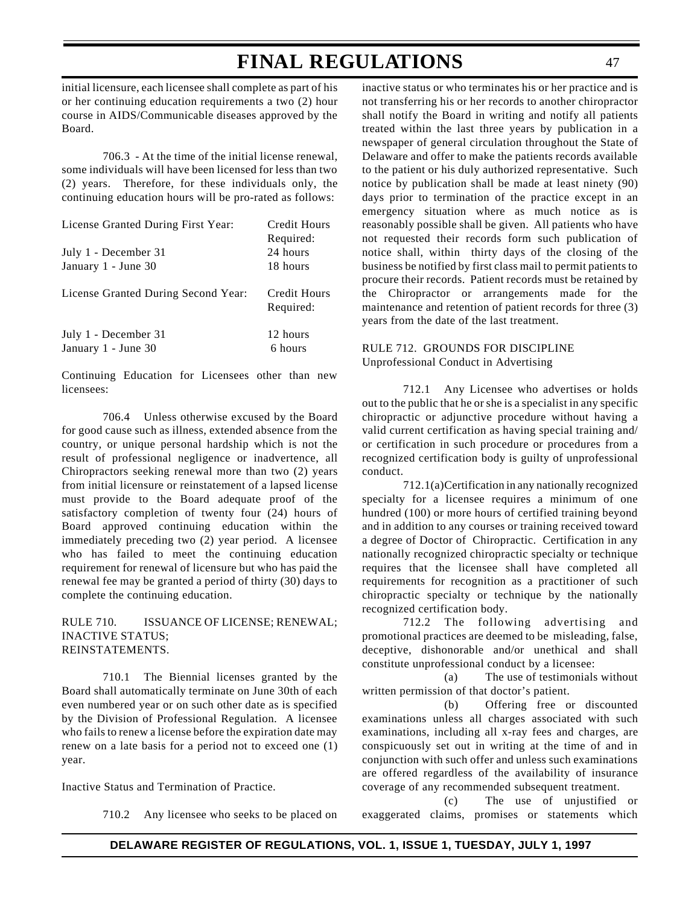initial licensure, each licensee shall complete as part of his or her continuing education requirements a two (2) hour course in AIDS/Communicable diseases approved by the Board.

706.3 - At the time of the initial license renewal, some individuals will have been licensed for less than two (2) years. Therefore, for these individuals only, the continuing education hours will be pro-rated as follows:

| License Granted During First Year:          | Credit Hours              |
|---------------------------------------------|---------------------------|
|                                             | Required:                 |
| July 1 - December 31                        | 24 hours                  |
| January 1 - June 30                         | 18 hours                  |
| License Granted During Second Year:         | Credit Hours<br>Required: |
| July 1 - December 31<br>January 1 - June 30 | 12 hours<br>6 hours       |

Continuing Education for Licensees other than new licensees:

706.4 Unless otherwise excused by the Board for good cause such as illness, extended absence from the country, or unique personal hardship which is not the result of professional negligence or inadvertence, all Chiropractors seeking renewal more than two (2) years from initial licensure or reinstatement of a lapsed license must provide to the Board adequate proof of the satisfactory completion of twenty four (24) hours of Board approved continuing education within the immediately preceding two (2) year period. A licensee who has failed to meet the continuing education requirement for renewal of licensure but who has paid the renewal fee may be granted a period of thirty (30) days to complete the continuing education.

### RULE 710. ISSUANCE OF LICENSE; RENEWAL; INACTIVE STATUS; REINSTATEMENTS.

710.1 The Biennial licenses granted by the Board shall automatically terminate on June 30th of each even numbered year or on such other date as is specified by the Division of Professional Regulation. A licensee who fails to renew a license before the expiration date may renew on a late basis for a period not to exceed one (1) year.

Inactive Status and Termination of Practice.

710.2 Any licensee who seeks to be placed on

inactive status or who terminates his or her practice and is not transferring his or her records to another chiropractor shall notify the Board in writing and notify all patients treated within the last three years by publication in a newspaper of general circulation throughout the State of Delaware and offer to make the patients records available to the patient or his duly authorized representative. Such notice by publication shall be made at least ninety (90) days prior to termination of the practice except in an emergency situation where as much notice as is reasonably possible shall be given. All patients who have not requested their records form such publication of notice shall, within thirty days of the closing of the business be notified by first class mail to permit patients to procure their records. Patient records must be retained by the Chiropractor or arrangements made for the maintenance and retention of patient records for three (3) years from the date of the last treatment.

### RULE 712. GROUNDS FOR DISCIPLINE Unprofessional Conduct in Advertising

712.1 Any Licensee who advertises or holds out to the public that he or she is a specialist in any specific chiropractic or adjunctive procedure without having a valid current certification as having special training and/ or certification in such procedure or procedures from a recognized certification body is guilty of unprofessional conduct.

712.1(a)Certification in any nationally recognized specialty for a licensee requires a minimum of one hundred (100) or more hours of certified training beyond and in addition to any courses or training received toward a degree of Doctor of Chiropractic. Certification in any nationally recognized chiropractic specialty or technique requires that the licensee shall have completed all requirements for recognition as a practitioner of such chiropractic specialty or technique by the nationally recognized certification body.

712.2 The following advertising and promotional practices are deemed to be misleading, false, deceptive, dishonorable and/or unethical and shall constitute unprofessional conduct by a licensee:

(a) The use of testimonials without written permission of that doctor's patient.

(b) Offering free or discounted examinations unless all charges associated with such examinations, including all x-ray fees and charges, are conspicuously set out in writing at the time of and in conjunction with such offer and unless such examinations are offered regardless of the availability of insurance coverage of any recommended subsequent treatment.

(c) The use of unjustified or exaggerated claims, promises or statements which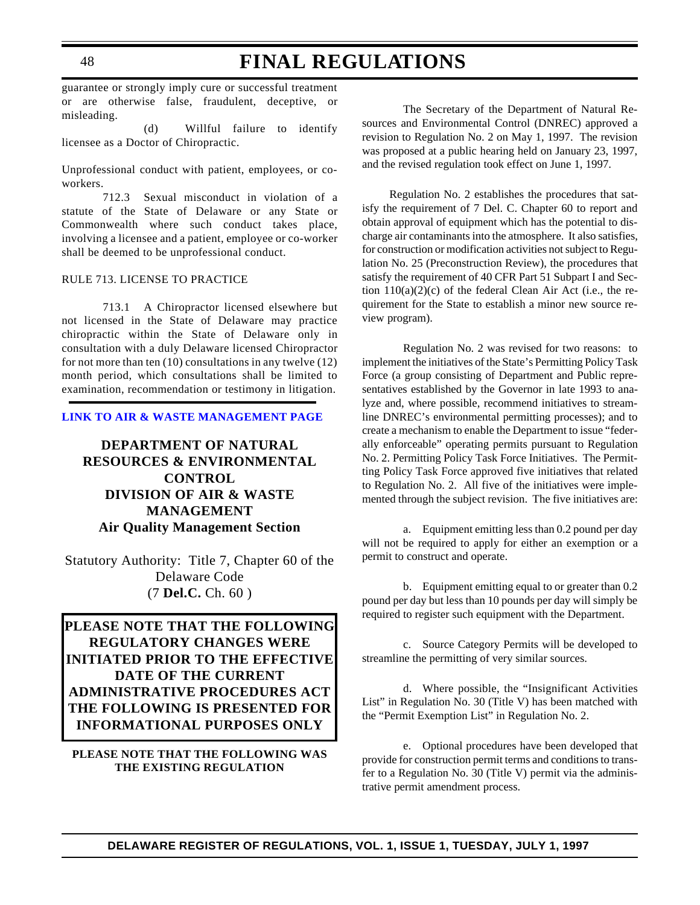guarantee or strongly imply cure or successful treatment or are otherwise false, fraudulent, deceptive, or misleading.

(d) Willful failure to identify licensee as a Doctor of Chiropractic.

Unprofessional conduct with patient, employees, or coworkers.

712.3 Sexual misconduct in violation of a statute of the State of Delaware or any State or Commonwealth where such conduct takes place, involving a licensee and a patient, employee or co-worker shall be deemed to be unprofessional conduct.

### RULE 713. LICENSE TO PRACTICE

713.1 A Chiropractor licensed elsewhere but not licensed in the State of Delaware may practice chiropractic within the State of Delaware only in consultation with a duly Delaware licensed Chiropractor for not more than ten  $(10)$  consultations in any twelve  $(12)$ month period, which consultations shall be limited to examination, recommendation or testimony in litigation.

#### **[LINK TO AIR & WASTE MANAGEMENT PAGE](http://www.dnrec.state.de.us/air/air_wste.htm)**

## **DEPARTMENT OF NATURAL [RESOURCES & ENVIRONMENTAL](#page-3-0) CONTROL DIVISION OF AIR & WASTE MANAGEMENT Air Quality Management Section**

Statutory Authority: Title 7, Chapter 60 of the Delaware Code (7 **Del.C.** Ch. 60 )

**PLEASE NOTE THAT THE FOLLOWING REGULATORY CHANGES WERE INITIATED PRIOR TO THE EFFECTIVE DATE OF THE CURRENT ADMINISTRATIVE PROCEDURES ACT THE FOLLOWING IS PRESENTED FOR INFORMATIONAL PURPOSES ONLY**

### **PLEASE NOTE THAT THE FOLLOWING WAS THE EXISTING REGULATION**

The Secretary of the Department of Natural Resources and Environmental Control (DNREC) approved a revision to Regulation No. 2 on May 1, 1997. The revision was proposed at a public hearing held on January 23, 1997, and the revised regulation took effect on June 1, 1997.

Regulation No. 2 establishes the procedures that satisfy the requirement of 7 Del. C. Chapter 60 to report and obtain approval of equipment which has the potential to discharge air contaminants into the atmosphere. It also satisfies, for construction or modification activities not subject to Regulation No. 25 (Preconstruction Review), the procedures that satisfy the requirement of 40 CFR Part 51 Subpart I and Section  $110(a)(2)(c)$  of the federal Clean Air Act (i.e., the requirement for the State to establish a minor new source review program).

Regulation No. 2 was revised for two reasons: to implement the initiatives of the State's Permitting Policy Task Force (a group consisting of Department and Public representatives established by the Governor in late 1993 to analyze and, where possible, recommend initiatives to streamline DNREC's environmental permitting processes); and to create a mechanism to enable the Department to issue "federally enforceable" operating permits pursuant to Regulation No. 2. Permitting Policy Task Force Initiatives. The Permitting Policy Task Force approved five initiatives that related to Regulation No. 2. All five of the initiatives were implemented through the subject revision. The five initiatives are:

a. Equipment emitting less than 0.2 pound per day will not be required to apply for either an exemption or a permit to construct and operate.

b. Equipment emitting equal to or greater than 0.2 pound per day but less than 10 pounds per day will simply be required to register such equipment with the Department.

c. Source Category Permits will be developed to streamline the permitting of very similar sources.

d. Where possible, the "Insignificant Activities List" in Regulation No. 30 (Title V) has been matched with the "Permit Exemption List" in Regulation No. 2.

e. Optional procedures have been developed that provide for construction permit terms and conditions to transfer to a Regulation No. 30 (Title V) permit via the administrative permit amendment process.

## **FINAL REGULATIONS**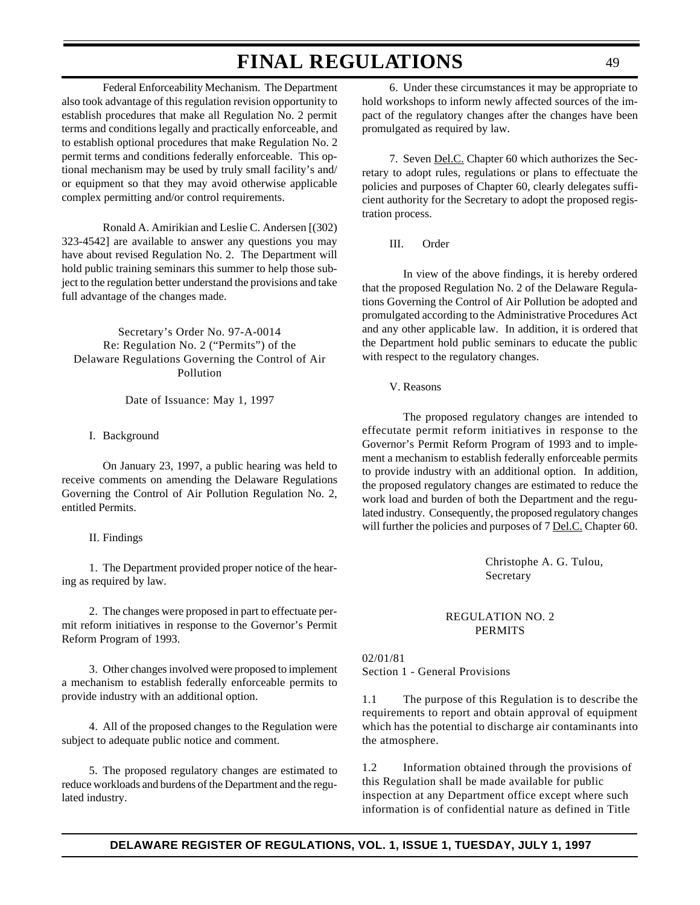Federal Enforceability Mechanism. The Department also took advantage of this regulation revision opportunity to establish procedures that make all Regulation No. 2 permit terms and conditions legally and practically enforceable, and to establish optional procedures that make Regulation No. 2 permit terms and conditions federally enforceable. This optional mechanism may be used by truly small facility's and/ or equipment so that they may avoid otherwise applicable complex permitting and/or control requirements.

Ronald A. Amirikian and Leslie C. Andersen [(302) 323-4542] are available to answer any questions you may have about revised Regulation No. 2. The Department will hold public training seminars this summer to help those subject to the regulation better understand the provisions and take full advantage of the changes made.

Secretary's Order No. 97-A-0014 Re: Regulation No. 2 ("Permits") of the Delaware Regulations Governing the Control of Air Pollution

Date of Issuance: May 1, 1997

I. Background

On January 23, 1997, a public hearing was held to receive comments on amending the Delaware Regulations Governing the Control of Air Pollution Regulation No. 2, entitled Permits.

#### II. Findings

1. The Department provided proper notice of the hearing as required by law.

2. The changes were proposed in part to effectuate permit reform initiatives in response to the Governor's Permit Reform Program of 1993.

3. Other changes involved were proposed to implement a mechanism to establish federally enforceable permits to provide industry with an additional option.

4. All of the proposed changes to the Regulation were subject to adequate public notice and comment.

5. The proposed regulatory changes are estimated to reduce workloads and burdens of the Department and the regulated industry.

6. Under these circumstances it may be appropriate to hold workshops to inform newly affected sources of the impact of the regulatory changes after the changes have been promulgated as required by law.

7. Seven Del.C. Chapter 60 which authorizes the Secretary to adopt rules, regulations or plans to effectuate the policies and purposes of Chapter 60, clearly delegates sufficient authority for the Secretary to adopt the proposed registration process.

III. Order

In view of the above findings, it is hereby ordered that the proposed Regulation No. 2 of the Delaware Regulations Governing the Control of Air Pollution be adopted and promulgated according to the Administrative Procedures Act and any other applicable law. In addition, it is ordered that the Department hold public seminars to educate the public with respect to the regulatory changes.

V. Reasons

The proposed regulatory changes are intended to effecutate permit reform initiatives in response to the Governor's Permit Reform Program of 1993 and to implement a mechanism to establish federally enforceable permits to provide industry with an additional option. In addition, the proposed regulatory changes are estimated to reduce the work load and burden of both the Department and the regulated industry. Consequently, the proposed regulatory changes will further the policies and purposes of 7 Del.C. Chapter 60.

> Christophe A. G. Tulou, Secretary

### REGULATION NO. 2 PERMITS

02/01/81 Section 1 - General Provisions

1.1 The purpose of this Regulation is to describe the requirements to report and obtain approval of equipment which has the potential to discharge air contaminants into the atmosphere.

1.2 Information obtained through the provisions of this Regulation shall be made available for public inspection at any Department office except where such information is of confidential nature as defined in Title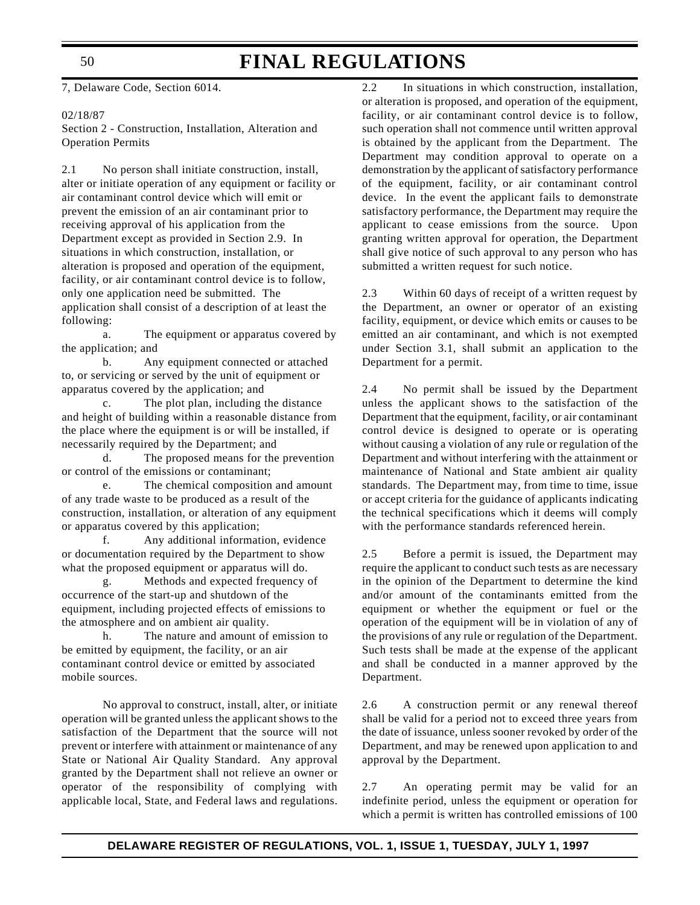### 50

# **FINAL REGULATIONS**

7, Delaware Code, Section 6014.

#### 02/18/87

Section 2 - Construction, Installation, Alteration and Operation Permits

2.1 No person shall initiate construction, install, alter or initiate operation of any equipment or facility or air contaminant control device which will emit or prevent the emission of an air contaminant prior to receiving approval of his application from the Department except as provided in Section 2.9. In situations in which construction, installation, or alteration is proposed and operation of the equipment, facility, or air contaminant control device is to follow, only one application need be submitted. The application shall consist of a description of at least the following:

a. The equipment or apparatus covered by the application; and

b. Any equipment connected or attached to, or servicing or served by the unit of equipment or apparatus covered by the application; and

c. The plot plan, including the distance and height of building within a reasonable distance from the place where the equipment is or will be installed, if necessarily required by the Department; and

d. The proposed means for the prevention or control of the emissions or contaminant;

e. The chemical composition and amount of any trade waste to be produced as a result of the construction, installation, or alteration of any equipment or apparatus covered by this application;

f. Any additional information, evidence or documentation required by the Department to show what the proposed equipment or apparatus will do.

g. Methods and expected frequency of occurrence of the start-up and shutdown of the equipment, including projected effects of emissions to the atmosphere and on ambient air quality.

h. The nature and amount of emission to be emitted by equipment, the facility, or an air contaminant control device or emitted by associated mobile sources.

No approval to construct, install, alter, or initiate operation will be granted unless the applicant shows to the satisfaction of the Department that the source will not prevent or interfere with attainment or maintenance of any State or National Air Quality Standard. Any approval granted by the Department shall not relieve an owner or operator of the responsibility of complying with applicable local, State, and Federal laws and regulations.

2.2 In situations in which construction, installation, or alteration is proposed, and operation of the equipment, facility, or air contaminant control device is to follow, such operation shall not commence until written approval is obtained by the applicant from the Department. The Department may condition approval to operate on a demonstration by the applicant of satisfactory performance of the equipment, facility, or air contaminant control device. In the event the applicant fails to demonstrate satisfactory performance, the Department may require the applicant to cease emissions from the source. Upon granting written approval for operation, the Department shall give notice of such approval to any person who has submitted a written request for such notice.

2.3 Within 60 days of receipt of a written request by the Department, an owner or operator of an existing facility, equipment, or device which emits or causes to be emitted an air contaminant, and which is not exempted under Section 3.1, shall submit an application to the Department for a permit.

2.4 No permit shall be issued by the Department unless the applicant shows to the satisfaction of the Department that the equipment, facility, or air contaminant control device is designed to operate or is operating without causing a violation of any rule or regulation of the Department and without interfering with the attainment or maintenance of National and State ambient air quality standards. The Department may, from time to time, issue or accept criteria for the guidance of applicants indicating the technical specifications which it deems will comply with the performance standards referenced herein.

2.5 Before a permit is issued, the Department may require the applicant to conduct such tests as are necessary in the opinion of the Department to determine the kind and/or amount of the contaminants emitted from the equipment or whether the equipment or fuel or the operation of the equipment will be in violation of any of the provisions of any rule or regulation of the Department. Such tests shall be made at the expense of the applicant and shall be conducted in a manner approved by the Department.

2.6 A construction permit or any renewal thereof shall be valid for a period not to exceed three years from the date of issuance, unless sooner revoked by order of the Department, and may be renewed upon application to and approval by the Department.

2.7 An operating permit may be valid for an indefinite period, unless the equipment or operation for which a permit is written has controlled emissions of 100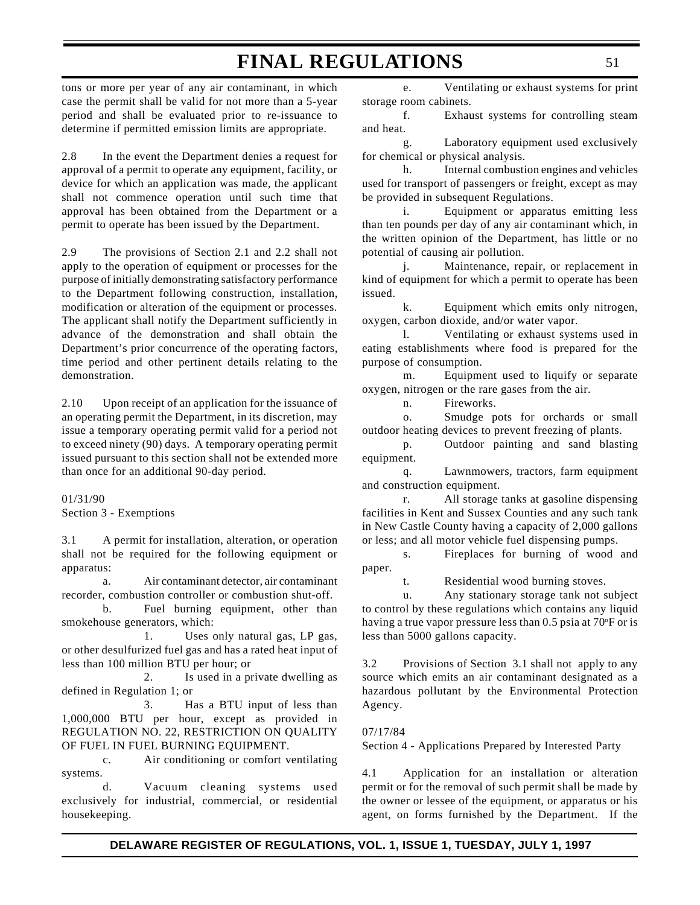tons or more per year of any air contaminant, in which case the permit shall be valid for not more than a 5-year period and shall be evaluated prior to re-issuance to determine if permitted emission limits are appropriate.

2.8 In the event the Department denies a request for approval of a permit to operate any equipment, facility, or device for which an application was made, the applicant shall not commence operation until such time that approval has been obtained from the Department or a permit to operate has been issued by the Department.

2.9 The provisions of Section 2.1 and 2.2 shall not apply to the operation of equipment or processes for the purpose of initially demonstrating satisfactory performance to the Department following construction, installation, modification or alteration of the equipment or processes. The applicant shall notify the Department sufficiently in advance of the demonstration and shall obtain the Department's prior concurrence of the operating factors, time period and other pertinent details relating to the demonstration.

2.10 Upon receipt of an application for the issuance of an operating permit the Department, in its discretion, may issue a temporary operating permit valid for a period not to exceed ninety (90) days. A temporary operating permit issued pursuant to this section shall not be extended more than once for an additional 90-day period.

01/31/90 Section 3 - Exemptions

3.1 A permit for installation, alteration, or operation shall not be required for the following equipment or apparatus:

a. Air contaminant detector, air contaminant recorder, combustion controller or combustion shut-off.

b. Fuel burning equipment, other than smokehouse generators, which:

1. Uses only natural gas, LP gas, or other desulfurized fuel gas and has a rated heat input of less than 100 million BTU per hour; or

2. Is used in a private dwelling as defined in Regulation 1; or

3. Has a BTU input of less than 1,000,000 BTU per hour, except as provided in REGULATION NO. 22, RESTRICTION ON QUALITY OF FUEL IN FUEL BURNING EQUIPMENT.

c. Air conditioning or comfort ventilating systems.

d. Vacuum cleaning systems used exclusively for industrial, commercial, or residential housekeeping.

e. Ventilating or exhaust systems for print storage room cabinets.

f. Exhaust systems for controlling steam and heat.

g. Laboratory equipment used exclusively for chemical or physical analysis.

h. Internal combustion engines and vehicles used for transport of passengers or freight, except as may be provided in subsequent Regulations.

i. Equipment or apparatus emitting less than ten pounds per day of any air contaminant which, in the written opinion of the Department, has little or no potential of causing air pollution.

j. Maintenance, repair, or replacement in kind of equipment for which a permit to operate has been issued.

k. Equipment which emits only nitrogen, oxygen, carbon dioxide, and/or water vapor.

l. Ventilating or exhaust systems used in eating establishments where food is prepared for the purpose of consumption.

m. Equipment used to liquify or separate oxygen, nitrogen or the rare gases from the air.

n. Fireworks.

o. Smudge pots for orchards or small outdoor heating devices to prevent freezing of plants.

p. Outdoor painting and sand blasting equipment.

q. Lawnmowers, tractors, farm equipment and construction equipment.

r. All storage tanks at gasoline dispensing facilities in Kent and Sussex Counties and any such tank in New Castle County having a capacity of 2,000 gallons or less; and all motor vehicle fuel dispensing pumps.

s. Fireplaces for burning of wood and paper.

t. Residential wood burning stoves.

u. Any stationary storage tank not subject to control by these regulations which contains any liquid having a true vapor pressure less than 0.5 psia at 70°F or is less than 5000 gallons capacity.

3.2 Provisions of Section 3.1 shall not apply to any source which emits an air contaminant designated as a hazardous pollutant by the Environmental Protection Agency.

07/17/84

Section 4 - Applications Prepared by Interested Party

4.1 Application for an installation or alteration permit or for the removal of such permit shall be made by the owner or lessee of the equipment, or apparatus or his agent, on forms furnished by the Department. If the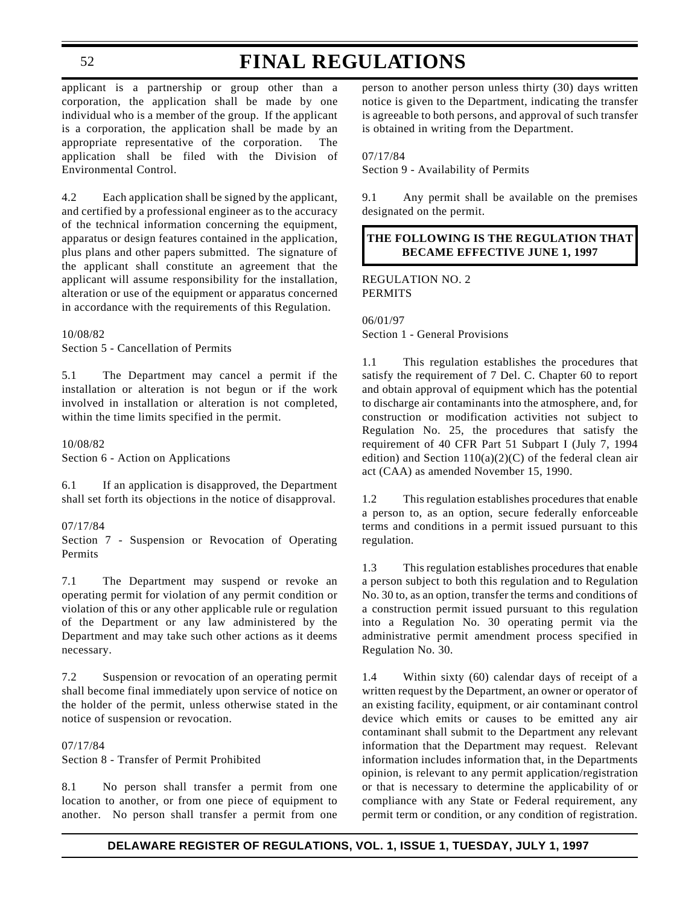#### 52

# **FINAL REGULATIONS**

applicant is a partnership or group other than a corporation, the application shall be made by one individual who is a member of the group. If the applicant is a corporation, the application shall be made by an appropriate representative of the corporation. The application shall be filed with the Division of Environmental Control.

4.2 Each application shall be signed by the applicant, and certified by a professional engineer as to the accuracy of the technical information concerning the equipment, apparatus or design features contained in the application, plus plans and other papers submitted. The signature of the applicant shall constitute an agreement that the applicant will assume responsibility for the installation, alteration or use of the equipment or apparatus concerned in accordance with the requirements of this Regulation.

#### 10/08/82

Section 5 - Cancellation of Permits

5.1 The Department may cancel a permit if the installation or alteration is not begun or if the work involved in installation or alteration is not completed, within the time limits specified in the permit.

10/08/82 Section 6 - Action on Applications

6.1 If an application is disapproved, the Department shall set forth its objections in the notice of disapproval.

#### 07/17/84

Section 7 - Suspension or Revocation of Operating Permits

7.1 The Department may suspend or revoke an operating permit for violation of any permit condition or violation of this or any other applicable rule or regulation of the Department or any law administered by the Department and may take such other actions as it deems necessary.

7.2 Suspension or revocation of an operating permit shall become final immediately upon service of notice on the holder of the permit, unless otherwise stated in the notice of suspension or revocation.

#### 07/17/84

Section 8 - Transfer of Permit Prohibited

8.1 No person shall transfer a permit from one location to another, or from one piece of equipment to another. No person shall transfer a permit from one

person to another person unless thirty (30) days written notice is given to the Department, indicating the transfer is agreeable to both persons, and approval of such transfer is obtained in writing from the Department.

#### 07/17/84

Section 9 - Availability of Permits

9.1 Any permit shall be available on the premises designated on the permit.

### **THE FOLLOWING IS THE REGULATION THAT BECAME EFFECTIVE JUNE 1, 1997**

REGULATION NO. 2 PERMITS

06/01/97 Section 1 - General Provisions

1.1 This regulation establishes the procedures that satisfy the requirement of 7 Del. C. Chapter 60 to report and obtain approval of equipment which has the potential to discharge air contaminants into the atmosphere, and, for construction or modification activities not subject to Regulation No. 25, the procedures that satisfy the requirement of 40 CFR Part 51 Subpart I (July 7, 1994 edition) and Section  $110(a)(2)(C)$  of the federal clean air act (CAA) as amended November 15, 1990.

1.2 This regulation establishes procedures that enable a person to, as an option, secure federally enforceable terms and conditions in a permit issued pursuant to this regulation.

1.3 This regulation establishes procedures that enable a person subject to both this regulation and to Regulation No. 30 to, as an option, transfer the terms and conditions of a construction permit issued pursuant to this regulation into a Regulation No. 30 operating permit via the administrative permit amendment process specified in Regulation No. 30.

1.4 Within sixty (60) calendar days of receipt of a written request by the Department, an owner or operator of an existing facility, equipment, or air contaminant control device which emits or causes to be emitted any air contaminant shall submit to the Department any relevant information that the Department may request. Relevant information includes information that, in the Departments opinion, is relevant to any permit application/registration or that is necessary to determine the applicability of or compliance with any State or Federal requirement, any permit term or condition, or any condition of registration.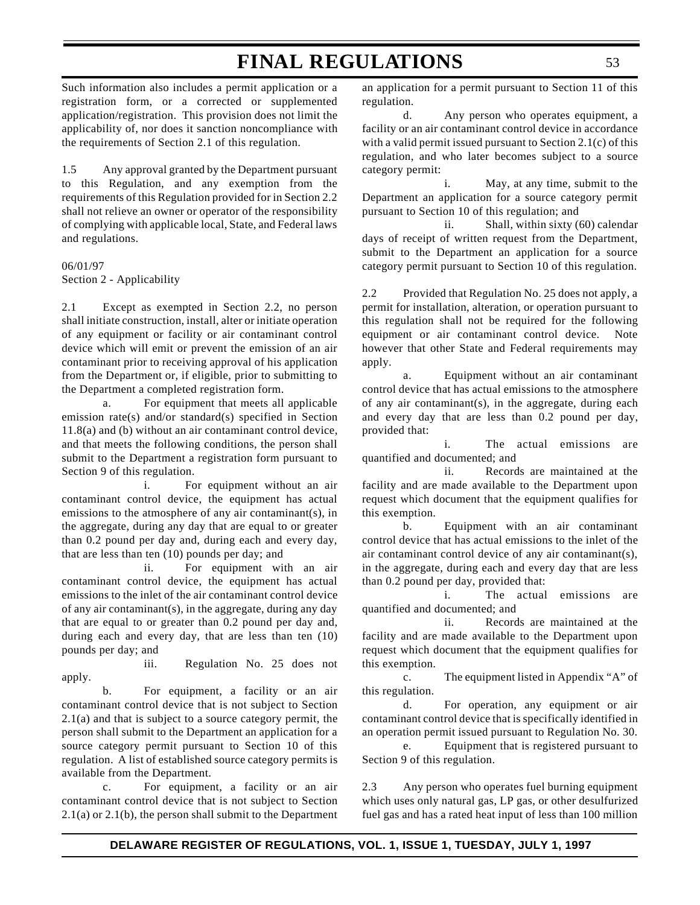Such information also includes a permit application or a registration form, or a corrected or supplemented application/registration. This provision does not limit the applicability of, nor does it sanction noncompliance with the requirements of Section 2.1 of this regulation.

1.5 Any approval granted by the Department pursuant to this Regulation, and any exemption from the requirements of this Regulation provided for in Section 2.2 shall not relieve an owner or operator of the responsibility of complying with applicable local, State, and Federal laws and regulations.

06/01/97 Section 2 - Applicability

2.1 Except as exempted in Section 2.2, no person shall initiate construction, install, alter or initiate operation of any equipment or facility or air contaminant control device which will emit or prevent the emission of an air contaminant prior to receiving approval of his application from the Department or, if eligible, prior to submitting to the Department a completed registration form.

a. For equipment that meets all applicable emission rate(s) and/or standard(s) specified in Section 11.8(a) and (b) without an air contaminant control device, and that meets the following conditions, the person shall submit to the Department a registration form pursuant to Section 9 of this regulation.

i. For equipment without an air contaminant control device, the equipment has actual emissions to the atmosphere of any air contaminant(s), in the aggregate, during any day that are equal to or greater than 0.2 pound per day and, during each and every day, that are less than ten (10) pounds per day; and

ii. For equipment with an air contaminant control device, the equipment has actual emissions to the inlet of the air contaminant control device of any air contaminant(s), in the aggregate, during any day that are equal to or greater than 0.2 pound per day and, during each and every day, that are less than ten (10) pounds per day; and

iii. Regulation No. 25 does not apply.

b. For equipment, a facility or an air contaminant control device that is not subject to Section 2.1(a) and that is subject to a source category permit, the person shall submit to the Department an application for a source category permit pursuant to Section 10 of this regulation. A list of established source category permits is available from the Department.

c. For equipment, a facility or an air contaminant control device that is not subject to Section 2.1(a) or 2.1(b), the person shall submit to the Department

an application for a permit pursuant to Section 11 of this regulation.

d. Any person who operates equipment, a facility or an air contaminant control device in accordance with a valid permit issued pursuant to Section 2.1(c) of this regulation, and who later becomes subject to a source category permit:

i. May, at any time, submit to the Department an application for a source category permit pursuant to Section 10 of this regulation; and

ii. Shall, within sixty (60) calendar days of receipt of written request from the Department, submit to the Department an application for a source category permit pursuant to Section 10 of this regulation.

2.2 Provided that Regulation No. 25 does not apply, a permit for installation, alteration, or operation pursuant to this regulation shall not be required for the following equipment or air contaminant control device. Note however that other State and Federal requirements may apply.

a. Equipment without an air contaminant control device that has actual emissions to the atmosphere of any air contaminant(s), in the aggregate, during each and every day that are less than 0.2 pound per day, provided that:

i. The actual emissions are quantified and documented; and

ii. Records are maintained at the facility and are made available to the Department upon request which document that the equipment qualifies for this exemption.

b. Equipment with an air contaminant control device that has actual emissions to the inlet of the air contaminant control device of any air contaminant(s), in the aggregate, during each and every day that are less than 0.2 pound per day, provided that:

i. The actual emissions are quantified and documented; and

ii. Records are maintained at the facility and are made available to the Department upon request which document that the equipment qualifies for this exemption.

c. The equipment listed in Appendix "A" of this regulation.

d. For operation, any equipment or air contaminant control device that is specifically identified in an operation permit issued pursuant to Regulation No. 30.

e. Equipment that is registered pursuant to Section 9 of this regulation.

2.3 Any person who operates fuel burning equipment which uses only natural gas, LP gas, or other desulfurized fuel gas and has a rated heat input of less than 100 million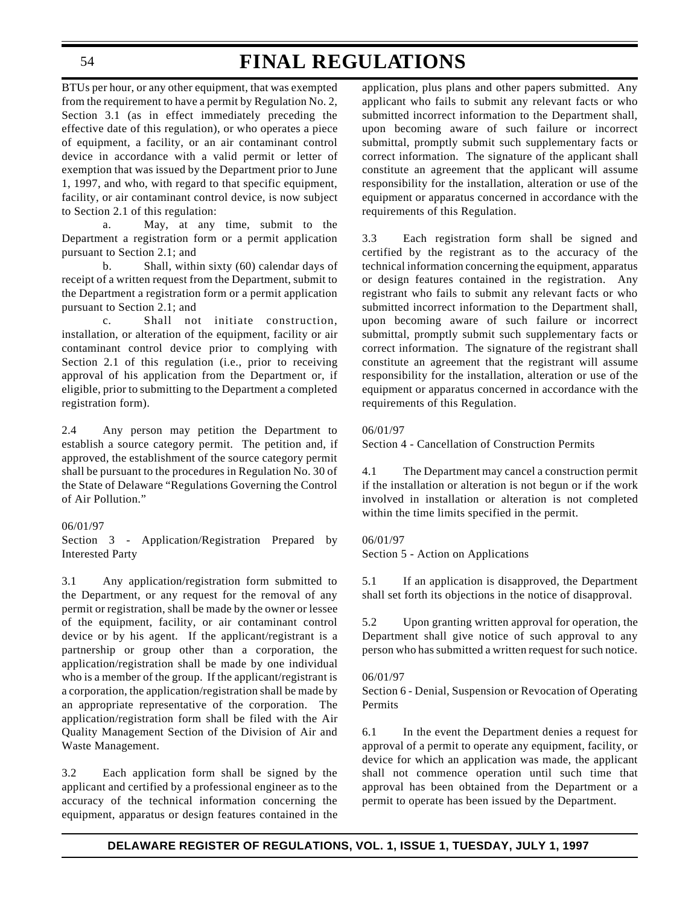BTUs per hour, or any other equipment, that was exempted from the requirement to have a permit by Regulation No. 2, Section 3.1 (as in effect immediately preceding the effective date of this regulation), or who operates a piece of equipment, a facility, or an air contaminant control device in accordance with a valid permit or letter of exemption that was issued by the Department prior to June 1, 1997, and who, with regard to that specific equipment, facility, or air contaminant control device, is now subject to Section 2.1 of this regulation:

a. May, at any time, submit to the Department a registration form or a permit application pursuant to Section 2.1; and

b. Shall, within sixty (60) calendar days of receipt of a written request from the Department, submit to the Department a registration form or a permit application pursuant to Section 2.1; and

c. Shall not initiate construction, installation, or alteration of the equipment, facility or air contaminant control device prior to complying with Section 2.1 of this regulation (i.e., prior to receiving approval of his application from the Department or, if eligible, prior to submitting to the Department a completed registration form).

2.4 Any person may petition the Department to establish a source category permit. The petition and, if approved, the establishment of the source category permit shall be pursuant to the procedures in Regulation No. 30 of the State of Delaware "Regulations Governing the Control of Air Pollution."

### 06/01/97

Section 3 - Application/Registration Prepared by Interested Party

3.1 Any application/registration form submitted to the Department, or any request for the removal of any permit or registration, shall be made by the owner or lessee of the equipment, facility, or air contaminant control device or by his agent. If the applicant/registrant is a partnership or group other than a corporation, the application/registration shall be made by one individual who is a member of the group. If the applicant/registrant is a corporation, the application/registration shall be made by an appropriate representative of the corporation. The application/registration form shall be filed with the Air Quality Management Section of the Division of Air and Waste Management.

3.2 Each application form shall be signed by the applicant and certified by a professional engineer as to the accuracy of the technical information concerning the equipment, apparatus or design features contained in the

application, plus plans and other papers submitted. Any applicant who fails to submit any relevant facts or who submitted incorrect information to the Department shall, upon becoming aware of such failure or incorrect submittal, promptly submit such supplementary facts or correct information. The signature of the applicant shall constitute an agreement that the applicant will assume responsibility for the installation, alteration or use of the equipment or apparatus concerned in accordance with the requirements of this Regulation.

3.3 Each registration form shall be signed and certified by the registrant as to the accuracy of the technical information concerning the equipment, apparatus or design features contained in the registration. Any registrant who fails to submit any relevant facts or who submitted incorrect information to the Department shall, upon becoming aware of such failure or incorrect submittal, promptly submit such supplementary facts or correct information. The signature of the registrant shall constitute an agreement that the registrant will assume responsibility for the installation, alteration or use of the equipment or apparatus concerned in accordance with the requirements of this Regulation.

### 06/01/97

Section 4 - Cancellation of Construction Permits

4.1 The Department may cancel a construction permit if the installation or alteration is not begun or if the work involved in installation or alteration is not completed within the time limits specified in the permit.

### 06/01/97

Section 5 - Action on Applications

5.1 If an application is disapproved, the Department shall set forth its objections in the notice of disapproval.

5.2 Upon granting written approval for operation, the Department shall give notice of such approval to any person who has submitted a written request for such notice.

### 06/01/97

Section 6 - Denial, Suspension or Revocation of Operating Permits

6.1 In the event the Department denies a request for approval of a permit to operate any equipment, facility, or device for which an application was made, the applicant shall not commence operation until such time that approval has been obtained from the Department or a permit to operate has been issued by the Department.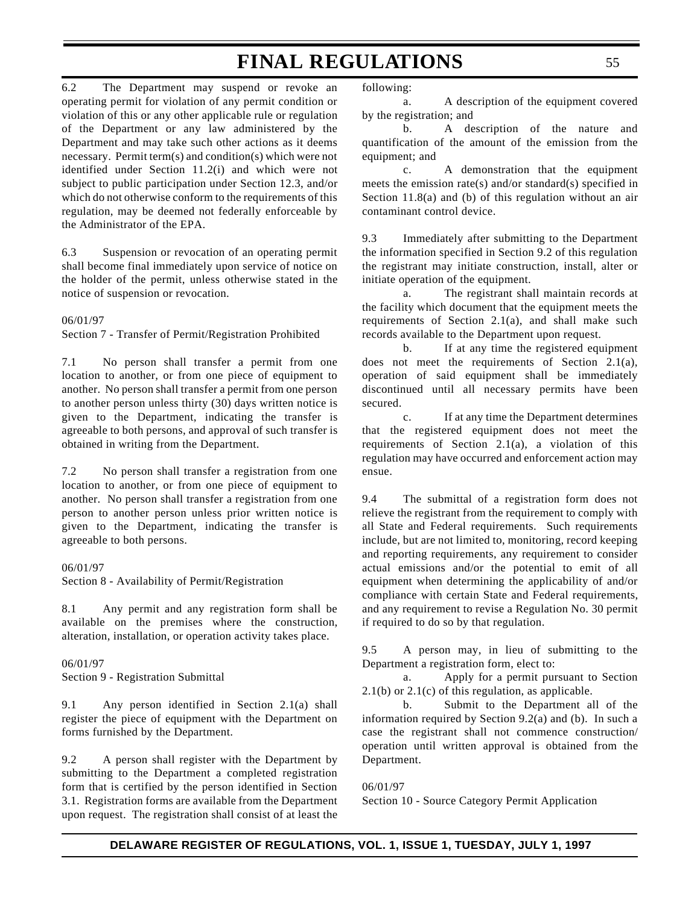6.2 The Department may suspend or revoke an operating permit for violation of any permit condition or violation of this or any other applicable rule or regulation of the Department or any law administered by the Department and may take such other actions as it deems necessary. Permit term(s) and condition(s) which were not identified under Section 11.2(i) and which were not subject to public participation under Section 12.3, and/or which do not otherwise conform to the requirements of this regulation, may be deemed not federally enforceable by the Administrator of the EPA.

6.3 Suspension or revocation of an operating permit shall become final immediately upon service of notice on the holder of the permit, unless otherwise stated in the notice of suspension or revocation.

#### 06/01/97

Section 7 - Transfer of Permit/Registration Prohibited

7.1 No person shall transfer a permit from one location to another, or from one piece of equipment to another. No person shall transfer a permit from one person to another person unless thirty (30) days written notice is given to the Department, indicating the transfer is agreeable to both persons, and approval of such transfer is obtained in writing from the Department.

7.2 No person shall transfer a registration from one location to another, or from one piece of equipment to another. No person shall transfer a registration from one person to another person unless prior written notice is given to the Department, indicating the transfer is agreeable to both persons.

06/01/97 Section 8 - Availability of Permit/Registration

8.1 Any permit and any registration form shall be available on the premises where the construction, alteration, installation, or operation activity takes place.

06/01/97 Section 9 - Registration Submittal

9.1 Any person identified in Section 2.1(a) shall register the piece of equipment with the Department on forms furnished by the Department.

9.2 A person shall register with the Department by submitting to the Department a completed registration form that is certified by the person identified in Section 3.1. Registration forms are available from the Department upon request. The registration shall consist of at least the following:

a. A description of the equipment covered by the registration; and

b. A description of the nature and quantification of the amount of the emission from the equipment; and

c. A demonstration that the equipment meets the emission rate(s) and/or standard(s) specified in Section 11.8(a) and (b) of this regulation without an air contaminant control device.

9.3 Immediately after submitting to the Department the information specified in Section 9.2 of this regulation the registrant may initiate construction, install, alter or initiate operation of the equipment.

a. The registrant shall maintain records at the facility which document that the equipment meets the requirements of Section 2.1(a), and shall make such records available to the Department upon request.

b. If at any time the registered equipment does not meet the requirements of Section 2.1(a), operation of said equipment shall be immediately discontinued until all necessary permits have been secured.

c. If at any time the Department determines that the registered equipment does not meet the requirements of Section 2.1(a), a violation of this regulation may have occurred and enforcement action may ensue.

9.4 The submittal of a registration form does not relieve the registrant from the requirement to comply with all State and Federal requirements. Such requirements include, but are not limited to, monitoring, record keeping and reporting requirements, any requirement to consider actual emissions and/or the potential to emit of all equipment when determining the applicability of and/or compliance with certain State and Federal requirements, and any requirement to revise a Regulation No. 30 permit if required to do so by that regulation.

9.5 A person may, in lieu of submitting to the Department a registration form, elect to:

a. Apply for a permit pursuant to Section  $2.1(b)$  or  $2.1(c)$  of this regulation, as applicable.

b. Submit to the Department all of the information required by Section 9.2(a) and (b). In such a case the registrant shall not commence construction/ operation until written approval is obtained from the Department.

06/01/97 Section 10 - Source Category Permit Application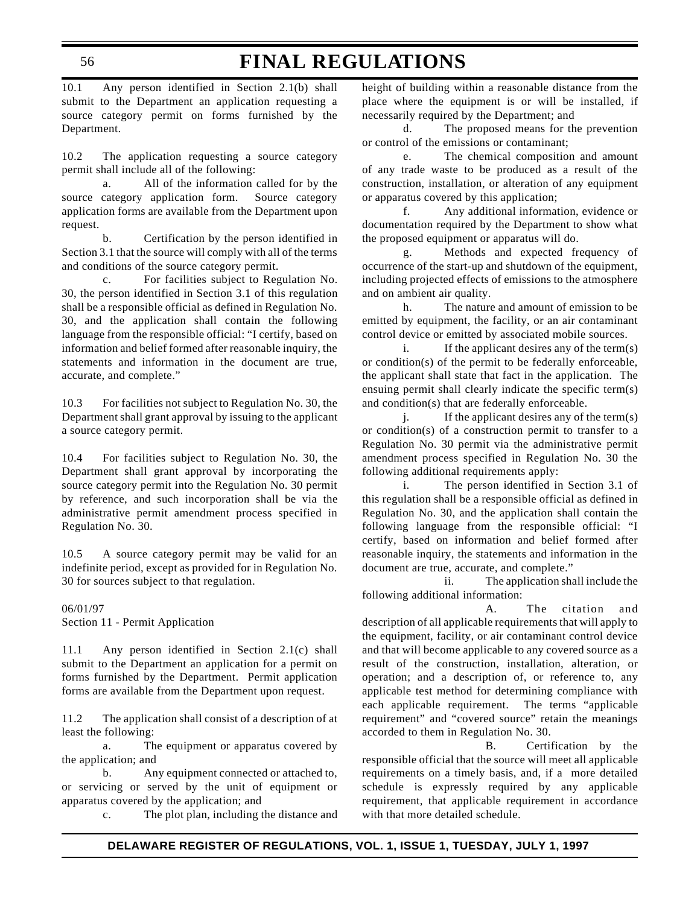10.1 Any person identified in Section 2.1(b) shall submit to the Department an application requesting a source category permit on forms furnished by the Department.

10.2 The application requesting a source category permit shall include all of the following:

a. All of the information called for by the source category application form. Source category application forms are available from the Department upon request.

b. Certification by the person identified in Section 3.1 that the source will comply with all of the terms and conditions of the source category permit.

c. For facilities subject to Regulation No. 30, the person identified in Section 3.1 of this regulation shall be a responsible official as defined in Regulation No. 30, and the application shall contain the following language from the responsible official: "I certify, based on information and belief formed after reasonable inquiry, the statements and information in the document are true, accurate, and complete."

10.3 For facilities not subject to Regulation No. 30, the Department shall grant approval by issuing to the applicant a source category permit.

10.4 For facilities subject to Regulation No. 30, the Department shall grant approval by incorporating the source category permit into the Regulation No. 30 permit by reference, and such incorporation shall be via the administrative permit amendment process specified in Regulation No. 30.

10.5 A source category permit may be valid for an indefinite period, except as provided for in Regulation No. 30 for sources subject to that regulation.

06/01/97 Section 11 - Permit Application

11.1 Any person identified in Section 2.1(c) shall submit to the Department an application for a permit on forms furnished by the Department. Permit application forms are available from the Department upon request.

11.2 The application shall consist of a description of at least the following:

a. The equipment or apparatus covered by the application; and

b. Any equipment connected or attached to, or servicing or served by the unit of equipment or apparatus covered by the application; and

c. The plot plan, including the distance and

height of building within a reasonable distance from the place where the equipment is or will be installed, if necessarily required by the Department; and

d. The proposed means for the prevention or control of the emissions or contaminant;

e. The chemical composition and amount of any trade waste to be produced as a result of the construction, installation, or alteration of any equipment or apparatus covered by this application;

f. Any additional information, evidence or documentation required by the Department to show what the proposed equipment or apparatus will do.

g. Methods and expected frequency of occurrence of the start-up and shutdown of the equipment, including projected effects of emissions to the atmosphere and on ambient air quality.

h. The nature and amount of emission to be emitted by equipment, the facility, or an air contaminant control device or emitted by associated mobile sources.

i. If the applicant desires any of the term(s) or condition(s) of the permit to be federally enforceable, the applicant shall state that fact in the application. The ensuing permit shall clearly indicate the specific term(s) and condition(s) that are federally enforceable.

j. If the applicant desires any of the term $(s)$ or condition(s) of a construction permit to transfer to a Regulation No. 30 permit via the administrative permit amendment process specified in Regulation No. 30 the following additional requirements apply:

i. The person identified in Section 3.1 of this regulation shall be a responsible official as defined in Regulation No. 30, and the application shall contain the following language from the responsible official: "I certify, based on information and belief formed after reasonable inquiry, the statements and information in the document are true, accurate, and complete."

ii. The application shall include the following additional information:

A. The citation and description of all applicable requirements that will apply to the equipment, facility, or air contaminant control device and that will become applicable to any covered source as a result of the construction, installation, alteration, or operation; and a description of, or reference to, any applicable test method for determining compliance with each applicable requirement. The terms "applicable requirement" and "covered source" retain the meanings accorded to them in Regulation No. 30.

B. Certification by the responsible official that the source will meet all applicable requirements on a timely basis, and, if a more detailed schedule is expressly required by any applicable requirement, that applicable requirement in accordance with that more detailed schedule.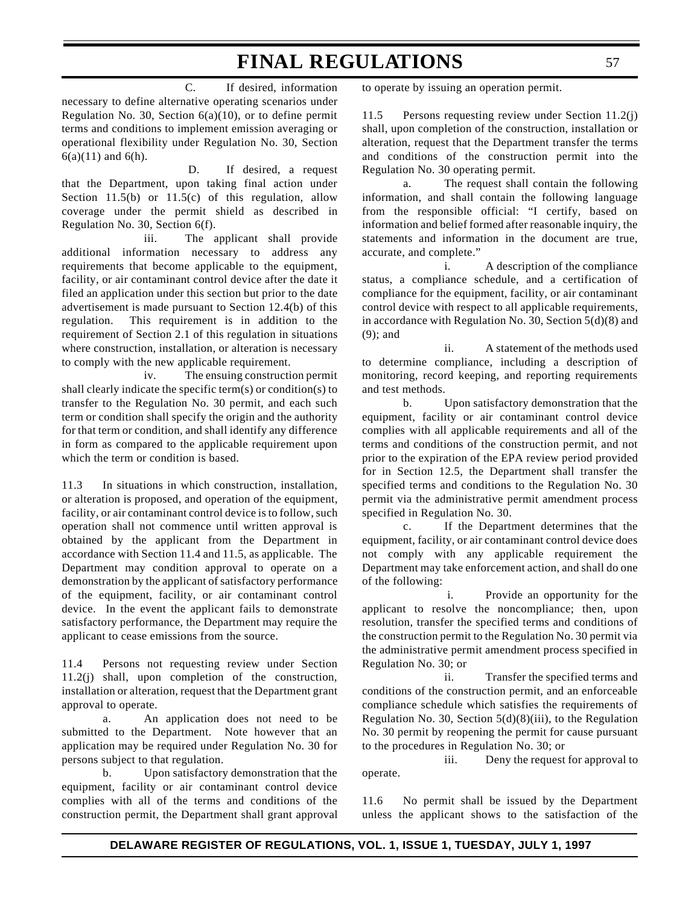C. If desired, information necessary to define alternative operating scenarios under Regulation No. 30, Section 6(a)(10), or to define permit terms and conditions to implement emission averaging or operational flexibility under Regulation No. 30, Section  $6(a)(11)$  and  $6(h)$ .

 D. If desired, a request that the Department, upon taking final action under Section  $11.5(b)$  or  $11.5(c)$  of this regulation, allow coverage under the permit shield as described in Regulation No. 30, Section 6(f).

iii. The applicant shall provide additional information necessary to address any requirements that become applicable to the equipment, facility, or air contaminant control device after the date it filed an application under this section but prior to the date advertisement is made pursuant to Section 12.4(b) of this regulation. This requirement is in addition to the requirement of Section 2.1 of this regulation in situations where construction, installation, or alteration is necessary to comply with the new applicable requirement.

iv. The ensuing construction permit shall clearly indicate the specific term(s) or condition(s) to transfer to the Regulation No. 30 permit, and each such term or condition shall specify the origin and the authority for that term or condition, and shall identify any difference in form as compared to the applicable requirement upon which the term or condition is based.

11.3 In situations in which construction, installation, or alteration is proposed, and operation of the equipment, facility, or air contaminant control device is to follow, such operation shall not commence until written approval is obtained by the applicant from the Department in accordance with Section 11.4 and 11.5, as applicable. The Department may condition approval to operate on a demonstration by the applicant of satisfactory performance of the equipment, facility, or air contaminant control device. In the event the applicant fails to demonstrate satisfactory performance, the Department may require the applicant to cease emissions from the source.

11.4 Persons not requesting review under Section 11.2(j) shall, upon completion of the construction, installation or alteration, request that the Department grant approval to operate.

a. An application does not need to be submitted to the Department. Note however that an application may be required under Regulation No. 30 for persons subject to that regulation.

b. Upon satisfactory demonstration that the equipment, facility or air contaminant control device complies with all of the terms and conditions of the construction permit, the Department shall grant approval to operate by issuing an operation permit.

11.5 Persons requesting review under Section 11.2(j) shall, upon completion of the construction, installation or alteration, request that the Department transfer the terms and conditions of the construction permit into the Regulation No. 30 operating permit.

a. The request shall contain the following information, and shall contain the following language from the responsible official: "I certify, based on information and belief formed after reasonable inquiry, the statements and information in the document are true, accurate, and complete."

i. A description of the compliance status, a compliance schedule, and a certification of compliance for the equipment, facility, or air contaminant control device with respect to all applicable requirements, in accordance with Regulation No. 30, Section 5(d)(8) and (9); and

ii. A statement of the methods used to determine compliance, including a description of monitoring, record keeping, and reporting requirements and test methods.

b. Upon satisfactory demonstration that the equipment, facility or air contaminant control device complies with all applicable requirements and all of the terms and conditions of the construction permit, and not prior to the expiration of the EPA review period provided for in Section 12.5, the Department shall transfer the specified terms and conditions to the Regulation No. 30 permit via the administrative permit amendment process specified in Regulation No. 30.

c. If the Department determines that the equipment, facility, or air contaminant control device does not comply with any applicable requirement the Department may take enforcement action, and shall do one of the following:

 i. Provide an opportunity for the applicant to resolve the noncompliance; then, upon resolution, transfer the specified terms and conditions of the construction permit to the Regulation No. 30 permit via the administrative permit amendment process specified in Regulation No. 30; or

ii. Transfer the specified terms and conditions of the construction permit, and an enforceable compliance schedule which satisfies the requirements of Regulation No. 30, Section  $5(d)(8)(iii)$ , to the Regulation No. 30 permit by reopening the permit for cause pursuant to the procedures in Regulation No. 30; or

iii. Deny the request for approval to operate.

11.6 No permit shall be issued by the Department unless the applicant shows to the satisfaction of the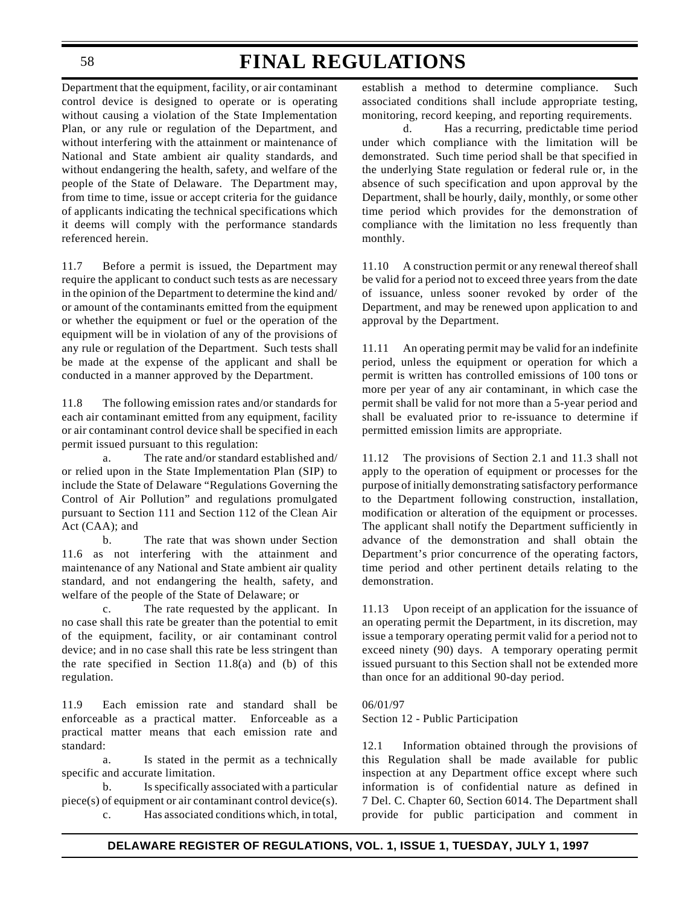Department that the equipment, facility, or air contaminant control device is designed to operate or is operating without causing a violation of the State Implementation Plan, or any rule or regulation of the Department, and without interfering with the attainment or maintenance of National and State ambient air quality standards, and without endangering the health, safety, and welfare of the people of the State of Delaware.The Department may, from time to time, issue or accept criteria for the guidance of applicants indicating the technical specifications which it deems will comply with the performance standards referenced herein.

11.7 Before a permit is issued, the Department may require the applicant to conduct such tests as are necessary in the opinion of the Department to determine the kind and/ or amount of the contaminants emitted from the equipment or whether the equipment or fuel or the operation of the equipment will be in violation of any of the provisions of any rule or regulation of the Department. Such tests shall be made at the expense of the applicant and shall be conducted in a manner approved by the Department.

11.8 The following emission rates and/or standards for each air contaminant emitted from any equipment, facility or air contaminant control device shall be specified in each permit issued pursuant to this regulation:

a. The rate and/or standard established and/ or relied upon in the State Implementation Plan (SIP) to include the State of Delaware "Regulations Governing the Control of Air Pollution" and regulations promulgated pursuant to Section 111 and Section 112 of the Clean Air Act (CAA); and

b. The rate that was shown under Section 11.6 as not interfering with the attainment and maintenance of any National and State ambient air quality standard, and not endangering the health, safety, and welfare of the people of the State of Delaware; or

c. The rate requested by the applicant. In no case shall this rate be greater than the potential to emit of the equipment, facility, or air contaminant control device; and in no case shall this rate be less stringent than the rate specified in Section  $11.8(a)$  and (b) of this regulation.

11.9 Each emission rate and standard shall be enforceable as a practical matter. Enforceable as a practical matter means that each emission rate and standard:

a. Is stated in the permit as a technically specific and accurate limitation.

b. Is specifically associated with a particular piece(s) of equipment or air contaminant control device(s).

c. Has associated conditions which, in total,

establish a method to determine compliance. Such associated conditions shall include appropriate testing, monitoring, record keeping, and reporting requirements.

d. Has a recurring, predictable time period under which compliance with the limitation will be demonstrated. Such time period shall be that specified in the underlying State regulation or federal rule or, in the absence of such specification and upon approval by the Department, shall be hourly, daily, monthly, or some other time period which provides for the demonstration of compliance with the limitation no less frequently than monthly.

11.10 A construction permit or any renewal thereof shall be valid for a period not to exceed three years from the date of issuance, unless sooner revoked by order of the Department, and may be renewed upon application to and approval by the Department.

11.11 An operating permit may be valid for an indefinite period, unless the equipment or operation for which a permit is written has controlled emissions of 100 tons or more per year of any air contaminant, in which case the permit shall be valid for not more than a 5-year period and shall be evaluated prior to re-issuance to determine if permitted emission limits are appropriate.

11.12 The provisions of Section 2.1 and 11.3 shall not apply to the operation of equipment or processes for the purpose of initially demonstrating satisfactory performance to the Department following construction, installation, modification or alteration of the equipment or processes. The applicant shall notify the Department sufficiently in advance of the demonstration and shall obtain the Department's prior concurrence of the operating factors, time period and other pertinent details relating to the demonstration.

11.13 Upon receipt of an application for the issuance of an operating permit the Department, in its discretion, may issue a temporary operating permit valid for a period not to exceed ninety (90) days. A temporary operating permit issued pursuant to this Section shall not be extended more than once for an additional 90-day period.

### 06/01/97

Section 12 - Public Participation

12.1 Information obtained through the provisions of this Regulation shall be made available for public inspection at any Department office except where such information is of confidential nature as defined in 7 Del. C. Chapter 60, Section 6014. The Department shall provide for public participation and comment in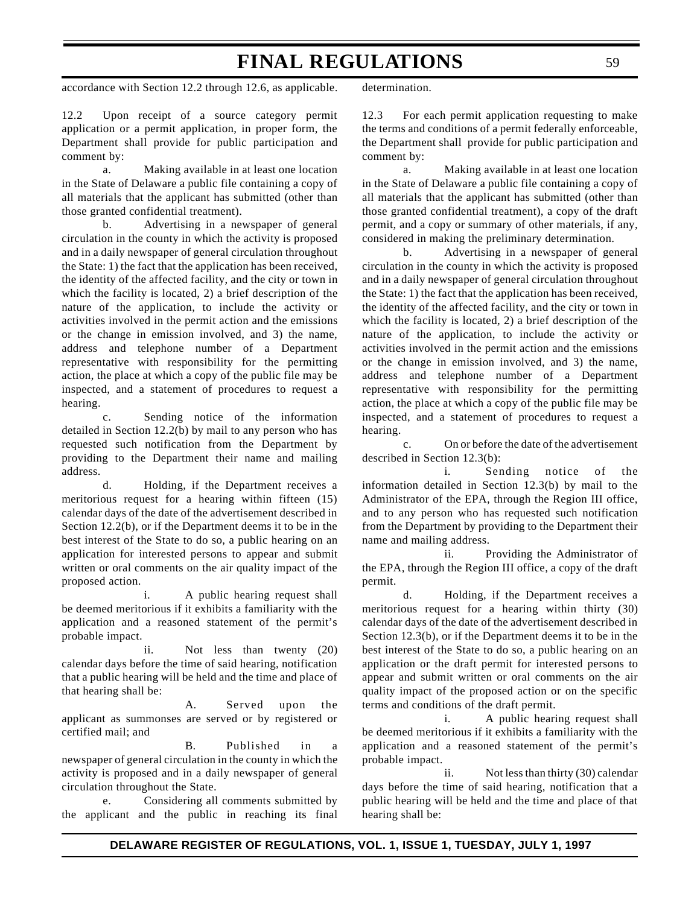accordance with Section 12.2 through 12.6, as applicable.

12.2 Upon receipt of a source category permit application or a permit application, in proper form, the Department shall provide for public participation and comment by:

a. Making available in at least one location in the State of Delaware a public file containing a copy of all materials that the applicant has submitted (other than those granted confidential treatment).

b. Advertising in a newspaper of general circulation in the county in which the activity is proposed and in a daily newspaper of general circulation throughout the State: 1) the fact that the application has been received, the identity of the affected facility, and the city or town in which the facility is located, 2) a brief description of the nature of the application, to include the activity or activities involved in the permit action and the emissions or the change in emission involved, and 3) the name, address and telephone number of a Department representative with responsibility for the permitting action, the place at which a copy of the public file may be inspected, and a statement of procedures to request a hearing.

c. Sending notice of the information detailed in Section 12.2(b) by mail to any person who has requested such notification from the Department by providing to the Department their name and mailing address.

d. Holding, if the Department receives a meritorious request for a hearing within fifteen (15) calendar days of the date of the advertisement described in Section 12.2(b), or if the Department deems it to be in the best interest of the State to do so, a public hearing on an application for interested persons to appear and submit written or oral comments on the air quality impact of the proposed action.

i. A public hearing request shall be deemed meritorious if it exhibits a familiarity with the application and a reasoned statement of the permit's probable impact.

ii. Not less than twenty (20) calendar days before the time of said hearing, notification that a public hearing will be held and the time and place of that hearing shall be:

A. Served upon the applicant as summonses are served or by registered or certified mail; and

B. Published in a newspaper of general circulation in the county in which the activity is proposed and in a daily newspaper of general circulation throughout the State.

e. Considering all comments submitted by the applicant and the public in reaching its final determination.

12.3 For each permit application requesting to make the terms and conditions of a permit federally enforceable, the Department shall provide for public participation and comment by:

a. Making available in at least one location in the State of Delaware a public file containing a copy of all materials that the applicant has submitted (other than those granted confidential treatment), a copy of the draft permit, and a copy or summary of other materials, if any, considered in making the preliminary determination.

b. Advertising in a newspaper of general circulation in the county in which the activity is proposed and in a daily newspaper of general circulation throughout the State: 1) the fact that the application has been received, the identity of the affected facility, and the city or town in which the facility is located, 2) a brief description of the nature of the application, to include the activity or activities involved in the permit action and the emissions or the change in emission involved, and 3) the name, address and telephone number of a Department representative with responsibility for the permitting action, the place at which a copy of the public file may be inspected, and a statement of procedures to request a hearing.

c. On or before the date of the advertisement described in Section 12.3(b):

i. Sending notice of the information detailed in Section 12.3(b) by mail to the Administrator of the EPA, through the Region III office, and to any person who has requested such notification from the Department by providing to the Department their name and mailing address.

ii. Providing the Administrator of the EPA, through the Region III office, a copy of the draft permit.

d. Holding, if the Department receives a meritorious request for a hearing within thirty (30) calendar days of the date of the advertisement described in Section 12.3(b), or if the Department deems it to be in the best interest of the State to do so, a public hearing on an application or the draft permit for interested persons to appear and submit written or oral comments on the air quality impact of the proposed action or on the specific terms and conditions of the draft permit.

i. A public hearing request shall be deemed meritorious if it exhibits a familiarity with the application and a reasoned statement of the permit's probable impact.

ii. Not less than thirty (30) calendar days before the time of said hearing, notification that a public hearing will be held and the time and place of that hearing shall be: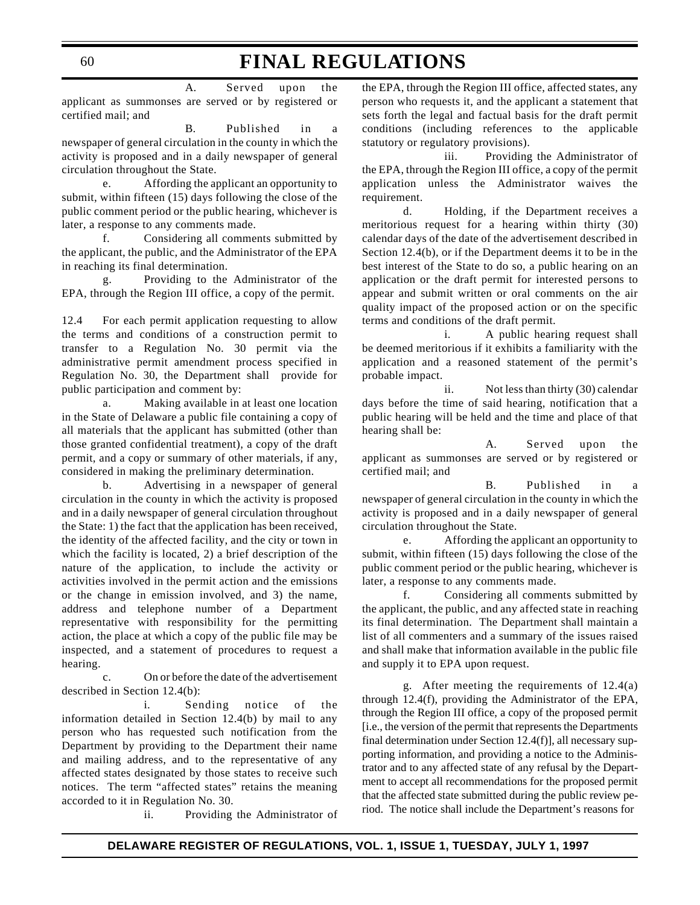A. Served upon the applicant as summonses are served or by registered or certified mail; and

B. Published in a newspaper of general circulation in the county in which the activity is proposed and in a daily newspaper of general circulation throughout the State.

e. Affording the applicant an opportunity to submit, within fifteen (15) days following the close of the public comment period or the public hearing, whichever is later, a response to any comments made.

f. Considering all comments submitted by the applicant, the public, and the Administrator of the EPA in reaching its final determination.

g. Providing to the Administrator of the EPA, through the Region III office, a copy of the permit.

12.4 For each permit application requesting to allow the terms and conditions of a construction permit to transfer to a Regulation No. 30 permit via the administrative permit amendment process specified in Regulation No. 30, the Department shall provide for public participation and comment by:

a. Making available in at least one location in the State of Delaware a public file containing a copy of all materials that the applicant has submitted (other than those granted confidential treatment), a copy of the draft permit, and a copy or summary of other materials, if any, considered in making the preliminary determination.

b. Advertising in a newspaper of general circulation in the county in which the activity is proposed and in a daily newspaper of general circulation throughout the State: 1) the fact that the application has been received, the identity of the affected facility, and the city or town in which the facility is located, 2) a brief description of the nature of the application, to include the activity or activities involved in the permit action and the emissions or the change in emission involved, and 3) the name, address and telephone number of a Department representative with responsibility for the permitting action, the place at which a copy of the public file may be inspected, and a statement of procedures to request a hearing.

c. On or before the date of the advertisement described in Section 12.4(b):

i. Sending notice of the information detailed in Section 12.4(b) by mail to any person who has requested such notification from the Department by providing to the Department their name and mailing address, and to the representative of any affected states designated by those states to receive such notices. The term "affected states" retains the meaning accorded to it in Regulation No. 30.

ii. Providing the Administrator of

the EPA, through the Region III office, affected states, any person who requests it, and the applicant a statement that sets forth the legal and factual basis for the draft permit conditions (including references to the applicable statutory or regulatory provisions).

iii. Providing the Administrator of the EPA, through the Region III office, a copy of the permit application unless the Administrator waives the requirement.

d. Holding, if the Department receives a meritorious request for a hearing within thirty (30) calendar days of the date of the advertisement described in Section 12.4(b), or if the Department deems it to be in the best interest of the State to do so, a public hearing on an application or the draft permit for interested persons to appear and submit written or oral comments on the air quality impact of the proposed action or on the specific terms and conditions of the draft permit.

i. A public hearing request shall be deemed meritorious if it exhibits a familiarity with the application and a reasoned statement of the permit's probable impact.

ii. Not less than thirty (30) calendar days before the time of said hearing, notification that a public hearing will be held and the time and place of that hearing shall be:

A. Served upon the applicant as summonses are served or by registered or certified mail; and

B. Published in a newspaper of general circulation in the county in which the activity is proposed and in a daily newspaper of general circulation throughout the State.

e. Affording the applicant an opportunity to submit, within fifteen (15) days following the close of the public comment period or the public hearing, whichever is later, a response to any comments made.

f. Considering all comments submitted by the applicant, the public, and any affected state in reaching its final determination. The Department shall maintain a list of all commenters and a summary of the issues raised and shall make that information available in the public file and supply it to EPA upon request.

g. After meeting the requirements of 12.4(a) through 12.4(f), providing the Administrator of the EPA, through the Region III office, a copy of the proposed permit [i.e., the version of the permit that represents the Departments final determination under Section 12.4(f)], all necessary supporting information, and providing a notice to the Administrator and to any affected state of any refusal by the Department to accept all recommendations for the proposed permit that the affected state submitted during the public review period. The notice shall include the Department's reasons for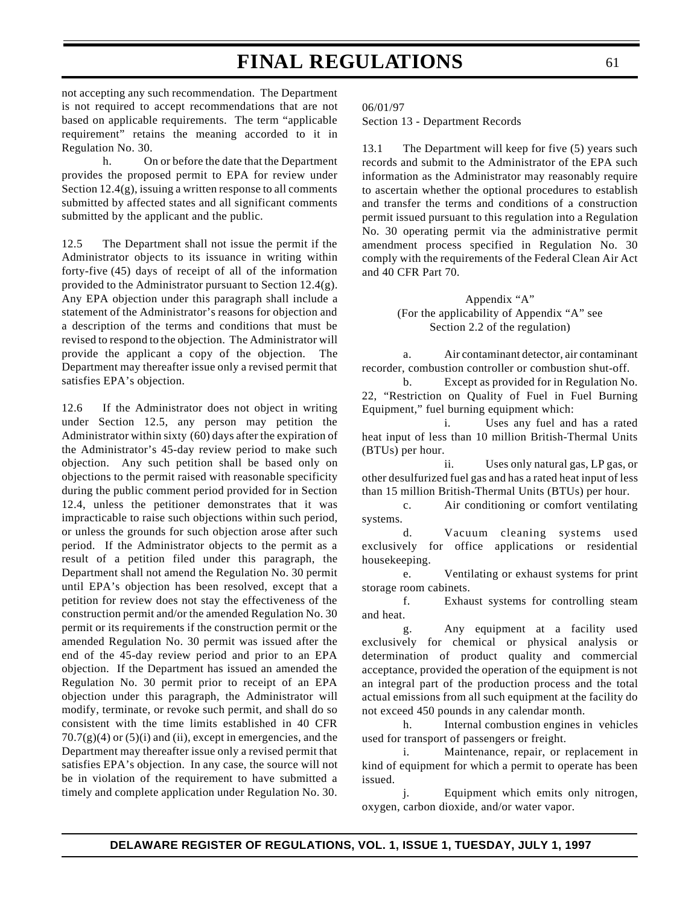not accepting any such recommendation. The Department is not required to accept recommendations that are not based on applicable requirements. The term "applicable requirement" retains the meaning accorded to it in Regulation No. 30.

h. On or before the date that the Department provides the proposed permit to EPA for review under Section 12.4(g), issuing a written response to all comments submitted by affected states and all significant comments submitted by the applicant and the public.

12.5 The Department shall not issue the permit if the Administrator objects to its issuance in writing within forty-five (45) days of receipt of all of the information provided to the Administrator pursuant to Section 12.4(g). Any EPA objection under this paragraph shall include a statement of the Administrator's reasons for objection and a description of the terms and conditions that must be revised to respond to the objection. The Administrator will provide the applicant a copy of the objection. The Department may thereafter issue only a revised permit that satisfies EPA's objection.

12.6 If the Administrator does not object in writing under Section 12.5, any person may petition the Administrator within sixty (60) days after the expiration of the Administrator's 45-day review period to make such objection. Any such petition shall be based only on objections to the permit raised with reasonable specificity during the public comment period provided for in Section 12.4, unless the petitioner demonstrates that it was impracticable to raise such objections within such period, or unless the grounds for such objection arose after such period. If the Administrator objects to the permit as a result of a petition filed under this paragraph, the Department shall not amend the Regulation No. 30 permit until EPA's objection has been resolved, except that a petition for review does not stay the effectiveness of the construction permit and/or the amended Regulation No. 30 permit or its requirements if the construction permit or the amended Regulation No. 30 permit was issued after the end of the 45-day review period and prior to an EPA objection. If the Department has issued an amended the Regulation No. 30 permit prior to receipt of an EPA objection under this paragraph, the Administrator will modify, terminate, or revoke such permit, and shall do so consistent with the time limits established in 40 CFR  $70.7(g)(4)$  or  $(5)(i)$  and  $(ii)$ , except in emergencies, and the Department may thereafter issue only a revised permit that satisfies EPA's objection. In any case, the source will not be in violation of the requirement to have submitted a timely and complete application under Regulation No. 30.

06/01/97

Section 13 - Department Records

13.1 The Department will keep for five (5) years such records and submit to the Administrator of the EPA such information as the Administrator may reasonably require to ascertain whether the optional procedures to establish and transfer the terms and conditions of a construction permit issued pursuant to this regulation into a Regulation No. 30 operating permit via the administrative permit amendment process specified in Regulation No. 30 comply with the requirements of the Federal Clean Air Act and 40 CFR Part 70.

> Appendix "A" (For the applicability of Appendix "A" see Section 2.2 of the regulation)

a. Air contaminant detector, air contaminant recorder, combustion controller or combustion shut-off.

b. Except as provided for in Regulation No. 22, "Restriction on Quality of Fuel in Fuel Burning Equipment," fuel burning equipment which:

i. Uses any fuel and has a rated heat input of less than 10 million British-Thermal Units (BTUs) per hour.

ii. Uses only natural gas, LP gas, or other desulfurized fuel gas and has a rated heat input of less than 15 million British-Thermal Units (BTUs) per hour.

c. Air conditioning or comfort ventilating systems.

d. Vacuum cleaning systems used exclusively for office applications or residential housekeeping.

e. Ventilating or exhaust systems for print storage room cabinets.

f. Exhaust systems for controlling steam and heat.

g. Any equipment at a facility used exclusively for chemical or physical analysis or determination of product quality and commercial acceptance, provided the operation of the equipment is not an integral part of the production process and the total actual emissions from all such equipment at the facility do not exceed 450 pounds in any calendar month.

h. Internal combustion engines in vehicles used for transport of passengers or freight.

i. Maintenance, repair, or replacement in kind of equipment for which a permit to operate has been issued.

j. Equipment which emits only nitrogen, oxygen, carbon dioxide, and/or water vapor.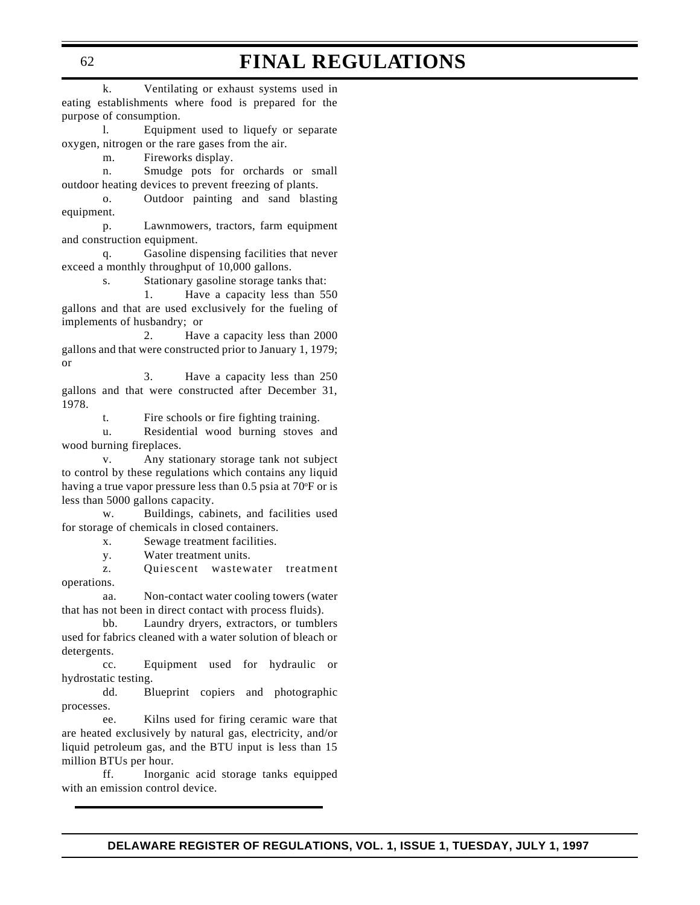k. Ventilating or exhaust systems used in eating establishments where food is prepared for the purpose of consumption.

l. Equipment used to liquefy or separate oxygen, nitrogen or the rare gases from the air.

m. Fireworks display.

n. Smudge pots for orchards or small outdoor heating devices to prevent freezing of plants.

o. Outdoor painting and sand blasting equipment.

p. Lawnmowers, tractors, farm equipment and construction equipment.

q. Gasoline dispensing facilities that never exceed a monthly throughput of 10,000 gallons.

s. Stationary gasoline storage tanks that:

1. Have a capacity less than 550 gallons and that are used exclusively for the fueling of implements of husbandry; or

2. Have a capacity less than 2000 gallons and that were constructed prior to January 1, 1979; or

3. Have a capacity less than 250 gallons and that were constructed after December 31, 1978.

t. Fire schools or fire fighting training.

u. Residential wood burning stoves and wood burning fireplaces.

v. Any stationary storage tank not subject to control by these regulations which contains any liquid having a true vapor pressure less than 0.5 psia at 70°F or is less than 5000 gallons capacity.

w. Buildings, cabinets, and facilities used for storage of chemicals in closed containers.

x. Sewage treatment facilities.

y. Water treatment units.

z. Quiescent wastewater treatment operations.

aa. Non-contact water cooling towers (water that has not been in direct contact with process fluids).

bb. Laundry dryers, extractors, or tumblers used for fabrics cleaned with a water solution of bleach or detergents.

cc. Equipment used for hydraulic or hydrostatic testing.

dd. Blueprint copiers and photographic processes.

ee. Kilns used for firing ceramic ware that are heated exclusively by natural gas, electricity, and/or liquid petroleum gas, and the BTU input is less than 15 million BTUs per hour.

ff. Inorganic acid storage tanks equipped with an emission control device.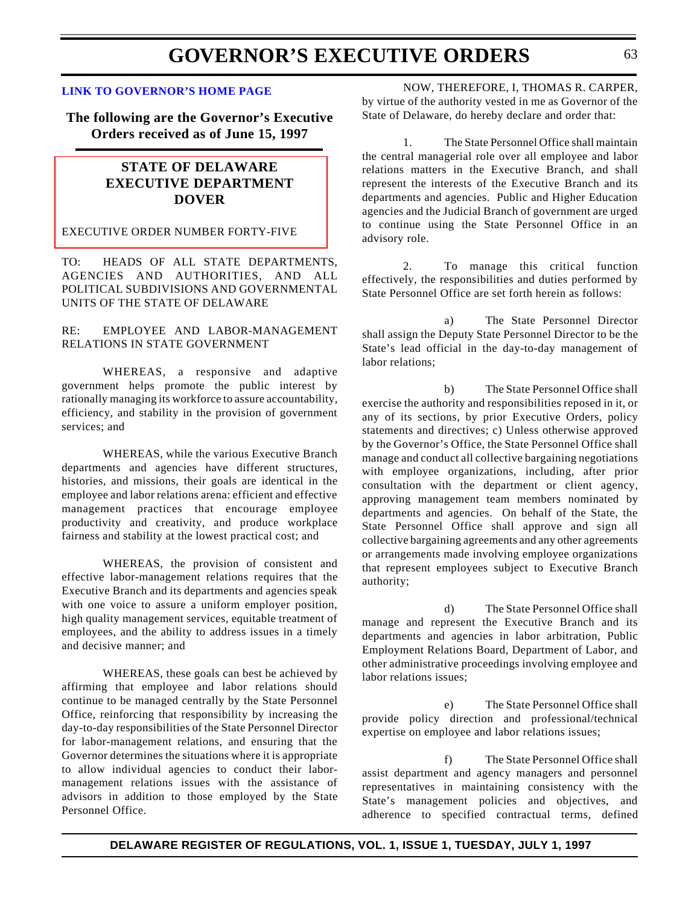#### **[LINK TO GOVERNOR'S HOME PAGE](http://www.state.de.us/govern/governor/introgov.htm)**

**The following are the Governor's Executive Orders received as of June 15, 1997**

## **STATE OF DELAWARE EXECUTIVE DEPARTMENT DOVER**

#### [EXECUTIVE ORDER NUMBER FORTY-FIVE](#page-3-0)

TO: HEADS OF ALL STATE DEPARTMENTS, AGENCIES AND AUTHORITIES, AND ALL POLITICAL SUBDIVISIONS AND GOVERNMENTAL UNITS OF THE STATE OF DELAWARE

### RE: EMPLOYEE AND LABOR-MANAGEMENT RELATIONS IN STATE GOVERNMENT

WHEREAS, a responsive and adaptive government helps promote the public interest by rationally managing its workforce to assure accountability, efficiency, and stability in the provision of government services; and

WHEREAS, while the various Executive Branch departments and agencies have different structures, histories, and missions, their goals are identical in the employee and labor relations arena: efficient and effective management practices that encourage employee productivity and creativity, and produce workplace fairness and stability at the lowest practical cost; and

WHEREAS, the provision of consistent and effective labor-management relations requires that the Executive Branch and its departments and agencies speak with one voice to assure a uniform employer position, high quality management services, equitable treatment of employees, and the ability to address issues in a timely and decisive manner; and

WHEREAS, these goals can best be achieved by affirming that employee and labor relations should continue to be managed centrally by the State Personnel Office, reinforcing that responsibility by increasing the day-to-day responsibilities of the State Personnel Director for labor-management relations, and ensuring that the Governor determines the situations where it is appropriate to allow individual agencies to conduct their labormanagement relations issues with the assistance of advisors in addition to those employed by the State Personnel Office.

NOW, THEREFORE, I, THOMAS R. CARPER, by virtue of the authority vested in me as Governor of the State of Delaware, do hereby declare and order that:

1. The State Personnel Office shall maintain the central managerial role over all employee and labor relations matters in the Executive Branch, and shall represent the interests of the Executive Branch and its departments and agencies. Public and Higher Education agencies and the Judicial Branch of government are urged to continue using the State Personnel Office in an advisory role.

2. To manage this critical function effectively, the responsibilities and duties performed by State Personnel Office are set forth herein as follows:

a) The State Personnel Director shall assign the Deputy State Personnel Director to be the State's lead official in the day-to-day management of labor relations;

b) The State Personnel Office shall exercise the authority and responsibilities reposed in it, or any of its sections, by prior Executive Orders, policy statements and directives; c) Unless otherwise approved by the Governor's Office, the State Personnel Office shall manage and conduct all collective bargaining negotiations with employee organizations, including, after prior consultation with the department or client agency, approving management team members nominated by departments and agencies. On behalf of the State, the State Personnel Office shall approve and sign all collective bargaining agreements and any other agreements or arrangements made involving employee organizations that represent employees subject to Executive Branch authority;

d) The State Personnel Office shall manage and represent the Executive Branch and its departments and agencies in labor arbitration, Public Employment Relations Board, Department of Labor, and other administrative proceedings involving employee and labor relations issues;

e) The State Personnel Office shall provide policy direction and professional/technical expertise on employee and labor relations issues;

f) The State Personnel Office shall assist department and agency managers and personnel representatives in maintaining consistency with the State's management policies and objectives, and adherence to specified contractual terms, defined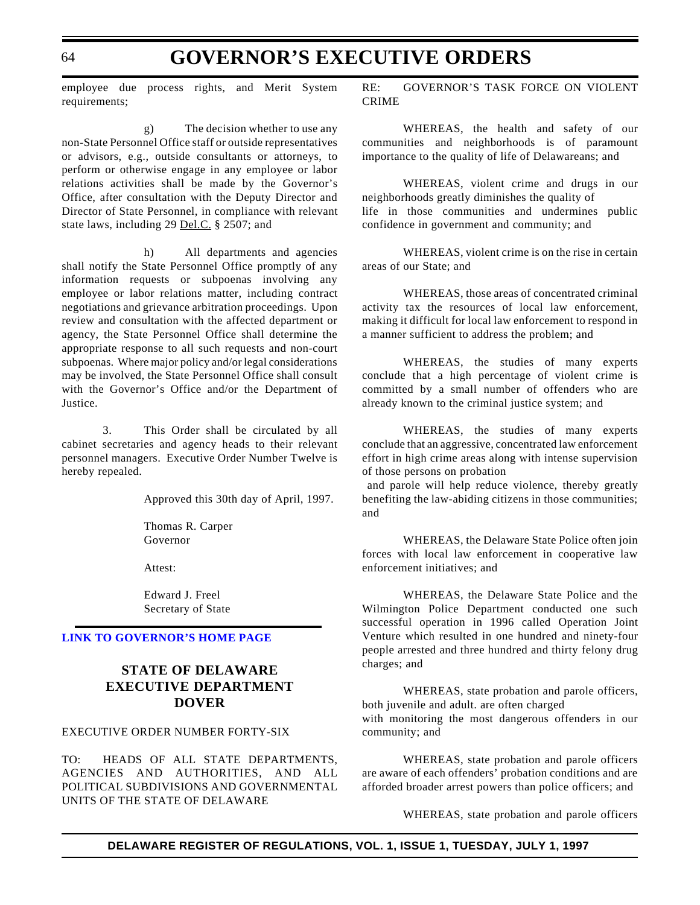employee due process rights, and Merit System requirements;

g) The decision whether to use any non-State Personnel Office staff or outside representatives or advisors, e.g., outside consultants or attorneys, to perform or otherwise engage in any employee or labor relations activities shall be made by the Governor's Office, after consultation with the Deputy Director and Director of State Personnel, in compliance with relevant state laws, including 29 Del.C. § 2507; and

h) All departments and agencies shall notify the State Personnel Office promptly of any information requests or subpoenas involving any employee or labor relations matter, including contract negotiations and grievance arbitration proceedings. Upon review and consultation with the affected department or agency, the State Personnel Office shall determine the appropriate response to all such requests and non-court subpoenas. Where major policy and/or legal considerations may be involved, the State Personnel Office shall consult with the Governor's Office and/or the Department of Justice.

3. This Order shall be circulated by all cabinet secretaries and agency heads to their relevant personnel managers. Executive Order Number Twelve is hereby repealed.

Approved this 30th day of April, 1997.

Thomas R. Carper Governor

Attest:

Edward J. Freel Secretary of State

### **[LINK TO GOVERNOR'S HOME PAGE](http://www.state.de.us/govern/governor/introgov.htm)**

### **STATE OF DELAWARE EXECUTIVE DEPARTMENT DOVER**

#### [EXECUTIVE ORDER NUMBER FORTY-SIX](#page-3-0)

TO: HEADS OF ALL STATE DEPARTMENTS, AGENCIES AND AUTHORITIES, AND ALL POLITICAL SUBDIVISIONS AND GOVERNMENTAL UNITS OF THE STATE OF DELAWARE

RE: GOVERNOR'S TASK FORCE ON VIOLENT CRIME

WHEREAS, the health and safety of our communities and neighborhoods is of paramount importance to the quality of life of Delawareans; and

WHEREAS, violent crime and drugs in our neighborhoods greatly diminishes the quality of life in those communities and undermines public confidence in government and community; and

WHEREAS, violent crime is on the rise in certain areas of our State; and

WHEREAS, those areas of concentrated criminal activity tax the resources of local law enforcement, making it difficult for local law enforcement to respond in a manner sufficient to address the problem; and

WHEREAS, the studies of many experts conclude that a high percentage of violent crime is committed by a small number of offenders who are already known to the criminal justice system; and

WHEREAS, the studies of many experts conclude that an aggressive, concentrated law enforcement effort in high crime areas along with intense supervision of those persons on probation

 and parole will help reduce violence, thereby greatly benefiting the law-abiding citizens in those communities; and

WHEREAS, the Delaware State Police often join forces with local law enforcement in cooperative law enforcement initiatives; and

WHEREAS, the Delaware State Police and the Wilmington Police Department conducted one such successful operation in 1996 called Operation Joint Venture which resulted in one hundred and ninety-four people arrested and three hundred and thirty felony drug charges; and

WHEREAS, state probation and parole officers, both juvenile and adult. are often charged with monitoring the most dangerous offenders in our community; and

WHEREAS, state probation and parole officers are aware of each offenders' probation conditions and are afforded broader arrest powers than police officers; and

WHEREAS, state probation and parole officers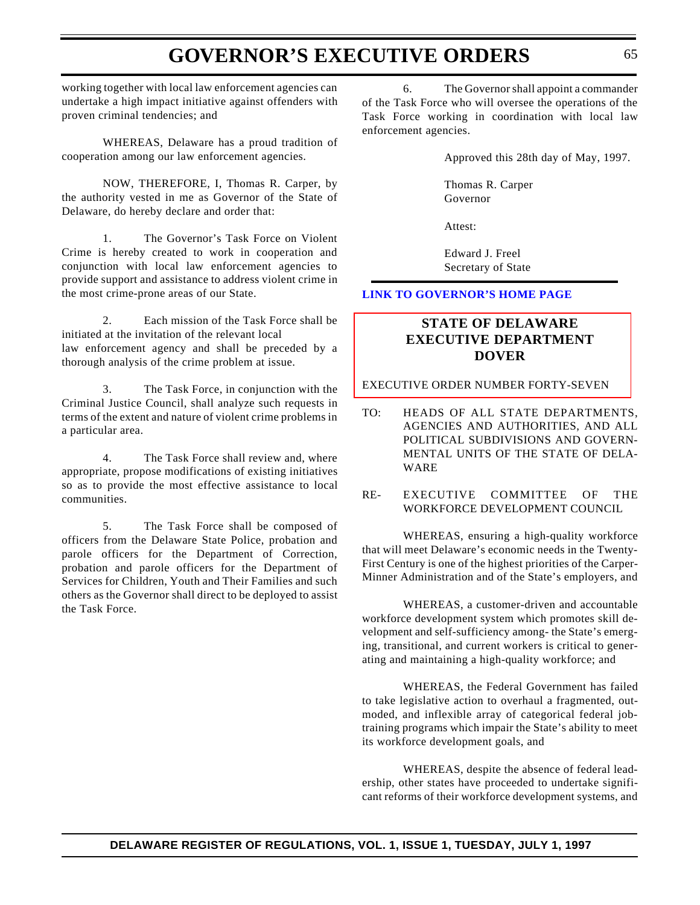working together with local law enforcement agencies can undertake a high impact initiative against offenders with proven criminal tendencies; and

WHEREAS, Delaware has a proud tradition of cooperation among our law enforcement agencies.

NOW, THEREFORE, I, Thomas R. Carper, by the authority vested in me as Governor of the State of Delaware, do hereby declare and order that:

1. The Governor's Task Force on Violent Crime is hereby created to work in cooperation and conjunction with local law enforcement agencies to provide support and assistance to address violent crime in the most crime-prone areas of our State.

2. Each mission of the Task Force shall be initiated at the invitation of the relevant local law enforcement agency and shall be preceded by a thorough analysis of the crime problem at issue.

3. The Task Force, in conjunction with the Criminal Justice Council, shall analyze such requests in terms of the extent and nature of violent crime problems in a particular area.

4. The Task Force shall review and, where appropriate, propose modifications of existing initiatives so as to provide the most effective assistance to local communities.

5. The Task Force shall be composed of officers from the Delaware State Police, probation and parole officers for the Department of Correction, probation and parole officers for the Department of Services for Children, Youth and Their Families and such others as the Governor shall direct to be deployed to assist the Task Force.

6. The Governor shall appoint a commander of the Task Force who will oversee the operations of the Task Force working in coordination with local law enforcement agencies.

Approved this 28th day of May, 1997.

Thomas R. Carper Governor

Attest:

Edward J. Freel Secretary of State

### **[LINK TO GOVERNOR'S HOME PAGE](http://www.state.de.us/govern/governor/introgov.htm)**

### **STATE OF DELAWARE EXECUTIVE DEPARTMENT DOVER**

[EXECUTIVE ORDER NUMBER FORTY-SEVEN](#page-3-0)

- TO: HEADS OF ALL STATE DEPARTMENTS, AGENCIES AND AUTHORITIES, AND ALL POLITICAL SUBDIVISIONS AND GOVERN-MENTAL UNITS OF THE STATE OF DELA-WARE
- RE- EXECUTIVE COMMITTEE OF THE WORKFORCE DEVELOPMENT COUNCIL

WHEREAS, ensuring a high-quality workforce that will meet Delaware's economic needs in the Twenty-First Century is one of the highest priorities of the Carper-Minner Administration and of the State's employers, and

WHEREAS, a customer-driven and accountable workforce development system which promotes skill development and self-sufficiency among- the State's emerging, transitional, and current workers is critical to generating and maintaining a high-quality workforce; and

WHEREAS, the Federal Government has failed to take legislative action to overhaul a fragmented, outmoded, and inflexible array of categorical federal jobtraining programs which impair the State's ability to meet its workforce development goals, and

WHEREAS, despite the absence of federal leadership, other states have proceeded to undertake significant reforms of their workforce development systems, and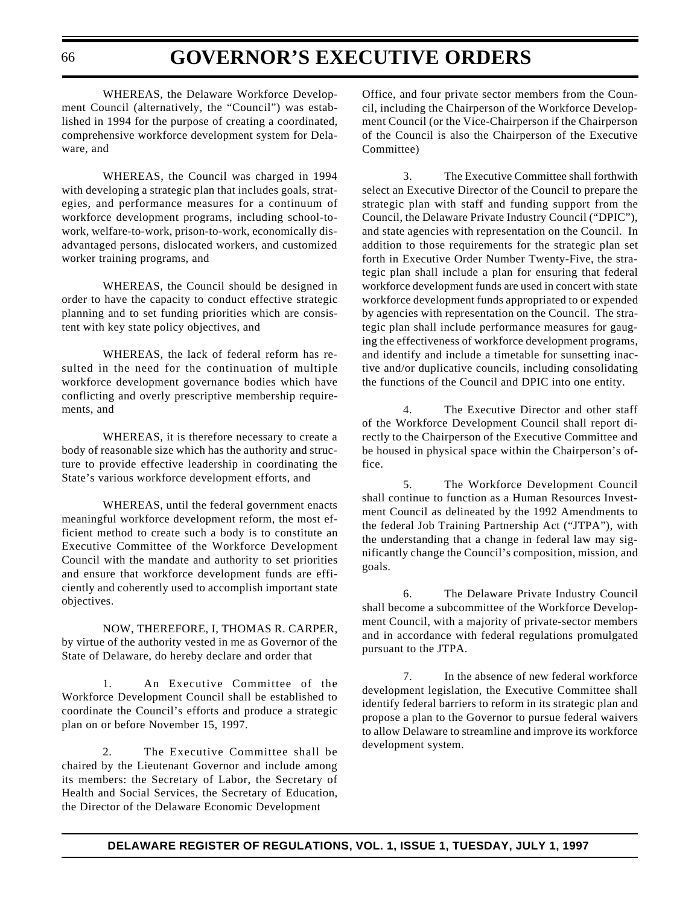WHEREAS, the Delaware Workforce Development Council (alternatively, the "Council") was established in 1994 for the purpose of creating a coordinated, comprehensive workforce development system for Delaware, and

WHEREAS, the Council was charged in 1994 with developing a strategic plan that includes goals, strategies, and performance measures for a continuum of workforce development programs, including school-towork, welfare-to-work, prison-to-work, economically disadvantaged persons, dislocated workers, and customized worker training programs, and

WHEREAS, the Council should be designed in order to have the capacity to conduct effective strategic planning and to set funding priorities which are consistent with key state policy objectives, and

WHEREAS, the lack of federal reform has resulted in the need for the continuation of multiple workforce development governance bodies which have conflicting and overly prescriptive membership requirements, and

WHEREAS, it is therefore necessary to create a body of reasonable size which has the authority and structure to provide effective leadership in coordinating the State's various workforce development efforts, and

WHEREAS, until the federal government enacts meaningful workforce development reform, the most efficient method to create such a body is to constitute an Executive Committee of the Workforce Development Council with the mandate and authority to set priorities and ensure that workforce development funds are efficiently and coherently used to accomplish important state objectives.

NOW, THEREFORE, I, THOMAS R. CARPER, by virtue of the authority vested in me as Governor of the State of Delaware, do hereby declare and order that

1. An Executive Committee of the Workforce Development Council shall be established to coordinate the Council's efforts and produce a strategic plan on or before November 15, 1997.

2. The Executive Committee shall be chaired by the Lieutenant Governor and include among its members: the Secretary of Labor, the Secretary of Health and Social Services, the Secretary of Education, the Director of the Delaware Economic Development

Office, and four private sector members from the Council, including the Chairperson of the Workforce Development Council (or the Vice-Chairperson if the Chairperson of the Council is also the Chairperson of the Executive Committee)

3. The Executive Committee shall forthwith select an Executive Director of the Council to prepare the strategic plan with staff and funding support from the Council, the Delaware Private Industry Council ("DPIC"), and state agencies with representation on the Council. In addition to those requirements for the strategic plan set forth in Executive Order Number Twenty-Five, the strategic plan shall include a plan for ensuring that federal workforce development funds are used in concert with state workforce development funds appropriated to or expended by agencies with representation on the Council. The strategic plan shall include performance measures for gauging the effectiveness of workforce development programs, and identify and include a timetable for sunsetting inactive and/or duplicative councils, including consolidating the functions of the Council and DPIC into one entity.

4. The Executive Director and other staff of the Workforce Development Council shall report directly to the Chairperson of the Executive Committee and be housed in physical space within the Chairperson's office.

5. The Workforce Development Council shall continue to function as a Human Resources Investment Council as delineated by the 1992 Amendments to the federal Job Training Partnership Act ("JTPA"), with the understanding that a change in federal law may significantly change the Council's composition, mission, and goals.

6. The Delaware Private Industry Council shall become a subcommittee of the Workforce Development Council, with a majority of private-sector members and in accordance with federal regulations promulgated pursuant to the JTPA.

7. In the absence of new federal workforce development legislation, the Executive Committee shall identify federal barriers to reform in its strategic plan and propose a plan to the Governor to pursue federal waivers to allow Delaware to streamline and improve its workforce development system.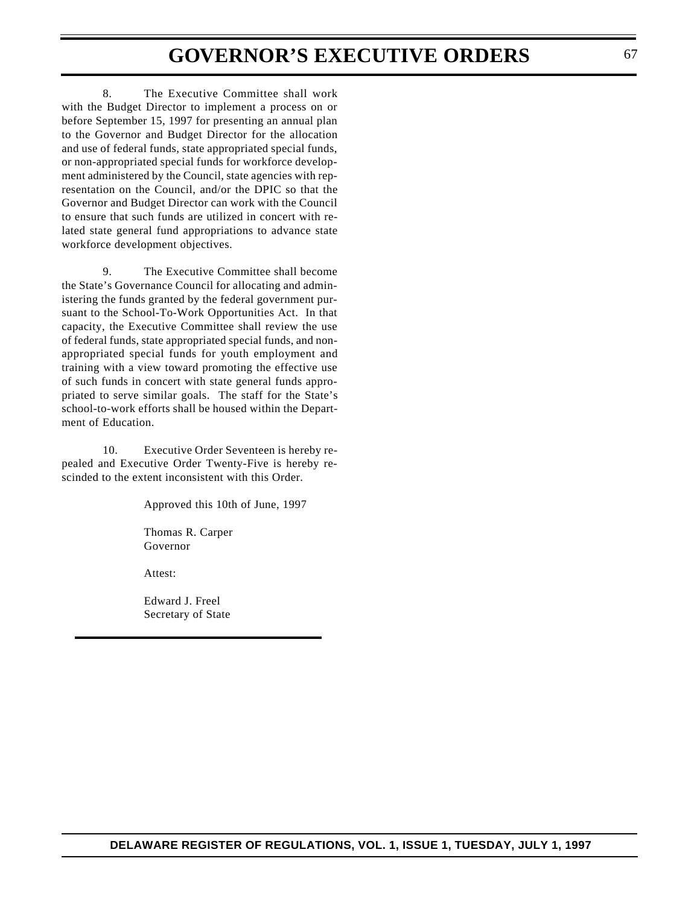8. The Executive Committee shall work with the Budget Director to implement a process on or before September 15, 1997 for presenting an annual plan to the Governor and Budget Director for the allocation and use of federal funds, state appropriated special funds, or non-appropriated special funds for workforce development administered by the Council, state agencies with representation on the Council, and/or the DPIC so that the Governor and Budget Director can work with the Council to ensure that such funds are utilized in concert with related state general fund appropriations to advance state workforce development objectives.

9. The Executive Committee shall become the State's Governance Council for allocating and administering the funds granted by the federal government pursuant to the School-To-Work Opportunities Act. In that capacity, the Executive Committee shall review the use of federal funds, state appropriated special funds, and nonappropriated special funds for youth employment and training with a view toward promoting the effective use of such funds in concert with state general funds appropriated to serve similar goals. The staff for the State's school-to-work efforts shall be housed within the Department of Education.

10. Executive Order Seventeen is hereby repealed and Executive Order Twenty-Five is hereby rescinded to the extent inconsistent with this Order.

Approved this 10th of June, 1997

Thomas R. Carper Governor

Attest:

Edward J. Freel Secretary of State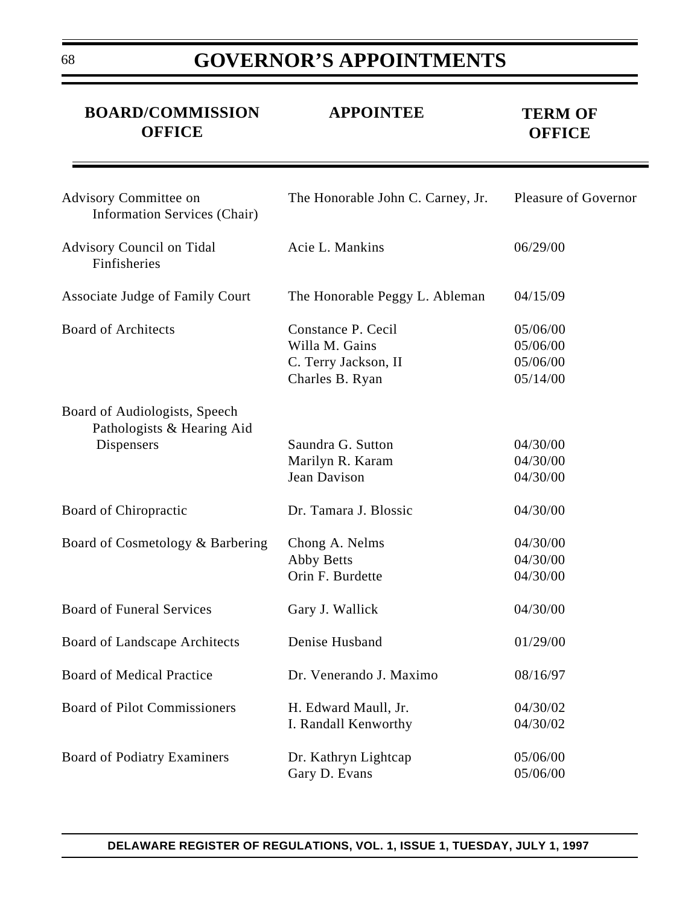| <b>BOARD/COMMISSION</b><br><b>OFFICE</b>                                  | <b>APPOINTEE</b>                                                                | <b>TERM OF</b><br><b>OFFICE</b>              |
|---------------------------------------------------------------------------|---------------------------------------------------------------------------------|----------------------------------------------|
| Advisory Committee on<br><b>Information Services (Chair)</b>              | The Honorable John C. Carney, Jr.                                               | <b>Pleasure of Governor</b>                  |
| <b>Advisory Council on Tidal</b><br>Finfisheries                          | Acie L. Mankins                                                                 | 06/29/00                                     |
| Associate Judge of Family Court                                           | The Honorable Peggy L. Ableman                                                  | 04/15/09                                     |
| <b>Board of Architects</b>                                                | Constance P. Cecil<br>Willa M. Gains<br>C. Terry Jackson, II<br>Charles B. Ryan | 05/06/00<br>05/06/00<br>05/06/00<br>05/14/00 |
| Board of Audiologists, Speech<br>Pathologists & Hearing Aid<br>Dispensers | Saundra G. Sutton<br>Marilyn R. Karam<br>Jean Davison                           | 04/30/00<br>04/30/00<br>04/30/00             |
| Board of Chiropractic                                                     | Dr. Tamara J. Blossic                                                           | 04/30/00                                     |
| Board of Cosmetology & Barbering                                          | Chong A. Nelms<br><b>Abby Betts</b><br>Orin F. Burdette                         | 04/30/00<br>04/30/00<br>04/30/00             |
| <b>Board of Funeral Services</b>                                          | Gary J. Wallick                                                                 | 04/30/00                                     |
| <b>Board of Landscape Architects</b>                                      | Denise Husband                                                                  | 01/29/00                                     |
| <b>Board of Medical Practice</b>                                          | Dr. Venerando J. Maximo                                                         | 08/16/97                                     |
| <b>Board of Pilot Commissioners</b>                                       | H. Edward Maull, Jr.<br>I. Randall Kenworthy                                    | 04/30/02<br>04/30/02                         |
| <b>Board of Podiatry Examiners</b>                                        | Dr. Kathryn Lightcap<br>Gary D. Evans                                           | 05/06/00<br>05/06/00                         |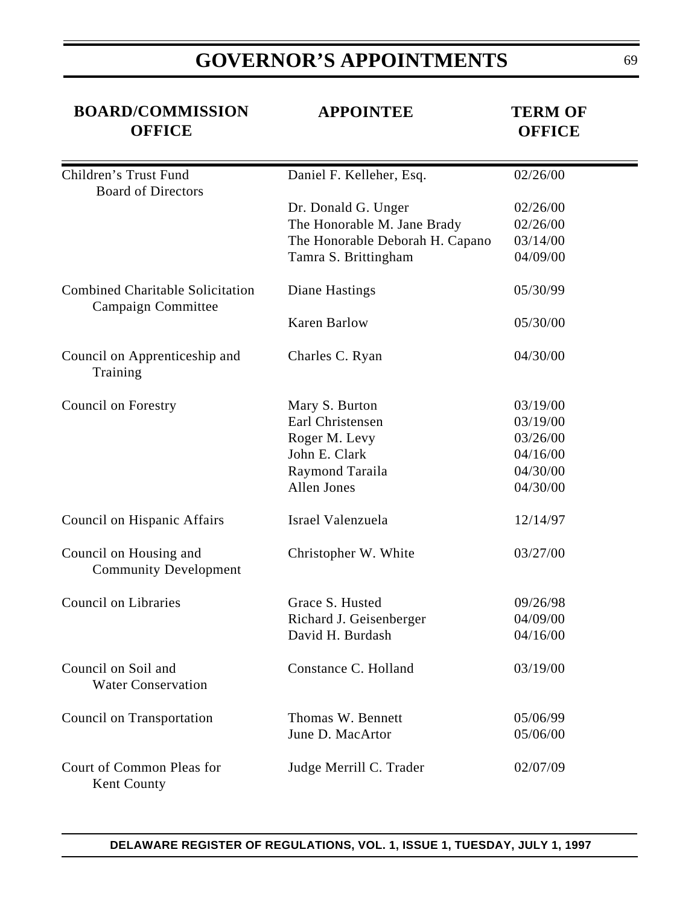| <b>BOARD/COMMISSION</b><br><b>OFFICE</b>                      | <b>APPOINTEE</b>                | <b>TERM OF</b><br><b>OFFICE</b> |
|---------------------------------------------------------------|---------------------------------|---------------------------------|
| Children's Trust Fund<br><b>Board of Directors</b>            | Daniel F. Kelleher, Esq.        | 02/26/00                        |
|                                                               | Dr. Donald G. Unger             | 02/26/00                        |
|                                                               | The Honorable M. Jane Brady     | 02/26/00                        |
|                                                               | The Honorable Deborah H. Capano | 03/14/00                        |
|                                                               | Tamra S. Brittingham            | 04/09/00                        |
| <b>Combined Charitable Solicitation</b><br>Campaign Committee | Diane Hastings                  | 05/30/99                        |
|                                                               | <b>Karen Barlow</b>             | 05/30/00                        |
| Council on Apprenticeship and<br>Training                     | Charles C. Ryan                 | 04/30/00                        |
| Council on Forestry                                           | Mary S. Burton                  | 03/19/00                        |
|                                                               | Earl Christensen                | 03/19/00                        |
|                                                               | Roger M. Levy                   | 03/26/00                        |
|                                                               | John E. Clark                   | 04/16/00                        |
|                                                               | Raymond Taraila                 | 04/30/00                        |
|                                                               | Allen Jones                     | 04/30/00                        |
| Council on Hispanic Affairs                                   | Israel Valenzuela               | 12/14/97                        |
| Council on Housing and<br><b>Community Development</b>        | Christopher W. White            | 03/27/00                        |
| <b>Council on Libraries</b>                                   | Grace S. Husted                 | 09/26/98                        |
|                                                               | Richard J. Geisenberger         | 04/09/00                        |
|                                                               | David H. Burdash                | 04/16/00                        |
| Council on Soil and<br><b>Water Conservation</b>              | Constance C. Holland            | 03/19/00                        |
| Council on Transportation                                     | Thomas W. Bennett               | 05/06/99                        |
|                                                               | June D. MacArtor                | 05/06/00                        |
| Court of Common Pleas for<br>Kent County                      | Judge Merrill C. Trader         | 02/07/09                        |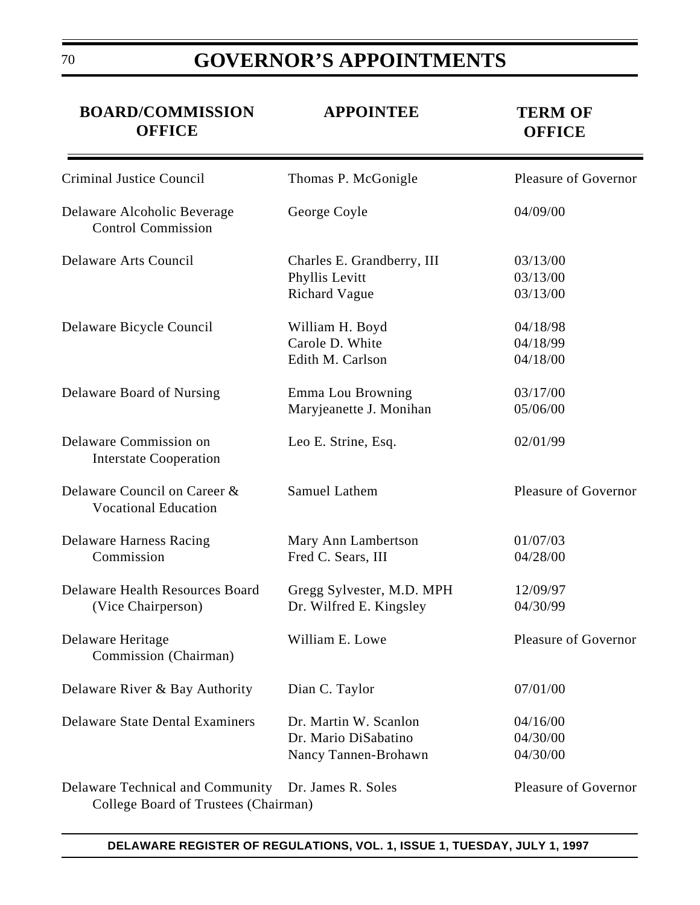| <b>BOARD/COMMISSION</b><br><b>OFFICE</b>                                                    | <b>APPOINTEE</b>                                                      | <b>TERM OF</b><br><b>OFFICE</b>  |
|---------------------------------------------------------------------------------------------|-----------------------------------------------------------------------|----------------------------------|
| Criminal Justice Council                                                                    | Thomas P. McGonigle                                                   | Pleasure of Governor             |
| Delaware Alcoholic Beverage<br><b>Control Commission</b>                                    | George Coyle                                                          | 04/09/00                         |
| Delaware Arts Council                                                                       | Charles E. Grandberry, III<br>Phyllis Levitt<br><b>Richard Vague</b>  | 03/13/00<br>03/13/00<br>03/13/00 |
| Delaware Bicycle Council                                                                    | William H. Boyd<br>Carole D. White<br>Edith M. Carlson                | 04/18/98<br>04/18/99<br>04/18/00 |
| Delaware Board of Nursing                                                                   | Emma Lou Browning<br>Maryjeanette J. Monihan                          | 03/17/00<br>05/06/00             |
| Delaware Commission on<br><b>Interstate Cooperation</b>                                     | Leo E. Strine, Esq.                                                   | 02/01/99                         |
| Delaware Council on Career &<br><b>Vocational Education</b>                                 | <b>Samuel Lathem</b>                                                  | Pleasure of Governor             |
| <b>Delaware Harness Racing</b><br>Commission                                                | Mary Ann Lambertson<br>Fred C. Sears, III                             | 01/07/03<br>04/28/00             |
| <b>Delaware Health Resources Board</b><br>(Vice Chairperson)                                | Gregg Sylvester, M.D. MPH<br>Dr. Wilfred E. Kingsley                  | 12/09/97<br>04/30/99             |
| Delaware Heritage<br>Commission (Chairman)                                                  | William E. Lowe                                                       | <b>Pleasure of Governor</b>      |
| Delaware River & Bay Authority                                                              | Dian C. Taylor                                                        | 07/01/00                         |
| <b>Delaware State Dental Examiners</b>                                                      | Dr. Martin W. Scanlon<br>Dr. Mario DiSabatino<br>Nancy Tannen-Brohawn | 04/16/00<br>04/30/00<br>04/30/00 |
| Delaware Technical and Community Dr. James R. Soles<br>College Board of Trustees (Chairman) |                                                                       | <b>Pleasure of Governor</b>      |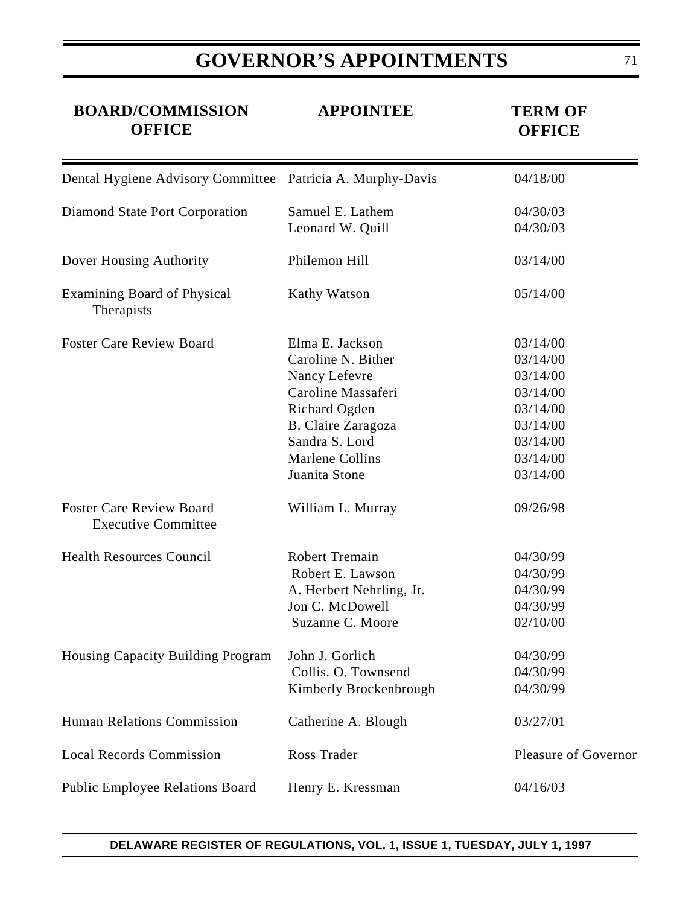| <b>BOARD/COMMISSION</b><br><b>OFFICE</b>                      | <b>APPOINTEE</b>                                                                                                                                                          | <b>TERM OF</b><br><b>OFFICE</b>                                                                          |
|---------------------------------------------------------------|---------------------------------------------------------------------------------------------------------------------------------------------------------------------------|----------------------------------------------------------------------------------------------------------|
| Dental Hygiene Advisory Committee Patricia A. Murphy-Davis    |                                                                                                                                                                           | 04/18/00                                                                                                 |
| Diamond State Port Corporation                                | Samuel E. Lathem<br>Leonard W. Quill                                                                                                                                      | 04/30/03<br>04/30/03                                                                                     |
| Dover Housing Authority                                       | Philemon Hill                                                                                                                                                             | 03/14/00                                                                                                 |
| <b>Examining Board of Physical</b><br>Therapists              | Kathy Watson                                                                                                                                                              | 05/14/00                                                                                                 |
| <b>Foster Care Review Board</b>                               | Elma E. Jackson<br>Caroline N. Bither<br>Nancy Lefevre<br>Caroline Massaferi<br>Richard Ogden<br>B. Claire Zaragoza<br>Sandra S. Lord<br>Marlene Collins<br>Juanita Stone | 03/14/00<br>03/14/00<br>03/14/00<br>03/14/00<br>03/14/00<br>03/14/00<br>03/14/00<br>03/14/00<br>03/14/00 |
| <b>Foster Care Review Board</b><br><b>Executive Committee</b> | William L. Murray                                                                                                                                                         | 09/26/98                                                                                                 |
| <b>Health Resources Council</b>                               | <b>Robert Tremain</b><br>Robert E. Lawson<br>A. Herbert Nehrling, Jr.<br>Jon C. McDowell<br>Suzanne C. Moore                                                              | 04/30/99<br>04/30/99<br>04/30/99<br>04/30/99<br>02/10/00                                                 |
| Housing Capacity Building Program                             | John J. Gorlich<br>Collis. O. Townsend<br>Kimberly Brockenbrough                                                                                                          | 04/30/99<br>04/30/99<br>04/30/99                                                                         |
| Human Relations Commission                                    | Catherine A. Blough                                                                                                                                                       | 03/27/01                                                                                                 |
| <b>Local Records Commission</b>                               | Ross Trader                                                                                                                                                               | <b>Pleasure of Governor</b>                                                                              |
| Public Employee Relations Board                               | Henry E. Kressman                                                                                                                                                         | 04/16/03                                                                                                 |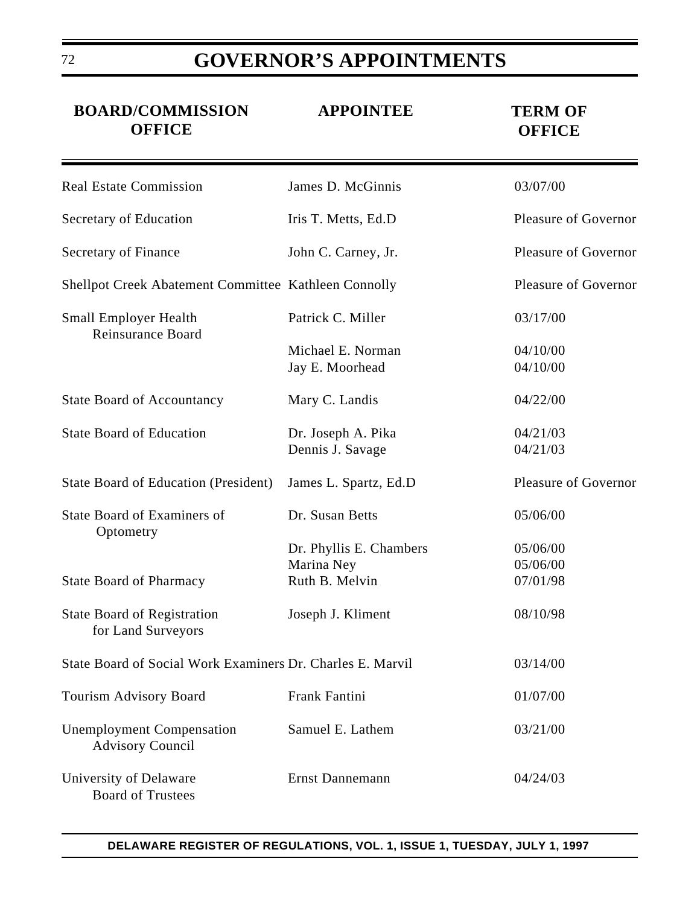| <b>BOARD/COMMISSION</b><br><b>OFFICE</b>                    | <b>APPOINTEE</b>                       | <b>TERM OF</b><br><b>OFFICE</b> |
|-------------------------------------------------------------|----------------------------------------|---------------------------------|
| <b>Real Estate Commission</b>                               | James D. McGinnis                      | 03/07/00                        |
| Secretary of Education                                      | Iris T. Metts, Ed.D                    | Pleasure of Governor            |
| Secretary of Finance                                        | John C. Carney, Jr.                    | Pleasure of Governor            |
| Shellpot Creek Abatement Committee Kathleen Connolly        |                                        | Pleasure of Governor            |
| <b>Small Employer Health</b><br>Reinsurance Board           | Patrick C. Miller                      | 03/17/00                        |
|                                                             | Michael E. Norman<br>Jay E. Moorhead   | 04/10/00<br>04/10/00            |
| <b>State Board of Accountancy</b>                           | Mary C. Landis                         | 04/22/00                        |
| <b>State Board of Education</b>                             | Dr. Joseph A. Pika<br>Dennis J. Savage | 04/21/03<br>04/21/03            |
| <b>State Board of Education (President)</b>                 | James L. Spartz, Ed.D.                 | Pleasure of Governor            |
| State Board of Examiners of<br>Optometry                    | Dr. Susan Betts                        | 05/06/00                        |
|                                                             | Dr. Phyllis E. Chambers                | 05/06/00                        |
| <b>State Board of Pharmacy</b>                              | Marina Ney<br>Ruth B. Melvin           | 05/06/00<br>07/01/98            |
| <b>State Board of Registration</b><br>for Land Surveyors    | Joseph J. Kliment                      | 08/10/98                        |
| State Board of Social Work Examiners Dr. Charles E. Marvil  |                                        | 03/14/00                        |
| Tourism Advisory Board                                      | <b>Frank Fantini</b>                   | 01/07/00                        |
| <b>Unemployment Compensation</b><br><b>Advisory Council</b> | Samuel E. Lathem                       | 03/21/00                        |
| University of Delaware<br><b>Board of Trustees</b>          | <b>Ernst Dannemann</b>                 | 04/24/03                        |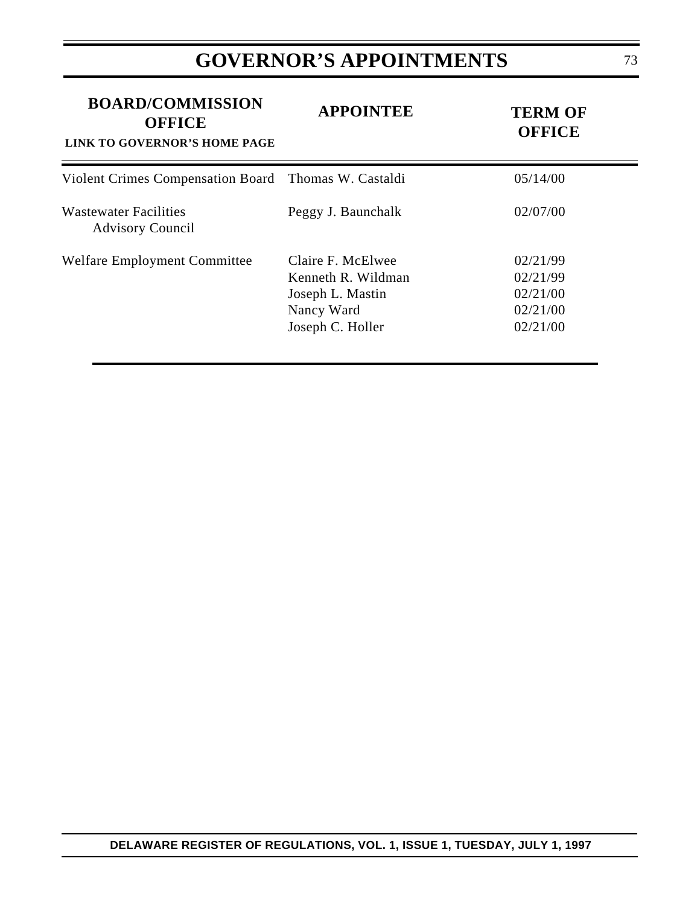# **GOVERNOR'S APPOINTMENTS**

| <b>BOARD/COMMISSION</b><br><b>OFFICE</b><br>LINK TO GOVERNOR'S HOME PAGE | <b>APPOINTEE</b>                                                                              | <b>TERM OF</b><br><b>OFFICE</b>                          |
|--------------------------------------------------------------------------|-----------------------------------------------------------------------------------------------|----------------------------------------------------------|
| Violent Crimes Compensation Board Thomas W. Castaldi                     |                                                                                               | 05/14/00                                                 |
| <b>Wastewater Facilities</b><br><b>Advisory Council</b>                  | Peggy J. Baunchalk                                                                            | 02/07/00                                                 |
| Welfare Employment Committee                                             | Claire F. McElwee<br>Kenneth R. Wildman<br>Joseph L. Mastin<br>Nancy Ward<br>Joseph C. Holler | 02/21/99<br>02/21/99<br>02/21/00<br>02/21/00<br>02/21/00 |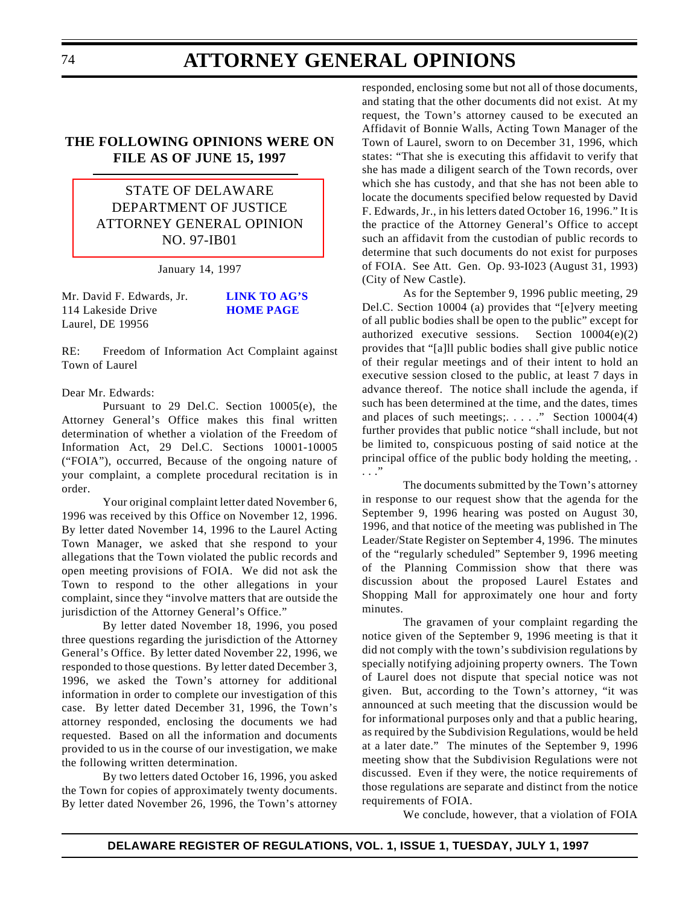### **THE FOLLOWING OPINIONS WERE ON FILE AS OF JUNE 15, 1997**

STATE OF DELAWARE DEPARTMENT OF JUSTICE [ATTORNEY GENERAL OPINION](#page-3-0) NO. 97-IB01

January 14, 1997

Mr. David F. Edwards, Jr. **[LINK TO AG'S](http://www.state.de.us/govern/elecoffl/attgen/agoffice.htm)** 114 Lakeside Drive **HOME PAGE** Laurel, DE 19956

RE: Freedom of Information Act Complaint against Town of Laurel

#### Dear Mr. Edwards:

Pursuant to 29 Del.C. Section 10005(e), the Attorney General's Office makes this final written determination of whether a violation of the Freedom of Information Act, 29 Del.C. Sections 10001-10005 ("FOIA"), occurred, Because of the ongoing nature of your complaint, a complete procedural recitation is in order.

Your original complaint letter dated November 6, 1996 was received by this Office on November 12, 1996. By letter dated November 14, 1996 to the Laurel Acting Town Manager, we asked that she respond to your allegations that the Town violated the public records and open meeting provisions of FOIA. We did not ask the Town to respond to the other allegations in your complaint, since they "involve matters that are outside the jurisdiction of the Attorney General's Office."

By letter dated November 18, 1996, you posed three questions regarding the jurisdiction of the Attorney General's Office. By letter dated November 22, 1996, we responded to those questions. By letter dated December 3, 1996, we asked the Town's attorney for additional information in order to complete our investigation of this case. By letter dated December 31, 1996, the Town's attorney responded, enclosing the documents we had requested. Based on all the information and documents provided to us in the course of our investigation, we make the following written determination.

By two letters dated October 16, 1996, you asked the Town for copies of approximately twenty documents. By letter dated November 26, 1996, the Town's attorney

responded, enclosing some but not all of those documents, and stating that the other documents did not exist. At my request, the Town's attorney caused to be executed an Affidavit of Bonnie Walls, Acting Town Manager of the Town of Laurel, sworn to on December 31, 1996, which states: "That she is executing this affidavit to verify that she has made a diligent search of the Town records, over which she has custody, and that she has not been able to locate the documents specified below requested by David F. Edwards, Jr., in his letters dated October 16, 1996." It is the practice of the Attorney General's Office to accept such an affidavit from the custodian of public records to determine that such documents do not exist for purposes of FOIA. See Att. Gen. Op. 93-I023 (August 31, 1993) (City of New Castle).

As for the September 9, 1996 public meeting, 29 Del.C. Section 10004 (a) provides that "[e]very meeting of all public bodies shall be open to the public" except for authorized executive sessions. Section 10004(e)(2) provides that "[a]ll public bodies shall give public notice of their regular meetings and of their intent to hold an executive session closed to the public, at least 7 days in advance thereof. The notice shall include the agenda, if such has been determined at the time, and the dates, times and places of such meetings;....." Section  $10004(4)$ further provides that public notice "shall include, but not be limited to, conspicuous posting of said notice at the principal office of the public body holding the meeting, . . . ."

The documents submitted by the Town's attorney in response to our request show that the agenda for the September 9, 1996 hearing was posted on August 30, 1996, and that notice of the meeting was published in The Leader/State Register on September 4, 1996. The minutes of the "regularly scheduled" September 9, 1996 meeting of the Planning Commission show that there was discussion about the proposed Laurel Estates and Shopping Mall for approximately one hour and forty minutes.

The gravamen of your complaint regarding the notice given of the September 9, 1996 meeting is that it did not comply with the town's subdivision regulations by specially notifying adjoining property owners. The Town of Laurel does not dispute that special notice was not given. But, according to the Town's attorney, "it was announced at such meeting that the discussion would be for informational purposes only and that a public hearing, as required by the Subdivision Regulations, would be held at a later date." The minutes of the September 9, 1996 meeting show that the Subdivision Regulations were not discussed. Even if they were, the notice requirements of those regulations are separate and distinct from the notice requirements of FOIA.

We conclude, however, that a violation of FOIA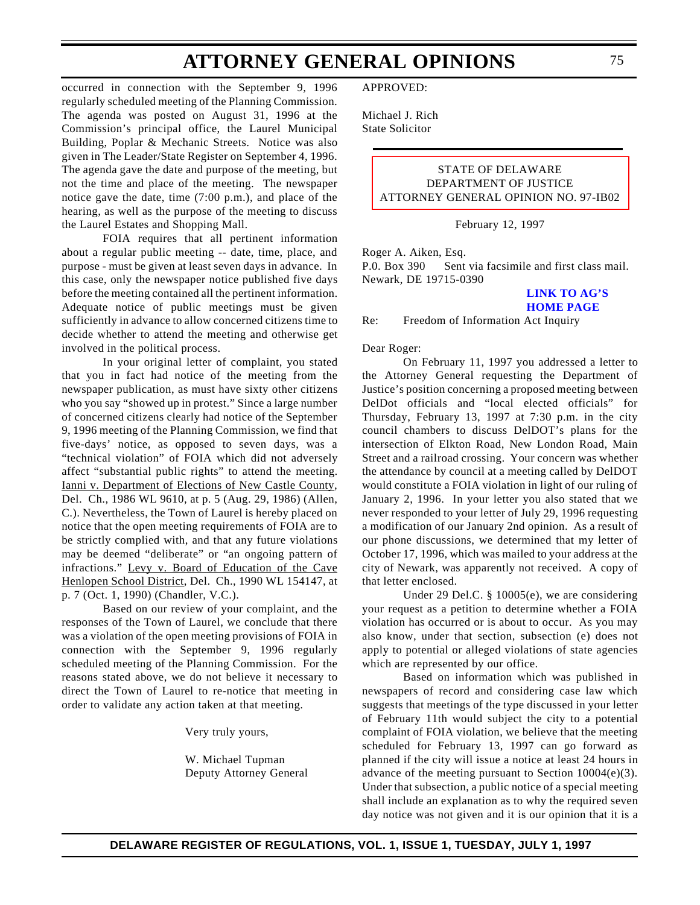occurred in connection with the September 9, 1996 regularly scheduled meeting of the Planning Commission. The agenda was posted on August 31, 1996 at the Commission's principal office, the Laurel Municipal Building, Poplar & Mechanic Streets. Notice was also given in The Leader/State Register on September 4, 1996. The agenda gave the date and purpose of the meeting, but not the time and place of the meeting. The newspaper notice gave the date, time (7:00 p.m.), and place of the hearing, as well as the purpose of the meeting to discuss the Laurel Estates and Shopping Mall.

FOIA requires that all pertinent information about a regular public meeting -- date, time, place, and purpose - must be given at least seven days in advance. In this case, only the newspaper notice published five days before the meeting contained all the pertinent information. Adequate notice of public meetings must be given sufficiently in advance to allow concerned citizens time to decide whether to attend the meeting and otherwise get involved in the political process.

In your original letter of complaint, you stated that you in fact had notice of the meeting from the newspaper publication, as must have sixty other citizens who you say "showed up in protest." Since a large number of concerned citizens clearly had notice of the September 9, 1996 meeting of the Planning Commission, we find that five-days' notice, as opposed to seven days, was a "technical violation" of FOIA which did not adversely affect "substantial public rights" to attend the meeting. Ianni v. Department of Elections of New Castle County, Del. Ch., 1986 WL 9610, at p. 5 (Aug. 29, 1986) (Allen, C.). Nevertheless, the Town of Laurel is hereby placed on notice that the open meeting requirements of FOIA are to be strictly complied with, and that any future violations may be deemed "deliberate" or "an ongoing pattern of infractions." Levy v. Board of Education of the Cave Henlopen School District, Del. Ch., 1990 WL 154147, at p. 7 (Oct. 1, 1990) (Chandler, V.C.).

Based on our review of your complaint, and the responses of the Town of Laurel, we conclude that there was a violation of the open meeting provisions of FOIA in connection with the September 9, 1996 regularly scheduled meeting of the Planning Commission. For the reasons stated above, we do not believe it necessary to direct the Town of Laurel to re-notice that meeting in order to validate any action taken at that meeting.

Very truly yours,

W. Michael Tupman Deputy Attorney General APPROVED:

Michael J. Rich State Solicitor

### STATE OF DELAWARE DEPARTMENT OF JUSTICE [ATTORNEY GENERAL OPINION NO. 97-IB02](#page-3-0)

February 12, 1997

Roger A. Aiken, Esq.

P.0. Box 390 Sent via facsimile and first class mail. Newark, DE 19715-0390

#### **[LINK TO AG'S](http://www.state.de.us/govern/elecoffl/attgen/agoffice.htm) HOME PAGE**

Re: Freedom of Information Act Inquiry

Dear Roger:

On February 11, 1997 you addressed a letter to the Attorney General requesting the Department of Justice's position concerning a proposed meeting between DelDot officials and "local elected officials" for Thursday, February 13, 1997 at 7:30 p.m. in the city council chambers to discuss DelDOT's plans for the intersection of Elkton Road, New London Road, Main Street and a railroad crossing. Your concern was whether the attendance by council at a meeting called by DelDOT would constitute a FOIA violation in light of our ruling of January 2, 1996. In your letter you also stated that we never responded to your letter of July 29, 1996 requesting a modification of our January 2nd opinion. As a result of our phone discussions, we determined that my letter of October 17, 1996, which was mailed to your address at the city of Newark, was apparently not received. A copy of that letter enclosed.

Under 29 Del.C. § 10005(e), we are considering your request as a petition to determine whether a FOIA violation has occurred or is about to occur. As you may also know, under that section, subsection (e) does not apply to potential or alleged violations of state agencies which are represented by our office.

Based on information which was published in newspapers of record and considering case law which suggests that meetings of the type discussed in your letter of February 11th would subject the city to a potential complaint of FOIA violation, we believe that the meeting scheduled for February 13, 1997 can go forward as planned if the city will issue a notice at least 24 hours in advance of the meeting pursuant to Section 10004(e)(3). Under that subsection, a public notice of a special meeting shall include an explanation as to why the required seven day notice was not given and it is our opinion that it is a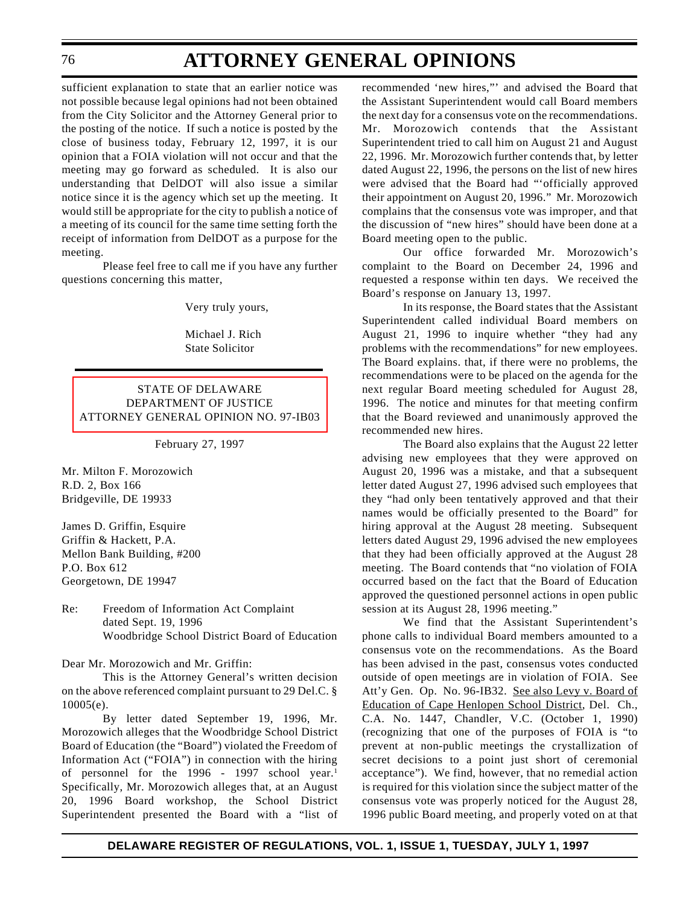sufficient explanation to state that an earlier notice was not possible because legal opinions had not been obtained from the City Solicitor and the Attorney General prior to the posting of the notice. If such a notice is posted by the close of business today, February 12, 1997, it is our opinion that a FOIA violation will not occur and that the meeting may go forward as scheduled. It is also our understanding that DelDOT will also issue a similar notice since it is the agency which set up the meeting. It would still be appropriate for the city to publish a notice of a meeting of its council for the same time setting forth the receipt of information from DelDOT as a purpose for the meeting.

Please feel free to call me if you have any further questions concerning this matter,

Very truly yours,

Michael J. Rich State Solicitor

### STATE OF DELAWARE DEPARTMENT OF JUSTICE [ATTORNEY GENERAL OPINION NO. 97-IB03](#page-3-0)

February 27, 1997

Mr. Milton F. Morozowich R.D. 2, Box 166 Bridgeville, DE 19933

James D. Griffin, Esquire Griffin & Hackett, P.A. Mellon Bank Building, #200 P.O. Box 612 Georgetown, DE 19947

Re: Freedom of Information Act Complaint dated Sept. 19, 1996 Woodbridge School District Board of Education

Dear Mr. Morozowich and Mr. Griffin:

This is the Attorney General's written decision on the above referenced complaint pursuant to 29 Del.C. § 10005(e).

By letter dated September 19, 1996, Mr. Morozowich alleges that the Woodbridge School District Board of Education (the "Board") violated the Freedom of Information Act ("FOIA") in connection with the hiring of personnel for the 1996 - 1997 school year.<sup>1</sup> Specifically, Mr. Morozowich alleges that, at an August 20, 1996 Board workshop, the School District Superintendent presented the Board with a "list of recommended 'new hires,"' and advised the Board that the Assistant Superintendent would call Board members the next day for a consensus vote on the recommendations. Mr. Morozowich contends that the Assistant Superintendent tried to call him on August 21 and August 22, 1996. Mr. Morozowich further contends that, by letter dated August 22, 1996, the persons on the list of new hires were advised that the Board had "'officially approved their appointment on August 20, 1996." Mr. Morozowich complains that the consensus vote was improper, and that the discussion of "new hires" should have been done at a Board meeting open to the public.

Our office forwarded Mr. Morozowich's complaint to the Board on December 24, 1996 and requested a response within ten days. We received the Board's response on January 13, 1997.

In its response, the Board states that the Assistant Superintendent called individual Board members on August 21, 1996 to inquire whether "they had any problems with the recommendations" for new employees. The Board explains. that, if there were no problems, the recommendations were to be placed on the agenda for the next regular Board meeting scheduled for August 28, 1996. The notice and minutes for that meeting confirm that the Board reviewed and unanimously approved the recommended new hires.

The Board also explains that the August 22 letter advising new employees that they were approved on August 20, 1996 was a mistake, and that a subsequent letter dated August 27, 1996 advised such employees that they "had only been tentatively approved and that their names would be officially presented to the Board" for hiring approval at the August 28 meeting. Subsequent letters dated August 29, 1996 advised the new employees that they had been officially approved at the August 28 meeting. The Board contends that "no violation of FOIA occurred based on the fact that the Board of Education approved the questioned personnel actions in open public session at its August 28, 1996 meeting."

We find that the Assistant Superintendent's phone calls to individual Board members amounted to a consensus vote on the recommendations. As the Board has been advised in the past, consensus votes conducted outside of open meetings are in violation of FOIA. See Att'y Gen. Op. No. 96-IB32. See also Levy v. Board of Education of Cape Henlopen School District, Del. Ch., C.A. No. 1447, Chandler, V.C. (October 1, 1990) (recognizing that one of the purposes of FOIA is "to prevent at non-public meetings the crystallization of secret decisions to a point just short of ceremonial acceptance"). We find, however, that no remedial action is required for this violation since the subject matter of the consensus vote was properly noticed for the August 28, 1996 public Board meeting, and properly voted on at that

#### 76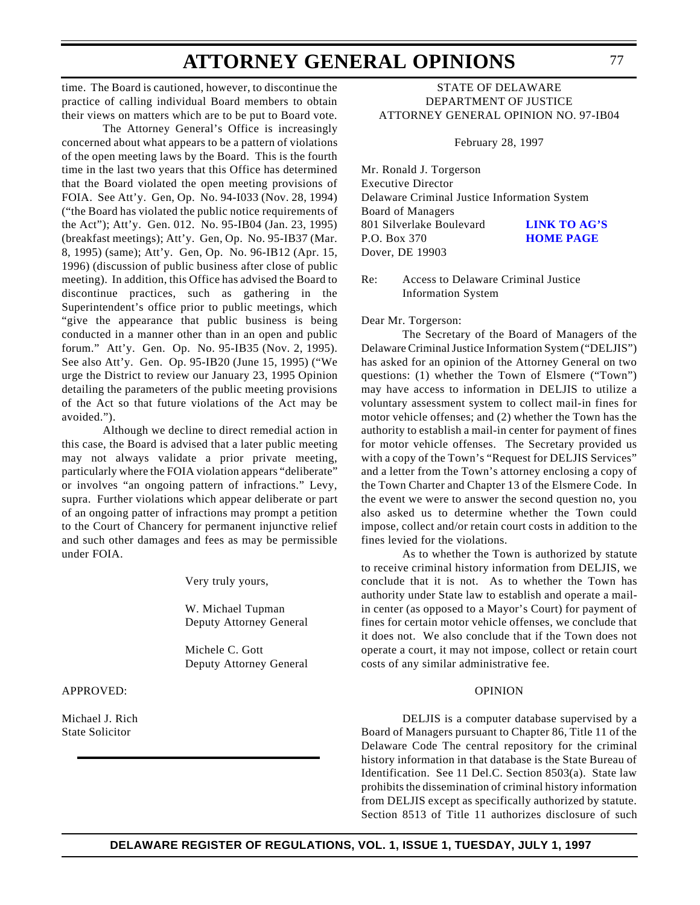time. The Board is cautioned, however, to discontinue the practice of calling individual Board members to obtain their views on matters which are to be put to Board vote.

The Attorney General's Office is increasingly concerned about what appears to be a pattern of violations of the open meeting laws by the Board. This is the fourth time in the last two years that this Office has determined that the Board violated the open meeting provisions of FOIA. See Att'y. Gen, Op. No. 94-I033 (Nov. 28, 1994) ("the Board has violated the public notice requirements of the Act"); Att'y. Gen. 012. No. 95-IB04 (Jan. 23, 1995) (breakfast meetings); Att'y. Gen, Op. No. 95-IB37 (Mar. 8, 1995) (same); Att'y. Gen, Op. No. 96-IB12 (Apr. 15, 1996) (discussion of public business after close of public meeting). In addition, this Office has advised the Board to discontinue practices, such as gathering in the Superintendent's office prior to public meetings, which "give the appearance that public business is being conducted in a manner other than in an open and public forum." Att'y. Gen. Op. No. 95-IB35 (Nov. 2, 1995). See also Att'y. Gen. Op. 95-IB20 (June 15, 1995) ("We urge the District to review our January 23, 1995 Opinion detailing the parameters of the public meeting provisions of the Act so that future violations of the Act may be avoided.").

Although we decline to direct remedial action in this case, the Board is advised that a later public meeting may not always validate a prior private meeting, particularly where the FOIA violation appears "deliberate" or involves "an ongoing pattern of infractions." Levy, supra. Further violations which appear deliberate or part of an ongoing patter of infractions may prompt a petition to the Court of Chancery for permanent injunctive relief and such other damages and fees as may be permissible under FOIA.

Very truly yours,

W. Michael Tupman Deputy Attorney General

Michele C. Gott Deputy Attorney General

APPROVED:

Michael J. Rich State Solicitor

### STATE OF DELAWARE DEPARTMENT OF JUSTICE [ATTORNEY GENERAL OPINION NO. 97-IB04](#page-3-0)

February 28, 1997

Mr. Ronald J. Torgerson Executive Director Delaware Criminal Justice Information System Board of Managers 801 Silverlake Boulevard **[LINK TO AG'S](http://www.state.de.us/govern/elecoffl/attgen/agoffice.htm)** P.O. Box 370 **HOME PAGE** Dover, DE 19903

Re: Access to Delaware Criminal Justice Information System

Dear Mr. Torgerson:

The Secretary of the Board of Managers of the Delaware Criminal Justice Information System ("DELJIS") has asked for an opinion of the Attorney General on two questions: (1) whether the Town of Elsmere ("Town") may have access to information in DELJIS to utilize a voluntary assessment system to collect mail-in fines for motor vehicle offenses; and (2) whether the Town has the authority to establish a mail-in center for payment of fines for motor vehicle offenses. The Secretary provided us with a copy of the Town's "Request for DELJIS Services" and a letter from the Town's attorney enclosing a copy of the Town Charter and Chapter 13 of the Elsmere Code. In the event we were to answer the second question no, you also asked us to determine whether the Town could impose, collect and/or retain court costs in addition to the fines levied for the violations.

As to whether the Town is authorized by statute to receive criminal history information from DELJIS, we conclude that it is not. As to whether the Town has authority under State law to establish and operate a mailin center (as opposed to a Mayor's Court) for payment of fines for certain motor vehicle offenses, we conclude that it does not. We also conclude that if the Town does not operate a court, it may not impose, collect or retain court costs of any similar administrative fee.

#### OPINION

DELJIS is a computer database supervised by a Board of Managers pursuant to Chapter 86, Title 11 of the Delaware Code The central repository for the criminal history information in that database is the State Bureau of Identification. See 11 Del.C. Section 8503(a). State law prohibits the dissemination of criminal history information from DELJIS except as specifically authorized by statute. Section 8513 of Title 11 authorizes disclosure of such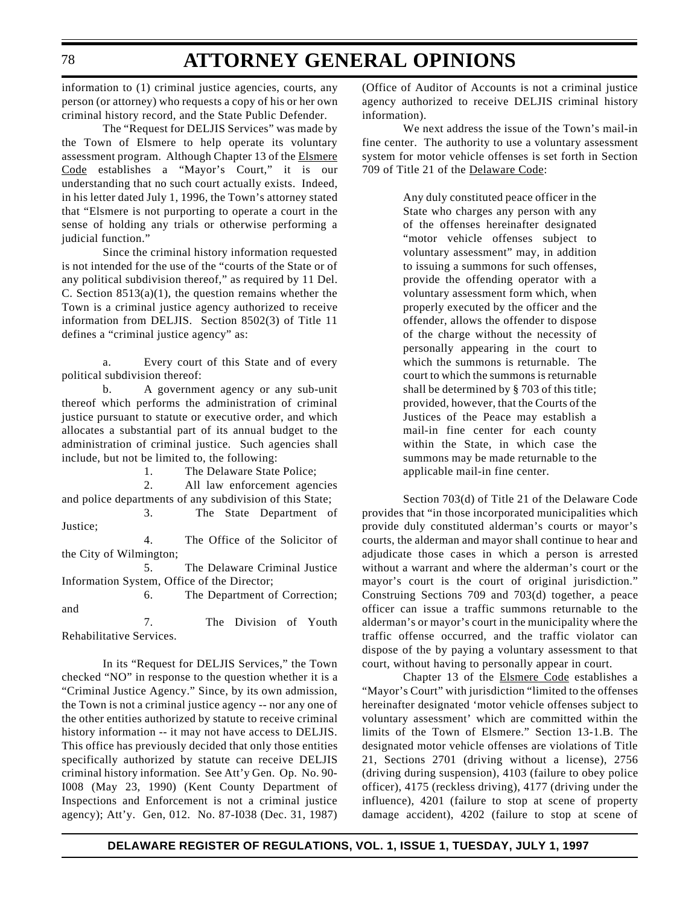information to (1) criminal justice agencies, courts, any person (or attorney) who requests a copy of his or her own criminal history record, and the State Public Defender.

The "Request for DELJIS Services" was made by the Town of Elsmere to help operate its voluntary assessment program. Although Chapter 13 of the Elsmere Code establishes a "Mayor's Court," it is our understanding that no such court actually exists. Indeed, in his letter dated July 1, 1996, the Town's attorney stated that "Elsmere is not purporting to operate a court in the sense of holding any trials or otherwise performing a judicial function."

Since the criminal history information requested is not intended for the use of the "courts of the State or of any political subdivision thereof," as required by 11 Del. C. Section  $8513(a)(1)$ , the question remains whether the Town is a criminal justice agency authorized to receive information from DELJIS. Section 8502(3) of Title 11 defines a "criminal justice agency" as:

a. Every court of this State and of every political subdivision thereof:

b. A government agency or any sub-unit thereof which performs the administration of criminal justice pursuant to statute or executive order, and which allocates a substantial part of its annual budget to the administration of criminal justice. Such agencies shall include, but not be limited to, the following:

1. The Delaware State Police;

2. All law enforcement agencies

and police departments of any subdivision of this State; 3. The State Department of

Justice;

4. The Office of the Solicitor of the City of Wilmington;

5. The Delaware Criminal Justice Information System, Office of the Director;

6. The Department of Correction; and

7. The Division of Youth Rehabilitative Services.

In its "Request for DELJIS Services," the Town checked "NO" in response to the question whether it is a "Criminal Justice Agency." Since, by its own admission, the Town is not a criminal justice agency -- nor any one of the other entities authorized by statute to receive criminal history information -- it may not have access to DELJIS. This office has previously decided that only those entities specifically authorized by statute can receive DELJIS criminal history information. See Att'y Gen. Op. No. 90- I008 (May 23, 1990) (Kent County Department of Inspections and Enforcement is not a criminal justice agency); Att'y. Gen, 012. No. 87-I038 (Dec. 31, 1987)

(Office of Auditor of Accounts is not a criminal justice agency authorized to receive DELJIS criminal history information).

We next address the issue of the Town's mail-in fine center. The authority to use a voluntary assessment system for motor vehicle offenses is set forth in Section 709 of Title 21 of the Delaware Code:

> Any duly constituted peace officer in the State who charges any person with any of the offenses hereinafter designated "motor vehicle offenses subject to voluntary assessment" may, in addition to issuing a summons for such offenses, provide the offending operator with a voluntary assessment form which, when properly executed by the officer and the offender, allows the offender to dispose of the charge without the necessity of personally appearing in the court to which the summons is returnable. The court to which the summons is returnable shall be determined by § 703 of this title; provided, however, that the Courts of the Justices of the Peace may establish a mail-in fine center for each county within the State, in which case the summons may be made returnable to the applicable mail-in fine center.

Section 703(d) of Title 21 of the Delaware Code provides that "in those incorporated municipalities which provide duly constituted alderman's courts or mayor's courts, the alderman and mayor shall continue to hear and adjudicate those cases in which a person is arrested without a warrant and where the alderman's court or the mayor's court is the court of original jurisdiction." Construing Sections 709 and 703(d) together, a peace officer can issue a traffic summons returnable to the alderman's or mayor's court in the municipality where the traffic offense occurred, and the traffic violator can dispose of the by paying a voluntary assessment to that court, without having to personally appear in court.

Chapter 13 of the Elsmere Code establishes a "Mayor's Court" with jurisdiction "limited to the offenses hereinafter designated 'motor vehicle offenses subject to voluntary assessment' which are committed within the limits of the Town of Elsmere." Section 13-1.B. The designated motor vehicle offenses are violations of Title 21, Sections 2701 (driving without a license), 2756 (driving during suspension), 4103 (failure to obey police officer), 4175 (reckless driving), 4177 (driving under the influence), 4201 (failure to stop at scene of property damage accident), 4202 (failure to stop at scene of

#### 78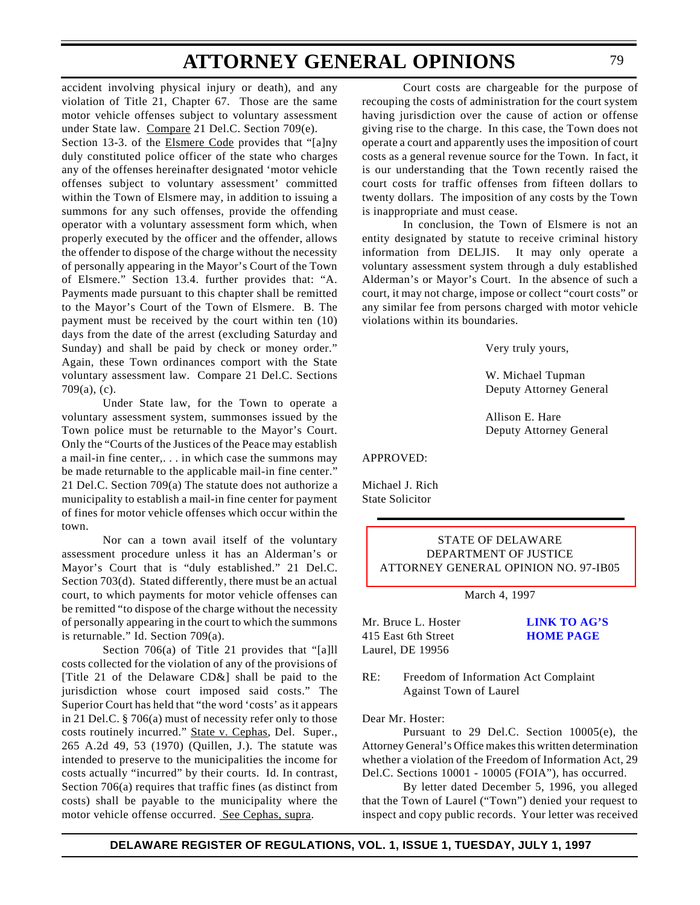accident involving physical injury or death), and any violation of Title 21, Chapter 67. Those are the same motor vehicle offenses subject to voluntary assessment under State law. Compare 21 Del.C. Section 709(e). Section 13-3. of the Elsmere Code provides that "[a]ny duly constituted police officer of the state who charges any of the offenses hereinafter designated 'motor vehicle offenses subject to voluntary assessment' committed within the Town of Elsmere may, in addition to issuing a summons for any such offenses, provide the offending operator with a voluntary assessment form which, when properly executed by the officer and the offender, allows the offender to dispose of the charge without the necessity of personally appearing in the Mayor's Court of the Town of Elsmere." Section 13.4. further provides that: "A. Payments made pursuant to this chapter shall be remitted to the Mayor's Court of the Town of Elsmere. B. The payment must be received by the court within ten (10) days from the date of the arrest (excluding Saturday and Sunday) and shall be paid by check or money order." Again, these Town ordinances comport with the State voluntary assessment law. Compare 21 Del.C. Sections 709(a), (c).

Under State law, for the Town to operate a voluntary assessment system, summonses issued by the Town police must be returnable to the Mayor's Court. Only the "Courts of the Justices of the Peace may establish a mail-in fine center,. . . in which case the summons may be made returnable to the applicable mail-in fine center." 21 Del.C. Section 709(a) The statute does not authorize a municipality to establish a mail-in fine center for payment of fines for motor vehicle offenses which occur within the town.

Nor can a town avail itself of the voluntary assessment procedure unless it has an Alderman's or Mayor's Court that is "duly established." 21 Del.C. Section 703(d). Stated differently, there must be an actual court, to which payments for motor vehicle offenses can be remitted "to dispose of the charge without the necessity of personally appearing in the court to which the summons is returnable." Id. Section 709(a).

Section 706(a) of Title 21 provides that "[a]ll costs collected for the violation of any of the provisions of [Title 21 of the Delaware CD&] shall be paid to the jurisdiction whose court imposed said costs." The Superior Court has held that "the word 'costs' as it appears in 21 Del.C. § 706(a) must of necessity refer only to those costs routinely incurred." State v. Cephas, Del. Super., 265 A.2d 49, 53 (1970) (Quillen, J.). The statute was intended to preserve to the municipalities the income for costs actually "incurred" by their courts. Id. In contrast, Section 706(a) requires that traffic fines (as distinct from costs) shall be payable to the municipality where the motor vehicle offense occurred. See Cephas, supra.

Court costs are chargeable for the purpose of recouping the costs of administration for the court system having jurisdiction over the cause of action or offense giving rise to the charge. In this case, the Town does not operate a court and apparently uses the imposition of court costs as a general revenue source for the Town. In fact, it is our understanding that the Town recently raised the court costs for traffic offenses from fifteen dollars to twenty dollars. The imposition of any costs by the Town is inappropriate and must cease.

In conclusion, the Town of Elsmere is not an entity designated by statute to receive criminal history information from DELJIS. It may only operate a voluntary assessment system through a duly established Alderman's or Mayor's Court. In the absence of such a court, it may not charge, impose or collect "court costs" or any similar fee from persons charged with motor vehicle violations within its boundaries.

Very truly yours,

W. Michael Tupman Deputy Attorney General

Allison E. Hare Deputy Attorney General

APPROVED:

Michael J. Rich State Solicitor

### STATE OF DELAWARE DEPARTMENT OF JUSTICE [ATTORNEY GENERAL OPINION NO. 97-IB05](#page-3-0)

March 4, 1997

Mr. Bruce L. Hoster **[LINK TO AG'S](http://www.state.de.us/govern/elecoffl/attgen/agoffice.htm)** 415 East 6th Street **HOME PAGE** Laurel, DE 19956

RE: Freedom of Information Act Complaint Against Town of Laurel

Dear Mr. Hoster:

Pursuant to 29 Del.C. Section 10005(e), the Attorney General's Office makes this written determination whether a violation of the Freedom of Information Act, 29 Del.C. Sections 10001 - 10005 (FOIA"), has occurred.

By letter dated December 5, 1996, you alleged that the Town of Laurel ("Town") denied your request to inspect and copy public records. Your letter was received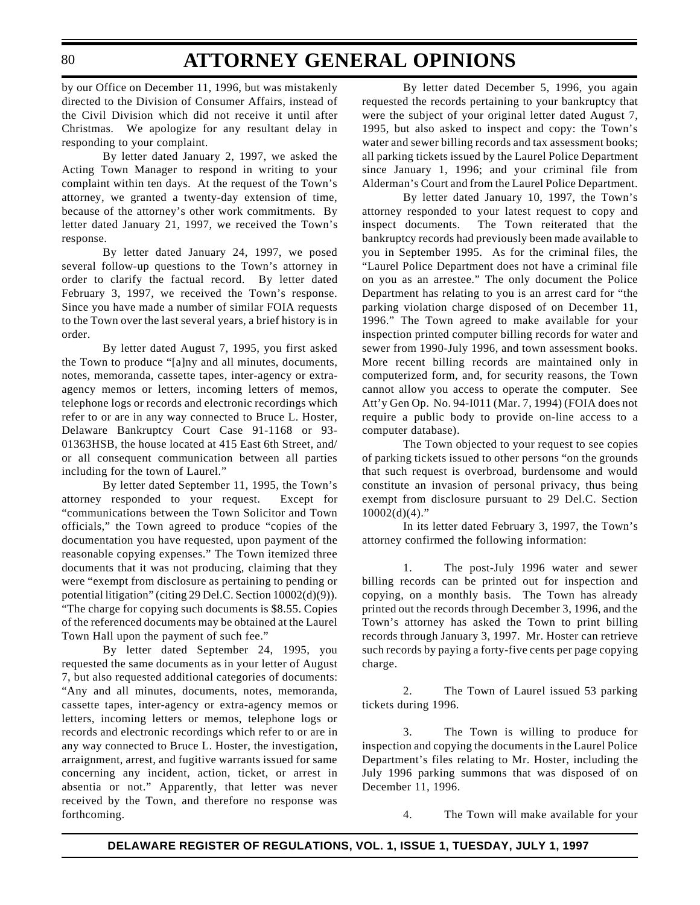by our Office on December 11, 1996, but was mistakenly directed to the Division of Consumer Affairs, instead of the Civil Division which did not receive it until after Christmas. We apologize for any resultant delay in responding to your complaint.

By letter dated January 2, 1997, we asked the Acting Town Manager to respond in writing to your complaint within ten days. At the request of the Town's attorney, we granted a twenty-day extension of time, because of the attorney's other work commitments. By letter dated January 21, 1997, we received the Town's response.

By letter dated January 24, 1997, we posed several follow-up questions to the Town's attorney in order to clarify the factual record. By letter dated February 3, 1997, we received the Town's response. Since you have made a number of similar FOIA requests to the Town over the last several years, a brief history is in order.

By letter dated August 7, 1995, you first asked the Town to produce "[a]ny and all minutes, documents, notes, memoranda, cassette tapes, inter-agency or extraagency memos or letters, incoming letters of memos, telephone logs or records and electronic recordings which refer to or are in any way connected to Bruce L. Hoster, Delaware Bankruptcy Court Case 91-1168 or 93- 01363HSB, the house located at 415 East 6th Street, and/ or all consequent communication between all parties including for the town of Laurel."

By letter dated September 11, 1995, the Town's attorney responded to your request. Except for "communications between the Town Solicitor and Town officials," the Town agreed to produce "copies of the documentation you have requested, upon payment of the reasonable copying expenses." The Town itemized three documents that it was not producing, claiming that they were "exempt from disclosure as pertaining to pending or potential litigation" (citing 29 Del.C. Section 10002(d)(9)). "The charge for copying such documents is \$8.55. Copies of the referenced documents may be obtained at the Laurel Town Hall upon the payment of such fee."

By letter dated September 24, 1995, you requested the same documents as in your letter of August 7, but also requested additional categories of documents: "Any and all minutes, documents, notes, memoranda, cassette tapes, inter-agency or extra-agency memos or letters, incoming letters or memos, telephone logs or records and electronic recordings which refer to or are in any way connected to Bruce L. Hoster, the investigation, arraignment, arrest, and fugitive warrants issued for same concerning any incident, action, ticket, or arrest in absentia or not." Apparently, that letter was never received by the Town, and therefore no response was forthcoming.

By letter dated December 5, 1996, you again requested the records pertaining to your bankruptcy that were the subject of your original letter dated August 7, 1995, but also asked to inspect and copy: the Town's water and sewer billing records and tax assessment books; all parking tickets issued by the Laurel Police Department since January 1, 1996; and your criminal file from Alderman's Court and from the Laurel Police Department.

By letter dated January 10, 1997, the Town's attorney responded to your latest request to copy and inspect documents. The Town reiterated that the bankruptcy records had previously been made available to you in September 1995. As for the criminal files, the "Laurel Police Department does not have a criminal file on you as an arrestee." The only document the Police Department has relating to you is an arrest card for "the parking violation charge disposed of on December 11, 1996." The Town agreed to make available for your inspection printed computer billing records for water and sewer from 1990-July 1996, and town assessment books. More recent billing records are maintained only in computerized form, and, for security reasons, the Town cannot allow you access to operate the computer. See Att'y Gen Op. No. 94-I011 (Mar. 7, 1994) (FOIA does not require a public body to provide on-line access to a computer database).

The Town objected to your request to see copies of parking tickets issued to other persons "on the grounds that such request is overbroad, burdensome and would constitute an invasion of personal privacy, thus being exempt from disclosure pursuant to 29 Del.C. Section  $10002(d)(4)$ ."

In its letter dated February 3, 1997, the Town's attorney confirmed the following information:

1. The post-July 1996 water and sewer billing records can be printed out for inspection and copying, on a monthly basis. The Town has already printed out the records through December 3, 1996, and the Town's attorney has asked the Town to print billing records through January 3, 1997. Mr. Hoster can retrieve such records by paying a forty-five cents per page copying charge.

2. The Town of Laurel issued 53 parking tickets during 1996.

3. The Town is willing to produce for inspection and copying the documents in the Laurel Police Department's files relating to Mr. Hoster, including the July 1996 parking summons that was disposed of on December 11, 1996.

4. The Town will make available for your

80